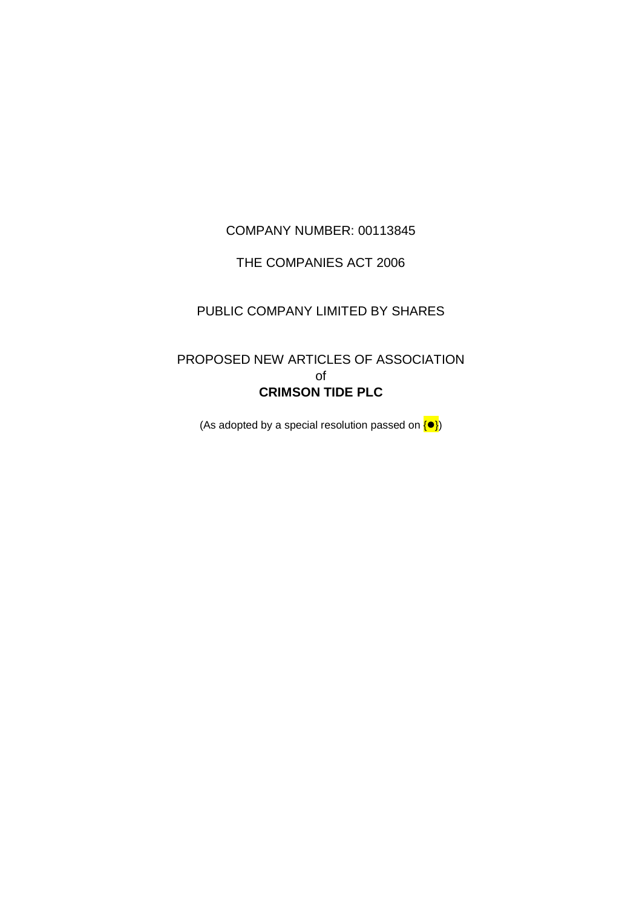# COMPANY NUMBER: 00113845

# THE COMPANIES ACT 2006

# PUBLIC COMPANY LIMITED BY SHARES

# PROPOSED NEW ARTICLES OF ASSOCIATION of **CRIMSON TIDE PLC**

(As adopted by a special resolution passed on  $\langle \bullet \rangle$ )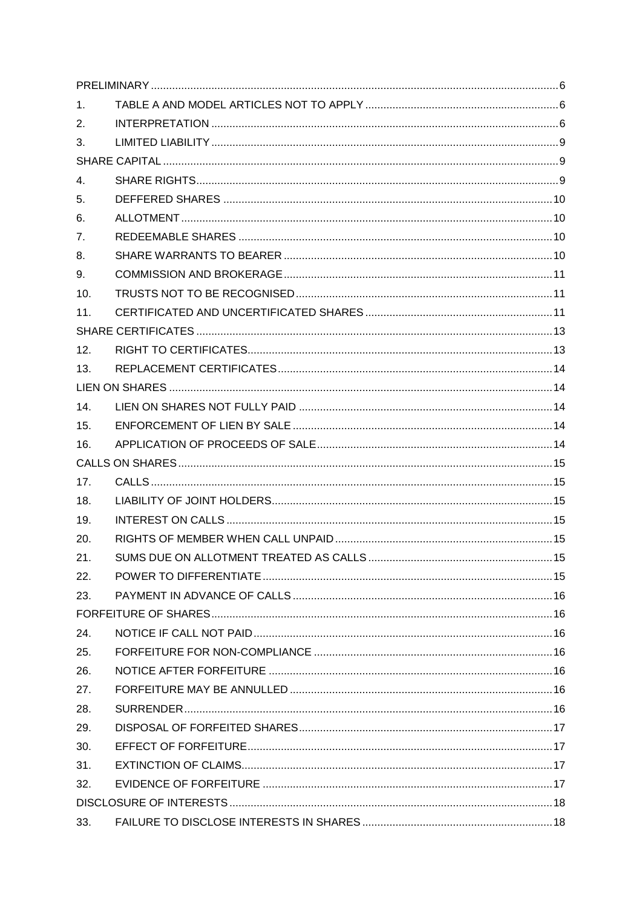| 1 <sub>1</sub> |  |
|----------------|--|
| 2.             |  |
| 3.             |  |
|                |  |
| 4.             |  |
| 5.             |  |
| 6.             |  |
| 7.             |  |
| 8.             |  |
| 9.             |  |
| 10.            |  |
| 11.            |  |
|                |  |
| 12.            |  |
| 13.            |  |
|                |  |
| 14.            |  |
| 15.            |  |
| 16.            |  |
|                |  |
| 17.            |  |
| 18.            |  |
| 19.            |  |
| 20.            |  |
| 21.            |  |
| 22.            |  |
| 23.            |  |
|                |  |
| 24.            |  |
| 25.            |  |
| 26.            |  |
| 27.            |  |
| 28.            |  |
| 29.            |  |
| 30.            |  |
| 31.            |  |
| 32.            |  |
|                |  |
| 33.            |  |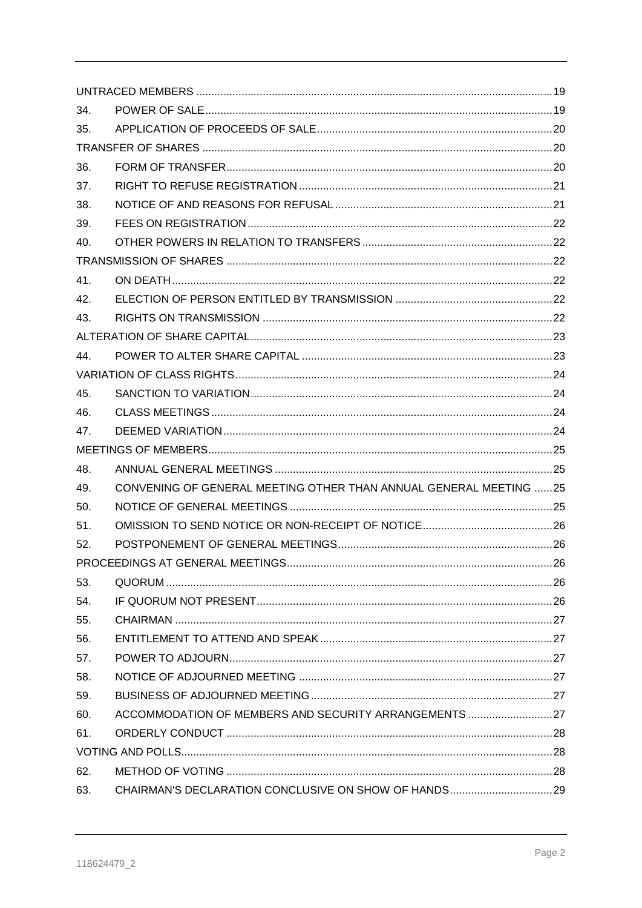| 34. |                                                                   |    |
|-----|-------------------------------------------------------------------|----|
| 35. |                                                                   |    |
|     |                                                                   |    |
| 36. |                                                                   |    |
| 37. |                                                                   |    |
| 38. |                                                                   |    |
| 39. |                                                                   |    |
| 40. |                                                                   |    |
|     |                                                                   |    |
| 41. |                                                                   |    |
| 42. |                                                                   |    |
| 43. |                                                                   |    |
|     |                                                                   |    |
| 44. |                                                                   |    |
|     |                                                                   |    |
| 45. |                                                                   |    |
| 46. |                                                                   |    |
| 47. |                                                                   |    |
|     |                                                                   |    |
| 48. |                                                                   |    |
| 49. | CONVENING OF GENERAL MEETING OTHER THAN ANNUAL GENERAL MEETING 25 |    |
| 50. |                                                                   |    |
| 51. |                                                                   |    |
| 52. |                                                                   |    |
|     | PROCEEDINGS AT GENERAL MEETINGS                                   | 26 |
| 53. |                                                                   |    |
| 54. |                                                                   |    |
| 55. |                                                                   |    |
| 56. |                                                                   |    |
| 57. |                                                                   |    |
| 58. |                                                                   |    |
| 59. |                                                                   |    |
| 60. | ACCOMMODATION OF MEMBERS AND SECURITY ARRANGEMENTS 27             |    |
| 61. |                                                                   |    |
|     |                                                                   |    |
| 62. |                                                                   |    |
| 63. |                                                                   |    |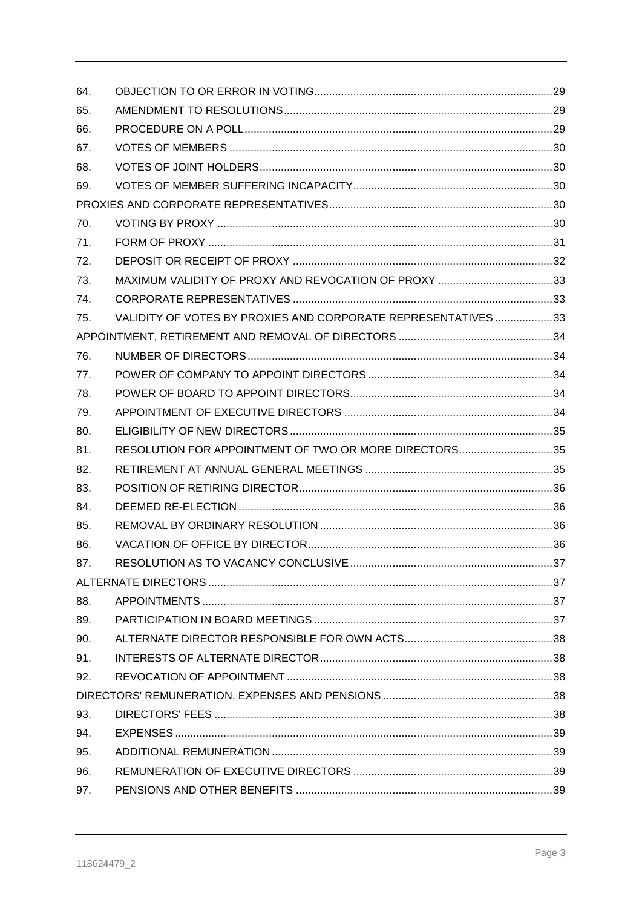| 64. |                                                               |    |
|-----|---------------------------------------------------------------|----|
| 65. |                                                               |    |
| 66. |                                                               |    |
| 67. |                                                               |    |
| 68. |                                                               |    |
| 69. |                                                               |    |
|     |                                                               |    |
| 70. |                                                               |    |
| 71. |                                                               |    |
| 72. |                                                               |    |
| 73. |                                                               |    |
| 74. |                                                               |    |
| 75. | VALIDITY OF VOTES BY PROXIES AND CORPORATE REPRESENTATIVES 33 |    |
|     |                                                               |    |
| 76. |                                                               |    |
| 77. |                                                               |    |
| 78. |                                                               |    |
| 79. |                                                               |    |
| 80. |                                                               |    |
| 81. | RESOLUTION FOR APPOINTMENT OF TWO OR MORE DIRECTORS35         |    |
| 82. |                                                               |    |
| 83. |                                                               |    |
| 84. |                                                               |    |
| 85. |                                                               |    |
| 86. |                                                               |    |
| 87. | RESOLUTION AS TO VACANCY CONCLUSIVE                           | 37 |
|     |                                                               |    |
| 88. |                                                               |    |
| 89. |                                                               |    |
| 90. |                                                               |    |
| 91. |                                                               |    |
| 92. |                                                               |    |
|     |                                                               |    |
| 93. |                                                               |    |
| 94. |                                                               |    |
| 95. |                                                               |    |
| 96. |                                                               |    |
| 97. |                                                               |    |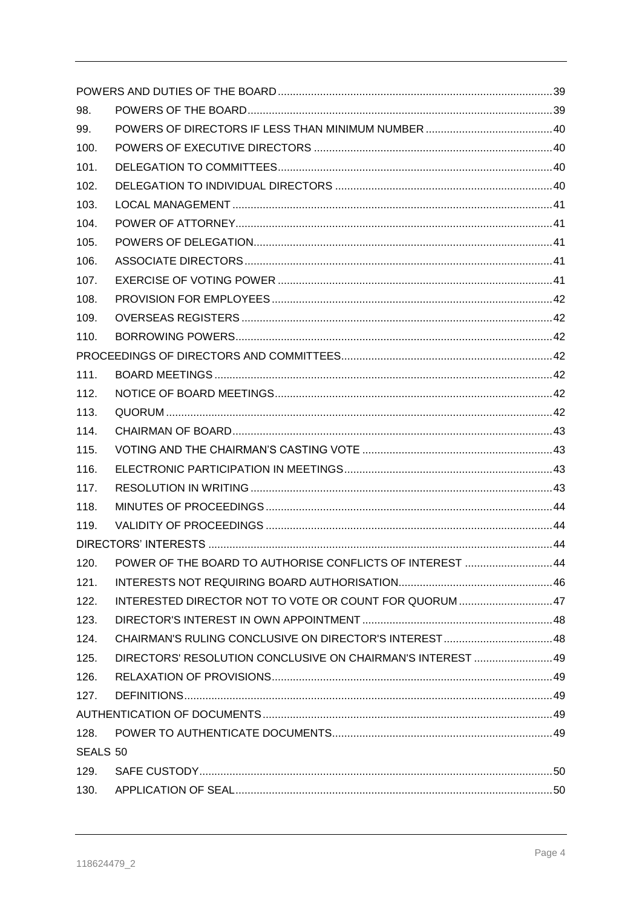| 98.      |                                                               |  |
|----------|---------------------------------------------------------------|--|
| 99.      |                                                               |  |
| 100.     |                                                               |  |
| 101.     |                                                               |  |
| 102.     |                                                               |  |
| 103.     |                                                               |  |
| 104.     |                                                               |  |
| 105.     |                                                               |  |
| 106.     |                                                               |  |
| 107.     |                                                               |  |
| 108.     |                                                               |  |
| 109.     |                                                               |  |
| 110.     |                                                               |  |
|          |                                                               |  |
| 111.     |                                                               |  |
| 112.     |                                                               |  |
| 113.     |                                                               |  |
| 114.     |                                                               |  |
| 115.     |                                                               |  |
| 116.     |                                                               |  |
| 117.     |                                                               |  |
| 118.     |                                                               |  |
| 119.     |                                                               |  |
|          |                                                               |  |
|          | 120. POWER OF THE BOARD TO AUTHORISE CONFLICTS OF INTEREST 44 |  |
| 121.     |                                                               |  |
| 122.     | INTERESTED DIRECTOR NOT TO VOTE OR COUNT FOR QUORUM  47       |  |
| 123.     |                                                               |  |
| 124.     |                                                               |  |
| 125.     | DIRECTORS' RESOLUTION CONCLUSIVE ON CHAIRMAN'S INTEREST 49    |  |
| 126.     |                                                               |  |
| 127.     |                                                               |  |
|          |                                                               |  |
| 128.     |                                                               |  |
| SEALS 50 |                                                               |  |
| 129.     |                                                               |  |
| 130.     |                                                               |  |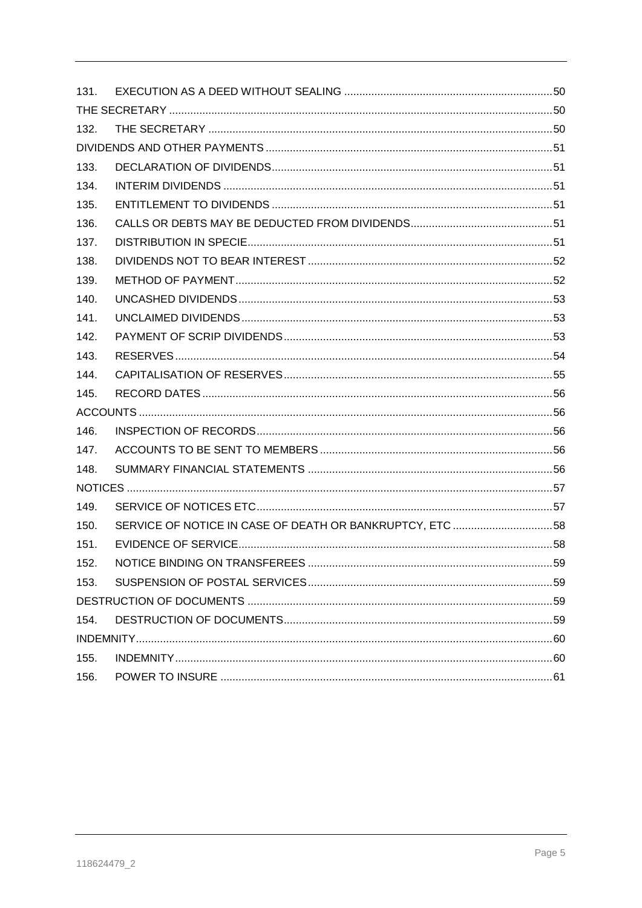| 131. |                                                          |    |
|------|----------------------------------------------------------|----|
|      |                                                          |    |
| 132. |                                                          |    |
|      |                                                          |    |
| 133. |                                                          |    |
| 134. |                                                          |    |
| 135. |                                                          |    |
| 136. |                                                          |    |
| 137. |                                                          |    |
| 138. |                                                          |    |
| 139. |                                                          |    |
| 140. |                                                          |    |
| 141. |                                                          |    |
| 142. |                                                          |    |
| 143. |                                                          |    |
| 144. |                                                          |    |
| 145. |                                                          |    |
|      |                                                          |    |
| 146. |                                                          |    |
| 147. |                                                          |    |
| 148. |                                                          |    |
|      |                                                          |    |
| 149. |                                                          |    |
| 150. | SERVICE OF NOTICE IN CASE OF DEATH OR BANKRUPTCY, ETC 58 |    |
| 151. |                                                          |    |
| 152  | NOTICE BINDING ON TRANSFEREES.                           | 59 |
| 153. |                                                          |    |
|      |                                                          |    |
| 154. |                                                          |    |
|      |                                                          |    |
|      |                                                          |    |
| 155. |                                                          |    |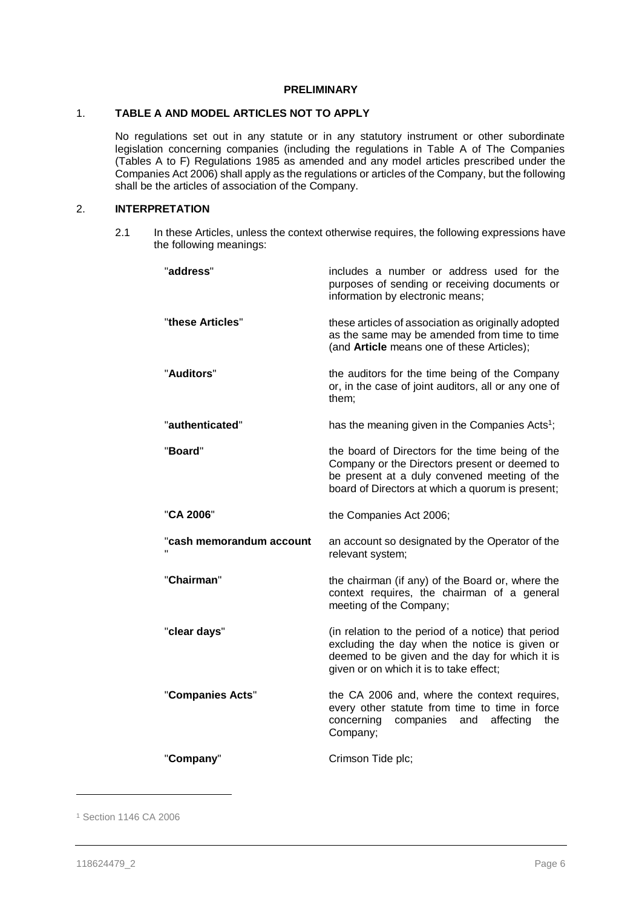# **PRELIMINARY**

# 1. **TABLE A AND MODEL ARTICLES NOT TO APPLY**

No regulations set out in any statute or in any statutory instrument or other subordinate legislation concerning companies (including the regulations in Table A of The Companies (Tables A to F) Regulations 1985 as amended and any model articles prescribed under the Companies Act 2006) shall apply as the regulations or articles of the Company, but the following shall be the articles of association of the Company.

# 2. **INTERPRETATION**

2.1 In these Articles, unless the context otherwise requires, the following expressions have the following meanings:

| "address"                | includes a number or address used for the<br>purposes of sending or receiving documents or<br>information by electronic means;                                                                        |
|--------------------------|-------------------------------------------------------------------------------------------------------------------------------------------------------------------------------------------------------|
| "these Articles"         | these articles of association as originally adopted<br>as the same may be amended from time to time<br>(and Article means one of these Articles);                                                     |
| "Auditors"               | the auditors for the time being of the Company<br>or, in the case of joint auditors, all or any one of<br>them;                                                                                       |
| "authenticated"          | has the meaning given in the Companies Acts <sup>1</sup> ;                                                                                                                                            |
| "Board"                  | the board of Directors for the time being of the<br>Company or the Directors present or deemed to<br>be present at a duly convened meeting of the<br>board of Directors at which a quorum is present; |
| "CA 2006"                | the Companies Act 2006;                                                                                                                                                                               |
| "cash memorandum account | an account so designated by the Operator of the<br>relevant system;                                                                                                                                   |
| "Chairman"               | the chairman (if any) of the Board or, where the<br>context requires, the chairman of a general<br>meeting of the Company;                                                                            |
| "clear days"             | (in relation to the period of a notice) that period<br>excluding the day when the notice is given or<br>deemed to be given and the day for which it is<br>given or on which it is to take effect;     |
| "Companies Acts"         | the CA 2006 and, where the context requires,<br>every other statute from time to time in force<br>concerning<br>companies<br>affecting<br>the<br>and<br>Company;                                      |
| "Company"                | Crimson Tide plc;                                                                                                                                                                                     |

<sup>1</sup> Section 1146 CA 2006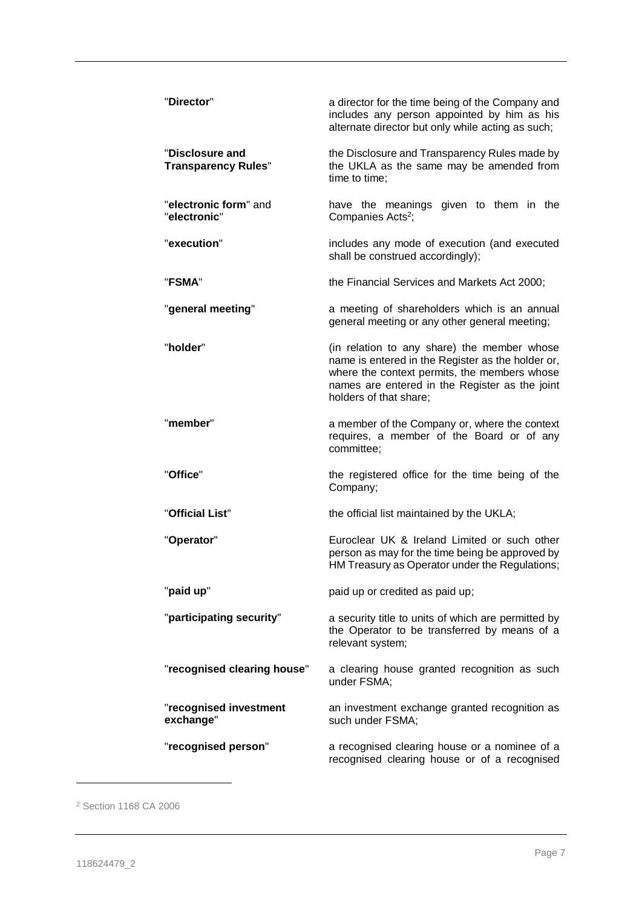| "Director"                                    | a director for the time being of the Company and<br>includes any person appointed by him as his<br>alternate director but only while acting as such;                                                                         |
|-----------------------------------------------|------------------------------------------------------------------------------------------------------------------------------------------------------------------------------------------------------------------------------|
| "Disclosure and<br><b>Transparency Rules"</b> | the Disclosure and Transparency Rules made by<br>the UKLA as the same may be amended from<br>time to time;                                                                                                                   |
| "electronic form" and<br>"electronic"         | have the meanings given to them in the<br>Companies Acts <sup>2</sup> ;                                                                                                                                                      |
| "execution"                                   | includes any mode of execution (and executed<br>shall be construed accordingly);                                                                                                                                             |
| "FSMA"                                        | the Financial Services and Markets Act 2000;                                                                                                                                                                                 |
| "general meeting"                             | a meeting of shareholders which is an annual<br>general meeting or any other general meeting;                                                                                                                                |
| "holder"                                      | (in relation to any share) the member whose<br>name is entered in the Register as the holder or,<br>where the context permits, the members whose<br>names are entered in the Register as the joint<br>holders of that share; |
| "member"                                      | a member of the Company or, where the context<br>requires, a member of the Board or of any<br>committee;                                                                                                                     |
| "Office"                                      | the registered office for the time being of the<br>Company;                                                                                                                                                                  |
| "Official List"                               | the official list maintained by the UKLA;                                                                                                                                                                                    |
| "Operator"                                    | Euroclear UK & Ireland Limited or such other<br>person as may for the time being be approved by<br>HM Treasury as Operator under the Regulations;                                                                            |
| "paid up"                                     | paid up or credited as paid up;                                                                                                                                                                                              |
| "participating security"                      | a security title to units of which are permitted by<br>the Operator to be transferred by means of a<br>relevant system;                                                                                                      |
| "recognised clearing house"                   | a clearing house granted recognition as such<br>under FSMA;                                                                                                                                                                  |
| "recognised investment<br>exchange"           | an investment exchange granted recognition as<br>such under FSMA;                                                                                                                                                            |
| "recognised person"                           | a recognised clearing house or a nominee of a<br>recognised clearing house or of a recognised                                                                                                                                |

<sup>2</sup> Section 1168 CA 2006

 $\overline{\phantom{0}}$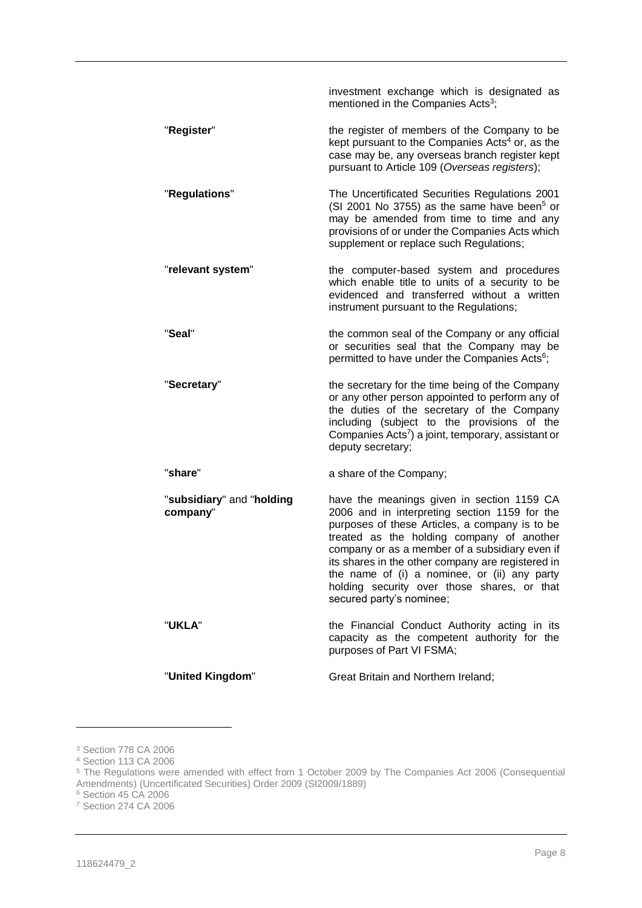|                                       | investment exchange which is designated as<br>mentioned in the Companies Acts <sup>3</sup> ;                                                                                                                                                                                                                                                                                                                                 |
|---------------------------------------|------------------------------------------------------------------------------------------------------------------------------------------------------------------------------------------------------------------------------------------------------------------------------------------------------------------------------------------------------------------------------------------------------------------------------|
| "Register"                            | the register of members of the Company to be<br>kept pursuant to the Companies Acts <sup>4</sup> or, as the<br>case may be, any overseas branch register kept<br>pursuant to Article 109 (Overseas registers);                                                                                                                                                                                                               |
| "Regulations"                         | The Uncertificated Securities Regulations 2001<br>(SI 2001 No 3755) as the same have been <sup>5</sup> or<br>may be amended from time to time and any<br>provisions of or under the Companies Acts which<br>supplement or replace such Regulations;                                                                                                                                                                          |
| "relevant system"                     | the computer-based system and procedures<br>which enable title to units of a security to be<br>evidenced and transferred without a written<br>instrument pursuant to the Regulations;                                                                                                                                                                                                                                        |
| "Seal"                                | the common seal of the Company or any official<br>or securities seal that the Company may be<br>permitted to have under the Companies Acts <sup>6</sup> ;                                                                                                                                                                                                                                                                    |
| "Secretary"                           | the secretary for the time being of the Company<br>or any other person appointed to perform any of<br>the duties of the secretary of the Company<br>including (subject to the provisions of the<br>Companies Acts <sup>7</sup> ) a joint, temporary, assistant or<br>deputy secretary;                                                                                                                                       |
| "share"                               | a share of the Company;                                                                                                                                                                                                                                                                                                                                                                                                      |
| "subsidiary" and "holding<br>company" | have the meanings given in section 1159 CA<br>2006 and in interpreting section 1159 for the<br>purposes of these Articles, a company is to be<br>treated as the holding company of another<br>company or as a member of a subsidiary even if<br>its shares in the other company are registered in<br>the name of (i) a nominee, or (ii) any party<br>holding security over those shares, or that<br>secured party's nominee; |
| "UKLA"                                | the Financial Conduct Authority acting in its<br>capacity as the competent authority for the<br>purposes of Part VI FSMA;                                                                                                                                                                                                                                                                                                    |
| "United Kingdom"                      | Great Britain and Northern Ireland;                                                                                                                                                                                                                                                                                                                                                                                          |

<sup>3</sup> Section 778 CA 2006

<sup>4</sup> Section 113 CA 2006

<sup>&</sup>lt;sup>5</sup> The Regulations were amended with effect from 1 October 2009 by The Companies Act 2006 (Consequential Amendments) (Uncertificated Securities) Order 2009 (SI2009/1889)

<sup>6</sup> Section 45 CA 2006

<sup>7</sup> Section 274 CA 2006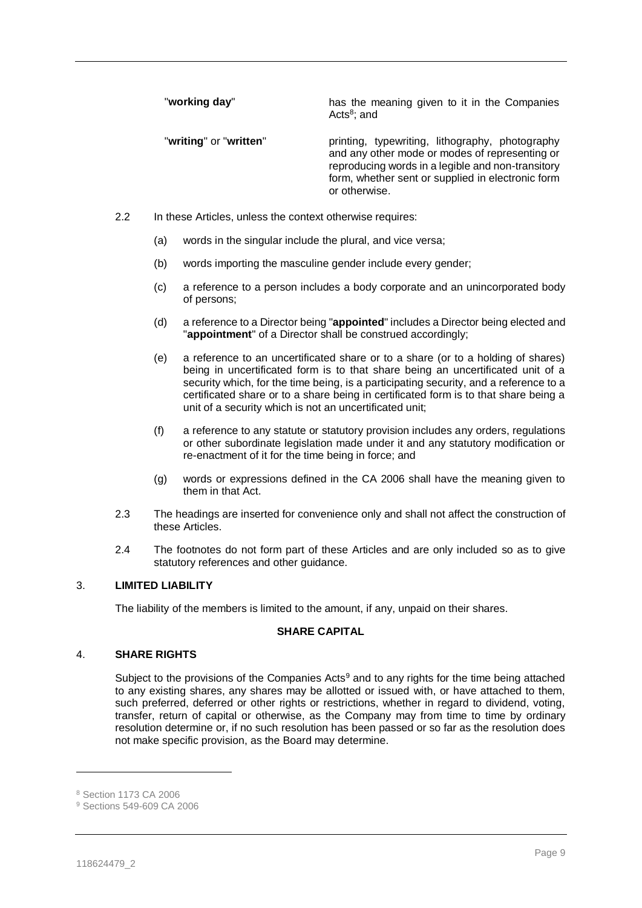"**working day**" has the meaning given to it in the Companies Acts<sup>8</sup>; and

"**writing**" or "**written**" printing, typewriting, lithography, photography and any other mode or modes of representing or reproducing words in a legible and non-transitory form, whether sent or supplied in electronic form or otherwise.

- 2.2 In these Articles, unless the context otherwise requires:
	- (a) words in the singular include the plural, and vice versa;
	- (b) words importing the masculine gender include every gender;
	- (c) a reference to a person includes a body corporate and an unincorporated body of persons;
	- (d) a reference to a Director being "**appointed**" includes a Director being elected and "**appointment**" of a Director shall be construed accordingly;
	- (e) a reference to an uncertificated share or to a share (or to a holding of shares) being in uncertificated form is to that share being an uncertificated unit of a security which, for the time being, is a participating security, and a reference to a certificated share or to a share being in certificated form is to that share being a unit of a security which is not an uncertificated unit;
	- (f) a reference to any statute or statutory provision includes any orders, regulations or other subordinate legislation made under it and any statutory modification or re-enactment of it for the time being in force; and
	- (g) words or expressions defined in the CA 2006 shall have the meaning given to them in that Act.
- 2.3 The headings are inserted for convenience only and shall not affect the construction of these Articles.
- 2.4 The footnotes do not form part of these Articles and are only included so as to give statutory references and other guidance.

# 3. **LIMITED LIABILITY**

The liability of the members is limited to the amount, if any, unpaid on their shares.

# **SHARE CAPITAL**

#### 4. **SHARE RIGHTS**

Subject to the provisions of the Companies Acts<sup>9</sup> and to any rights for the time being attached to any existing shares, any shares may be allotted or issued with, or have attached to them, such preferred, deferred or other rights or restrictions, whether in regard to dividend, voting, transfer, return of capital or otherwise, as the Company may from time to time by ordinary resolution determine or, if no such resolution has been passed or so far as the resolution does not make specific provision, as the Board may determine.

<sup>8</sup> Section 1173 CA 2006

<sup>9</sup> Sections 549-609 CA 2006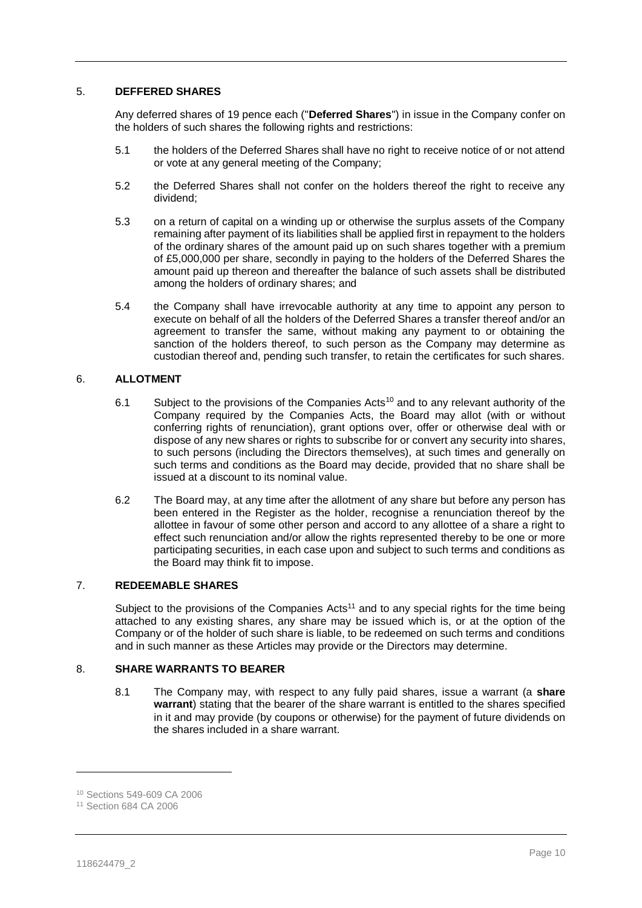# 5. **DEFFERED SHARES**

Any deferred shares of 19 pence each ("**Deferred Shares**") in issue in the Company confer on the holders of such shares the following rights and restrictions:

- 5.1 the holders of the Deferred Shares shall have no right to receive notice of or not attend or vote at any general meeting of the Company;
- 5.2 the Deferred Shares shall not confer on the holders thereof the right to receive any dividend;
- 5.3 on a return of capital on a winding up or otherwise the surplus assets of the Company remaining after payment of its liabilities shall be applied first in repayment to the holders of the ordinary shares of the amount paid up on such shares together with a premium of £5,000,000 per share, secondly in paying to the holders of the Deferred Shares the amount paid up thereon and thereafter the balance of such assets shall be distributed among the holders of ordinary shares; and
- 5.4 the Company shall have irrevocable authority at any time to appoint any person to execute on behalf of all the holders of the Deferred Shares a transfer thereof and/or an agreement to transfer the same, without making any payment to or obtaining the sanction of the holders thereof, to such person as the Company may determine as custodian thereof and, pending such transfer, to retain the certificates for such shares.

# 6. **ALLOTMENT**

- 6.1 Subject to the provisions of the Companies Acts<sup>10</sup> and to any relevant authority of the Company required by the Companies Acts, the Board may allot (with or without conferring rights of renunciation), grant options over, offer or otherwise deal with or dispose of any new shares or rights to subscribe for or convert any security into shares, to such persons (including the Directors themselves), at such times and generally on such terms and conditions as the Board may decide, provided that no share shall be issued at a discount to its nominal value.
- 6.2 The Board may, at any time after the allotment of any share but before any person has been entered in the Register as the holder, recognise a renunciation thereof by the allottee in favour of some other person and accord to any allottee of a share a right to effect such renunciation and/or allow the rights represented thereby to be one or more participating securities, in each case upon and subject to such terms and conditions as the Board may think fit to impose.

# 7. **REDEEMABLE SHARES**

Subject to the provisions of the Companies Acts<sup>11</sup> and to any special rights for the time being attached to any existing shares, any share may be issued which is, or at the option of the Company or of the holder of such share is liable, to be redeemed on such terms and conditions and in such manner as these Articles may provide or the Directors may determine.

# <span id="page-10-0"></span>8. **SHARE WARRANTS TO BEARER**

8.1 The Company may, with respect to any fully paid shares, issue a warrant (a **share warrant**) stating that the bearer of the share warrant is entitled to the shares specified in it and may provide (by coupons or otherwise) for the payment of future dividends on the shares included in a share warrant.

<sup>10</sup> Sections 549-609 CA 2006

<sup>11</sup> Section 684 CA 2006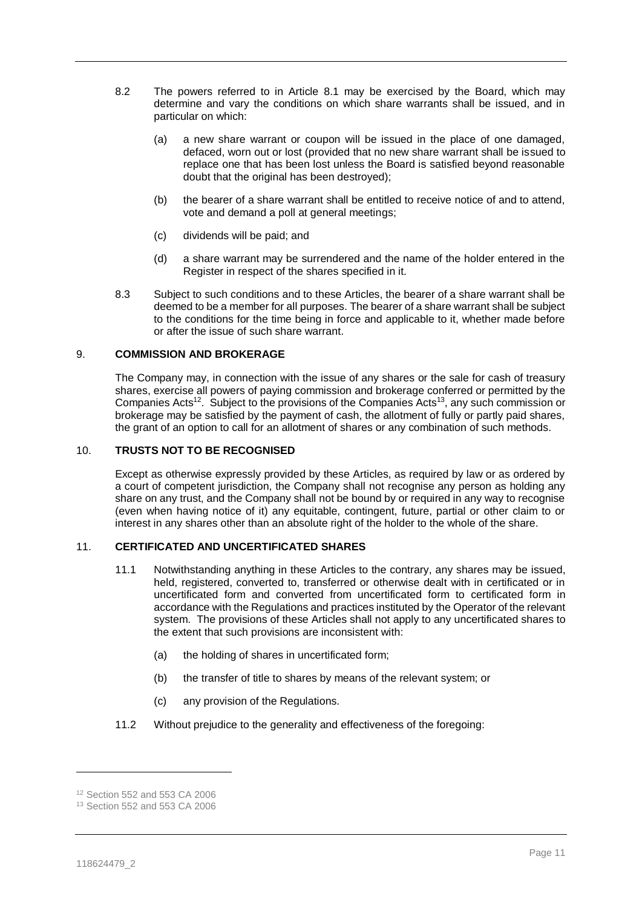- 8.2 The powers referred to in Article [8.1](#page-10-0) may be exercised by the Board, which may determine and vary the conditions on which share warrants shall be issued, and in particular on which:
	- (a) a new share warrant or coupon will be issued in the place of one damaged, defaced, worn out or lost (provided that no new share warrant shall be issued to replace one that has been lost unless the Board is satisfied beyond reasonable doubt that the original has been destroyed);
	- (b) the bearer of a share warrant shall be entitled to receive notice of and to attend, vote and demand a poll at general meetings;
	- (c) dividends will be paid; and
	- (d) a share warrant may be surrendered and the name of the holder entered in the Register in respect of the shares specified in it.
- 8.3 Subject to such conditions and to these Articles, the bearer of a share warrant shall be deemed to be a member for all purposes. The bearer of a share warrant shall be subject to the conditions for the time being in force and applicable to it, whether made before or after the issue of such share warrant.

#### 9. **COMMISSION AND BROKERAGE**

The Company may, in connection with the issue of any shares or the sale for cash of treasury shares, exercise all powers of paying commission and brokerage conferred or permitted by the Companies Acts<sup>12</sup>. Subject to the provisions of the Companies Acts<sup>13</sup>, any such commission or brokerage may be satisfied by the payment of cash, the allotment of fully or partly paid shares, the grant of an option to call for an allotment of shares or any combination of such methods.

#### 10. **TRUSTS NOT TO BE RECOGNISED**

Except as otherwise expressly provided by these Articles, as required by law or as ordered by a court of competent jurisdiction, the Company shall not recognise any person as holding any share on any trust, and the Company shall not be bound by or required in any way to recognise (even when having notice of it) any equitable, contingent, future, partial or other claim to or interest in any shares other than an absolute right of the holder to the whole of the share.

#### 11. **CERTIFICATED AND UNCERTIFICATED SHARES**

- 11.1 Notwithstanding anything in these Articles to the contrary, any shares may be issued, held, registered, converted to, transferred or otherwise dealt with in certificated or in uncertificated form and converted from uncertificated form to certificated form in accordance with the Regulations and practices instituted by the Operator of the relevant system. The provisions of these Articles shall not apply to any uncertificated shares to the extent that such provisions are inconsistent with:
	- (a) the holding of shares in uncertificated form;
	- (b) the transfer of title to shares by means of the relevant system; or
	- (c) any provision of the Regulations.
- <span id="page-11-0"></span>11.2 Without prejudice to the generality and effectiveness of the foregoing:

<sup>12</sup> Section 552 and 553 CA 2006

<sup>13</sup> Section 552 and 553 CA 2006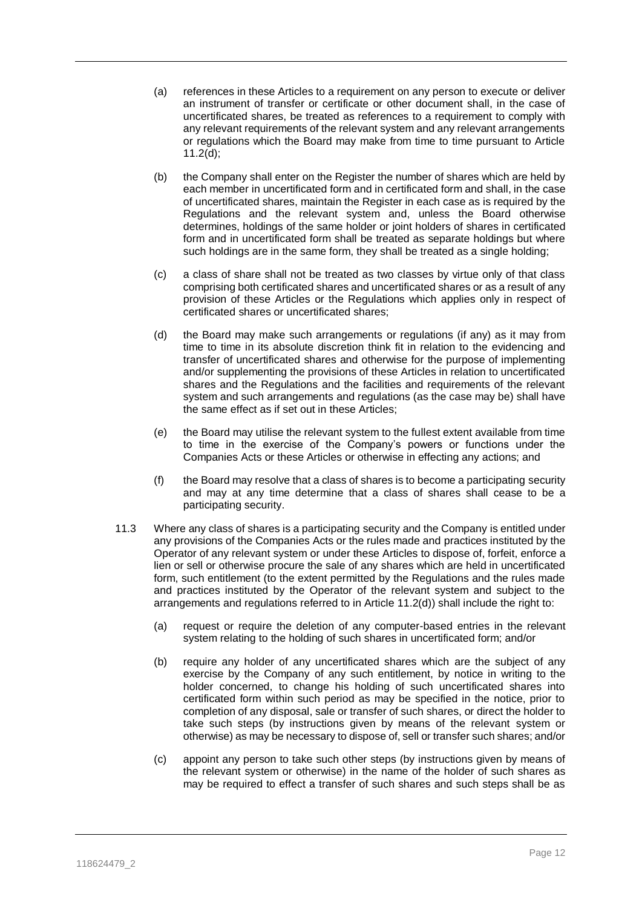- (a) references in these Articles to a requirement on any person to execute or deliver an instrument of transfer or certificate or other document shall, in the case of uncertificated shares, be treated as references to a requirement to comply with any relevant requirements of the relevant system and any relevant arrangements or regulations which the Board may make from time to time pursuant to Article [11.2\(d\);](#page-11-0)
- (b) the Company shall enter on the Register the number of shares which are held by each member in uncertificated form and in certificated form and shall, in the case of uncertificated shares, maintain the Register in each case as is required by the Regulations and the relevant system and, unless the Board otherwise determines, holdings of the same holder or joint holders of shares in certificated form and in uncertificated form shall be treated as separate holdings but where such holdings are in the same form, they shall be treated as a single holding;
- (c) a class of share shall not be treated as two classes by virtue only of that class comprising both certificated shares and uncertificated shares or as a result of any provision of these Articles or the Regulations which applies only in respect of certificated shares or uncertificated shares;
- <span id="page-12-0"></span>(d) the Board may make such arrangements or regulations (if any) as it may from time to time in its absolute discretion think fit in relation to the evidencing and transfer of uncertificated shares and otherwise for the purpose of implementing and/or supplementing the provisions of these Articles in relation to uncertificated shares and the Regulations and the facilities and requirements of the relevant system and such arrangements and regulations (as the case may be) shall have the same effect as if set out in these Articles;
- (e) the Board may utilise the relevant system to the fullest extent available from time to time in the exercise of the Company's powers or functions under the Companies Acts or these Articles or otherwise in effecting any actions; and
- (f) the Board may resolve that a class of shares is to become a participating security and may at any time determine that a class of shares shall cease to be a participating security.
- 11.3 Where any class of shares is a participating security and the Company is entitled under any provisions of the Companies Acts or the rules made and practices instituted by the Operator of any relevant system or under these Articles to dispose of, forfeit, enforce a lien or sell or otherwise procure the sale of any shares which are held in uncertificated form, such entitlement (to the extent permitted by the Regulations and the rules made and practices instituted by the Operator of the relevant system and subject to the arrangements and regulations referred to in Article [11.2\(d\)\)](#page-12-0) shall include the right to:
	- (a) request or require the deletion of any computer-based entries in the relevant system relating to the holding of such shares in uncertificated form; and/or
	- (b) require any holder of any uncertificated shares which are the subject of any exercise by the Company of any such entitlement, by notice in writing to the holder concerned, to change his holding of such uncertificated shares into certificated form within such period as may be specified in the notice, prior to completion of any disposal, sale or transfer of such shares, or direct the holder to take such steps (by instructions given by means of the relevant system or otherwise) as may be necessary to dispose of, sell or transfer such shares; and/or
	- (c) appoint any person to take such other steps (by instructions given by means of the relevant system or otherwise) in the name of the holder of such shares as may be required to effect a transfer of such shares and such steps shall be as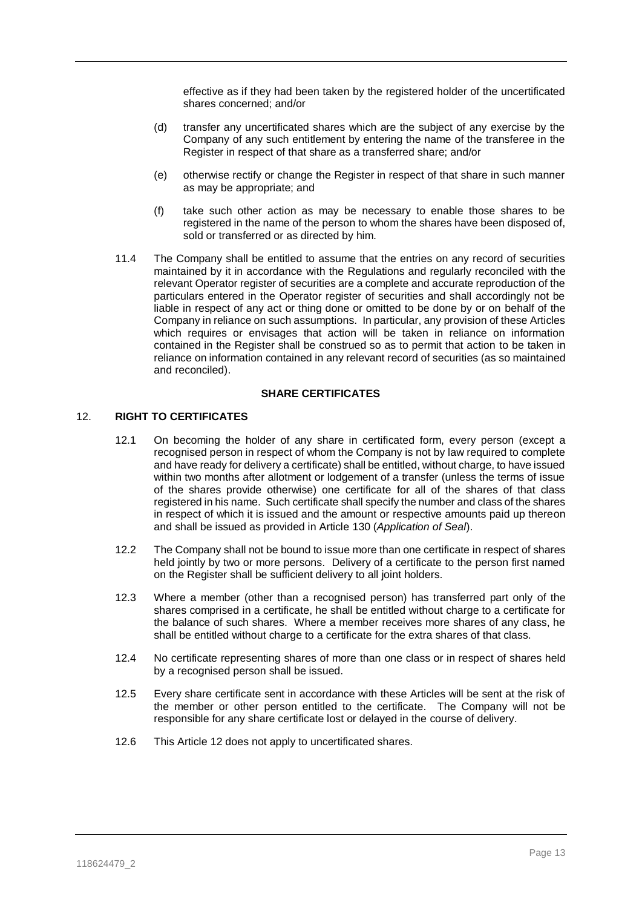effective as if they had been taken by the registered holder of the uncertificated shares concerned; and/or

- (d) transfer any uncertificated shares which are the subject of any exercise by the Company of any such entitlement by entering the name of the transferee in the Register in respect of that share as a transferred share; and/or
- (e) otherwise rectify or change the Register in respect of that share in such manner as may be appropriate; and
- (f) take such other action as may be necessary to enable those shares to be registered in the name of the person to whom the shares have been disposed of, sold or transferred or as directed by him.
- 11.4 The Company shall be entitled to assume that the entries on any record of securities maintained by it in accordance with the Regulations and regularly reconciled with the relevant Operator register of securities are a complete and accurate reproduction of the particulars entered in the Operator register of securities and shall accordingly not be liable in respect of any act or thing done or omitted to be done by or on behalf of the Company in reliance on such assumptions. In particular, any provision of these Articles which requires or envisages that action will be taken in reliance on information contained in the Register shall be construed so as to permit that action to be taken in reliance on information contained in any relevant record of securities (as so maintained and reconciled).

#### **SHARE CERTIFICATES**

### <span id="page-13-0"></span>12. **RIGHT TO CERTIFICATES**

- 12.1 On becoming the holder of any share in certificated form, every person (except a recognised person in respect of whom the Company is not by law required to complete and have ready for delivery a certificate) shall be entitled, without charge, to have issued within two months after allotment or lodgement of a transfer (unless the terms of issue of the shares provide otherwise) one certificate for all of the shares of that class registered in his name. Such certificate shall specify the number and class of the shares in respect of which it is issued and the amount or respective amounts paid up thereon and shall be issued as provided in Article [130](#page-50-0) (*Application of Seal*).
- 12.2 The Company shall not be bound to issue more than one certificate in respect of shares held jointly by two or more persons. Delivery of a certificate to the person first named on the Register shall be sufficient delivery to all joint holders.
- 12.3 Where a member (other than a recognised person) has transferred part only of the shares comprised in a certificate, he shall be entitled without charge to a certificate for the balance of such shares. Where a member receives more shares of any class, he shall be entitled without charge to a certificate for the extra shares of that class.
- 12.4 No certificate representing shares of more than one class or in respect of shares held by a recognised person shall be issued.
- 12.5 Every share certificate sent in accordance with these Articles will be sent at the risk of the member or other person entitled to the certificate. The Company will not be responsible for any share certificate lost or delayed in the course of delivery.
- 12.6 This Article [12](#page-13-0) does not apply to uncertificated shares.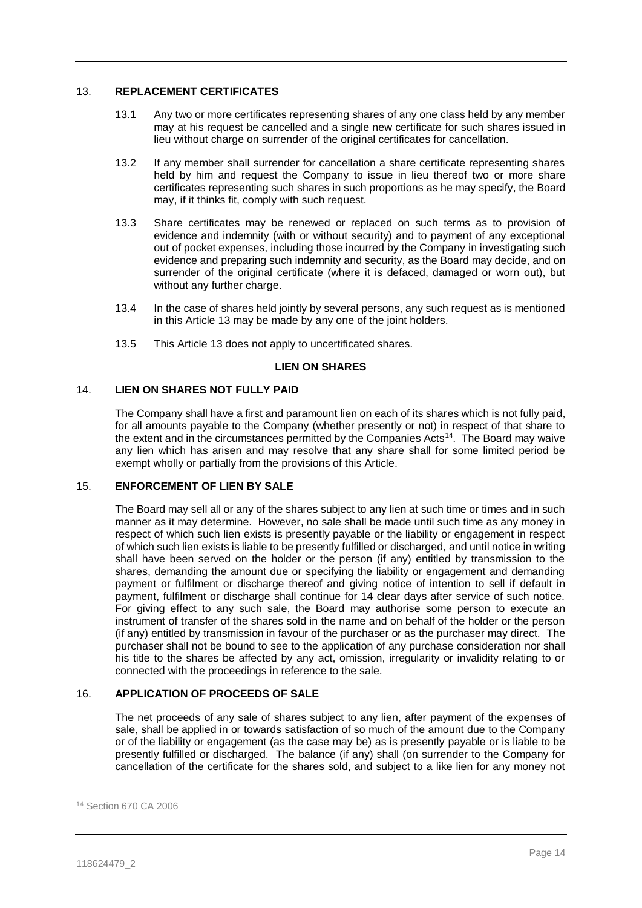# <span id="page-14-0"></span>13. **REPLACEMENT CERTIFICATES**

- 13.1 Any two or more certificates representing shares of any one class held by any member may at his request be cancelled and a single new certificate for such shares issued in lieu without charge on surrender of the original certificates for cancellation.
- 13.2 If any member shall surrender for cancellation a share certificate representing shares held by him and request the Company to issue in lieu thereof two or more share certificates representing such shares in such proportions as he may specify, the Board may, if it thinks fit, comply with such request.
- 13.3 Share certificates may be renewed or replaced on such terms as to provision of evidence and indemnity (with or without security) and to payment of any exceptional out of pocket expenses, including those incurred by the Company in investigating such evidence and preparing such indemnity and security, as the Board may decide, and on surrender of the original certificate (where it is defaced, damaged or worn out), but without any further charge.
- 13.4 In the case of shares held jointly by several persons, any such request as is mentioned in this Article [13](#page-14-0) may be made by any one of the joint holders.
- 13.5 This Article [13](#page-14-0) does not apply to uncertificated shares.

# **LIEN ON SHARES**

# 14. **LIEN ON SHARES NOT FULLY PAID**

The Company shall have a first and paramount lien on each of its shares which is not fully paid, for all amounts payable to the Company (whether presently or not) in respect of that share to the extent and in the circumstances permitted by the Companies Acts<sup>14</sup>. The Board may waive any lien which has arisen and may resolve that any share shall for some limited period be exempt wholly or partially from the provisions of this Article.

# <span id="page-14-1"></span>15. **ENFORCEMENT OF LIEN BY SALE**

The Board may sell all or any of the shares subject to any lien at such time or times and in such manner as it may determine. However, no sale shall be made until such time as any money in respect of which such lien exists is presently payable or the liability or engagement in respect of which such lien exists is liable to be presently fulfilled or discharged, and until notice in writing shall have been served on the holder or the person (if any) entitled by transmission to the shares, demanding the amount due or specifying the liability or engagement and demanding payment or fulfilment or discharge thereof and giving notice of intention to sell if default in payment, fulfilment or discharge shall continue for 14 clear days after service of such notice. For giving effect to any such sale, the Board may authorise some person to execute an instrument of transfer of the shares sold in the name and on behalf of the holder or the person (if any) entitled by transmission in favour of the purchaser or as the purchaser may direct. The purchaser shall not be bound to see to the application of any purchase consideration nor shall his title to the shares be affected by any act, omission, irregularity or invalidity relating to or connected with the proceedings in reference to the sale.

# 16. **APPLICATION OF PROCEEDS OF SALE**

The net proceeds of any sale of shares subject to any lien, after payment of the expenses of sale, shall be applied in or towards satisfaction of so much of the amount due to the Company or of the liability or engagement (as the case may be) as is presently payable or is liable to be presently fulfilled or discharged. The balance (if any) shall (on surrender to the Company for cancellation of the certificate for the shares sold, and subject to a like lien for any money not

<sup>14</sup> Section 670 CA 2006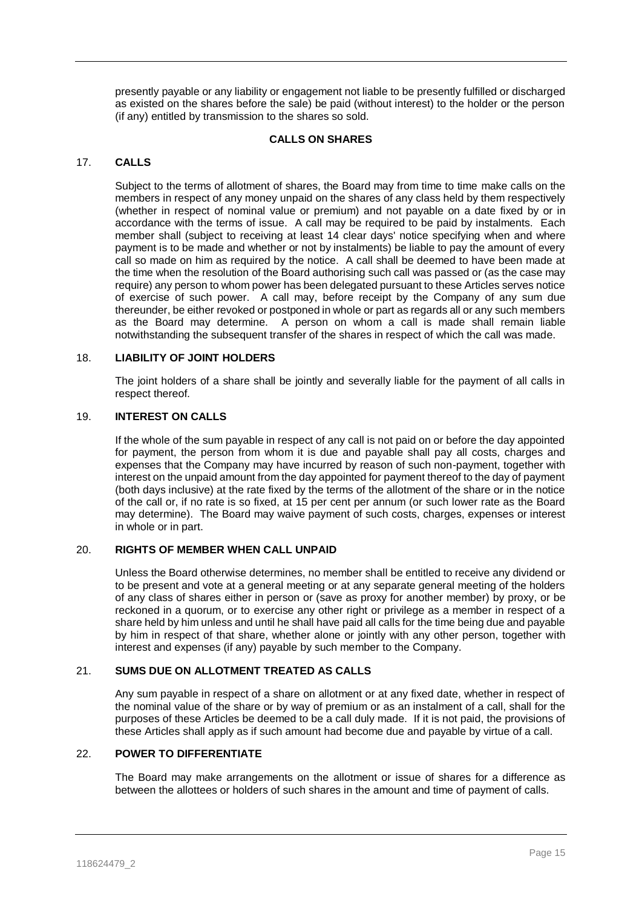presently payable or any liability or engagement not liable to be presently fulfilled or discharged as existed on the shares before the sale) be paid (without interest) to the holder or the person (if any) entitled by transmission to the shares so sold.

#### **CALLS ON SHARES**

# 17. **CALLS**

Subject to the terms of allotment of shares, the Board may from time to time make calls on the members in respect of any money unpaid on the shares of any class held by them respectively (whether in respect of nominal value or premium) and not payable on a date fixed by or in accordance with the terms of issue. A call may be required to be paid by instalments. Each member shall (subject to receiving at least 14 clear days' notice specifying when and where payment is to be made and whether or not by instalments) be liable to pay the amount of every call so made on him as required by the notice. A call shall be deemed to have been made at the time when the resolution of the Board authorising such call was passed or (as the case may require) any person to whom power has been delegated pursuant to these Articles serves notice of exercise of such power. A call may, before receipt by the Company of any sum due thereunder, be either revoked or postponed in whole or part as regards all or any such members as the Board may determine. A person on whom a call is made shall remain liable notwithstanding the subsequent transfer of the shares in respect of which the call was made.

## 18. **LIABILITY OF JOINT HOLDERS**

The joint holders of a share shall be jointly and severally liable for the payment of all calls in respect thereof.

# 19. **INTEREST ON CALLS**

If the whole of the sum payable in respect of any call is not paid on or before the day appointed for payment, the person from whom it is due and payable shall pay all costs, charges and expenses that the Company may have incurred by reason of such non-payment, together with interest on the unpaid amount from the day appointed for payment thereof to the day of payment (both days inclusive) at the rate fixed by the terms of the allotment of the share or in the notice of the call or, if no rate is so fixed, at 15 per cent per annum (or such lower rate as the Board may determine). The Board may waive payment of such costs, charges, expenses or interest in whole or in part.

# 20. **RIGHTS OF MEMBER WHEN CALL UNPAID**

Unless the Board otherwise determines, no member shall be entitled to receive any dividend or to be present and vote at a general meeting or at any separate general meeting of the holders of any class of shares either in person or (save as proxy for another member) by proxy, or be reckoned in a quorum, or to exercise any other right or privilege as a member in respect of a share held by him unless and until he shall have paid all calls for the time being due and payable by him in respect of that share, whether alone or jointly with any other person, together with interest and expenses (if any) payable by such member to the Company.

# 21. **SUMS DUE ON ALLOTMENT TREATED AS CALLS**

Any sum payable in respect of a share on allotment or at any fixed date, whether in respect of the nominal value of the share or by way of premium or as an instalment of a call, shall for the purposes of these Articles be deemed to be a call duly made. If it is not paid, the provisions of these Articles shall apply as if such amount had become due and payable by virtue of a call.

# 22. **POWER TO DIFFERENTIATE**

The Board may make arrangements on the allotment or issue of shares for a difference as between the allottees or holders of such shares in the amount and time of payment of calls.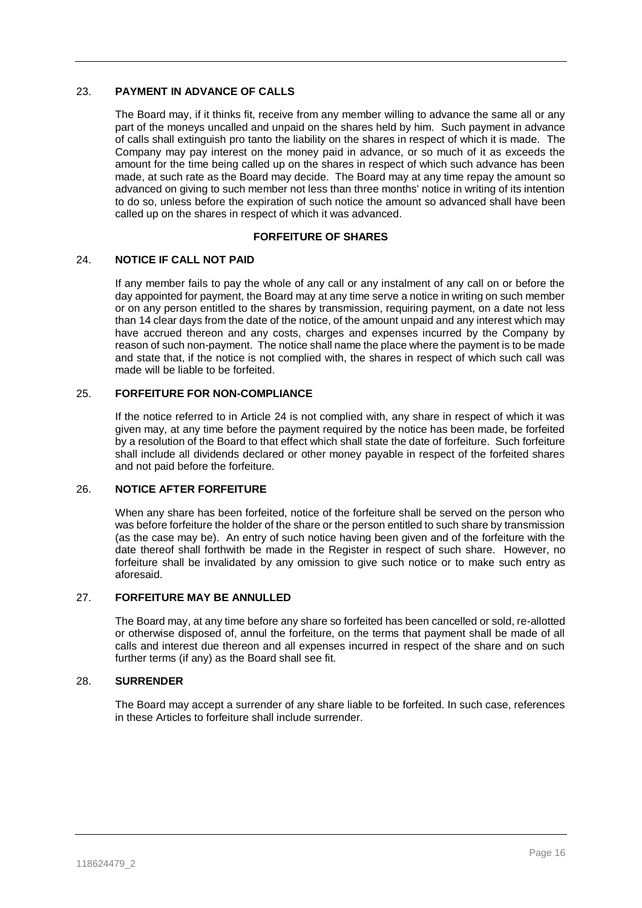# 23. **PAYMENT IN ADVANCE OF CALLS**

The Board may, if it thinks fit, receive from any member willing to advance the same all or any part of the moneys uncalled and unpaid on the shares held by him. Such payment in advance of calls shall extinguish pro tanto the liability on the shares in respect of which it is made. The Company may pay interest on the money paid in advance, or so much of it as exceeds the amount for the time being called up on the shares in respect of which such advance has been made, at such rate as the Board may decide. The Board may at any time repay the amount so advanced on giving to such member not less than three months' notice in writing of its intention to do so, unless before the expiration of such notice the amount so advanced shall have been called up on the shares in respect of which it was advanced.

# **FORFEITURE OF SHARES**

# <span id="page-16-0"></span>24. **NOTICE IF CALL NOT PAID**

If any member fails to pay the whole of any call or any instalment of any call on or before the day appointed for payment, the Board may at any time serve a notice in writing on such member or on any person entitled to the shares by transmission, requiring payment, on a date not less than 14 clear days from the date of the notice, of the amount unpaid and any interest which may have accrued thereon and any costs, charges and expenses incurred by the Company by reason of such non-payment. The notice shall name the place where the payment is to be made and state that, if the notice is not complied with, the shares in respect of which such call was made will be liable to be forfeited.

## 25. **FORFEITURE FOR NON-COMPLIANCE**

If the notice referred to in Article [24](#page-16-0) is not complied with, any share in respect of which it was given may, at any time before the payment required by the notice has been made, be forfeited by a resolution of the Board to that effect which shall state the date of forfeiture. Such forfeiture shall include all dividends declared or other money payable in respect of the forfeited shares and not paid before the forfeiture.

# 26. **NOTICE AFTER FORFEITURE**

When any share has been forfeited, notice of the forfeiture shall be served on the person who was before forfeiture the holder of the share or the person entitled to such share by transmission (as the case may be). An entry of such notice having been given and of the forfeiture with the date thereof shall forthwith be made in the Register in respect of such share. However, no forfeiture shall be invalidated by any omission to give such notice or to make such entry as aforesaid.

# 27. **FORFEITURE MAY BE ANNULLED**

The Board may, at any time before any share so forfeited has been cancelled or sold, re-allotted or otherwise disposed of, annul the forfeiture, on the terms that payment shall be made of all calls and interest due thereon and all expenses incurred in respect of the share and on such further terms (if any) as the Board shall see fit.

## 28. **SURRENDER**

The Board may accept a surrender of any share liable to be forfeited. In such case, references in these Articles to forfeiture shall include surrender.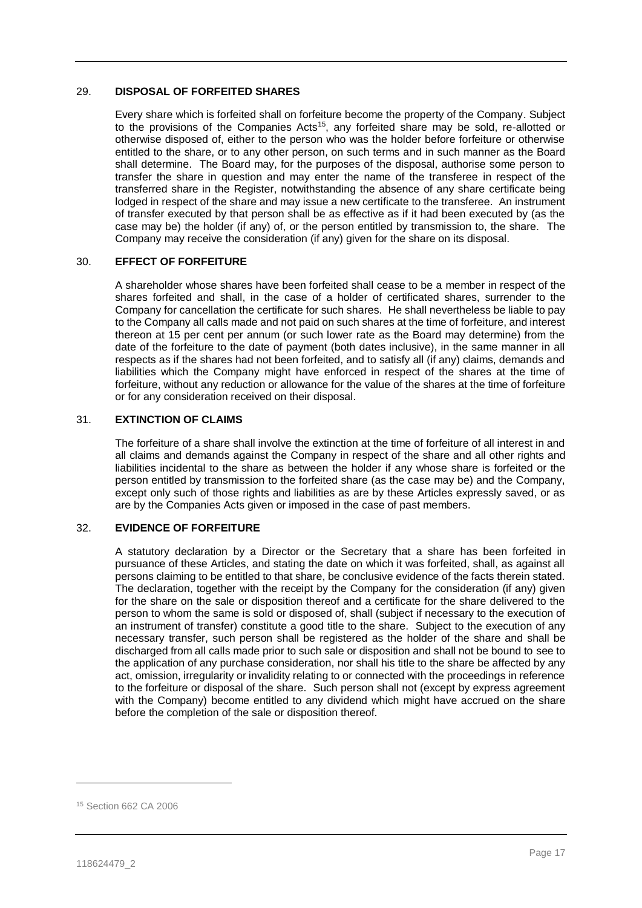# 29. **DISPOSAL OF FORFEITED SHARES**

Every share which is forfeited shall on forfeiture become the property of the Company. Subject to the provisions of the Companies Acts<sup>15</sup>, any forfeited share may be sold, re-allotted or otherwise disposed of, either to the person who was the holder before forfeiture or otherwise entitled to the share, or to any other person, on such terms and in such manner as the Board shall determine. The Board may, for the purposes of the disposal, authorise some person to transfer the share in question and may enter the name of the transferee in respect of the transferred share in the Register, notwithstanding the absence of any share certificate being lodged in respect of the share and may issue a new certificate to the transferee. An instrument of transfer executed by that person shall be as effective as if it had been executed by (as the case may be) the holder (if any) of, or the person entitled by transmission to, the share. The Company may receive the consideration (if any) given for the share on its disposal.

# 30. **EFFECT OF FORFEITURE**

A shareholder whose shares have been forfeited shall cease to be a member in respect of the shares forfeited and shall, in the case of a holder of certificated shares, surrender to the Company for cancellation the certificate for such shares. He shall nevertheless be liable to pay to the Company all calls made and not paid on such shares at the time of forfeiture, and interest thereon at 15 per cent per annum (or such lower rate as the Board may determine) from the date of the forfeiture to the date of payment (both dates inclusive), in the same manner in all respects as if the shares had not been forfeited, and to satisfy all (if any) claims, demands and liabilities which the Company might have enforced in respect of the shares at the time of forfeiture, without any reduction or allowance for the value of the shares at the time of forfeiture or for any consideration received on their disposal.

# 31. **EXTINCTION OF CLAIMS**

The forfeiture of a share shall involve the extinction at the time of forfeiture of all interest in and all claims and demands against the Company in respect of the share and all other rights and liabilities incidental to the share as between the holder if any whose share is forfeited or the person entitled by transmission to the forfeited share (as the case may be) and the Company, except only such of those rights and liabilities as are by these Articles expressly saved, or as are by the Companies Acts given or imposed in the case of past members.

# 32. **EVIDENCE OF FORFEITURE**

A statutory declaration by a Director or the Secretary that a share has been forfeited in pursuance of these Articles, and stating the date on which it was forfeited, shall, as against all persons claiming to be entitled to that share, be conclusive evidence of the facts therein stated. The declaration, together with the receipt by the Company for the consideration (if any) given for the share on the sale or disposition thereof and a certificate for the share delivered to the person to whom the same is sold or disposed of, shall (subject if necessary to the execution of an instrument of transfer) constitute a good title to the share. Subject to the execution of any necessary transfer, such person shall be registered as the holder of the share and shall be discharged from all calls made prior to such sale or disposition and shall not be bound to see to the application of any purchase consideration, nor shall his title to the share be affected by any act, omission, irregularity or invalidity relating to or connected with the proceedings in reference to the forfeiture or disposal of the share. Such person shall not (except by express agreement with the Company) become entitled to any dividend which might have accrued on the share before the completion of the sale or disposition thereof.

<sup>15</sup> Section 662 CA 2006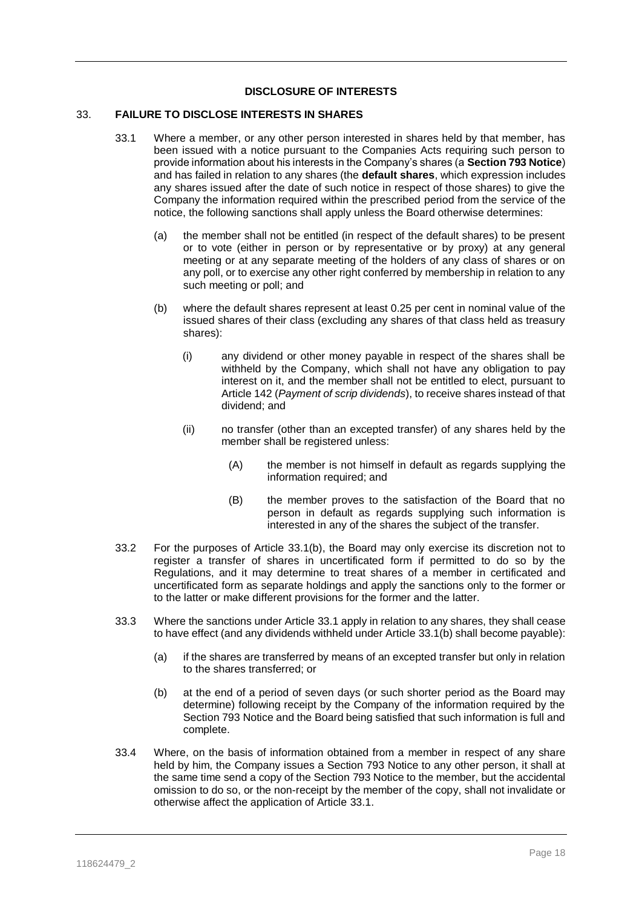# **DISCLOSURE OF INTERESTS**

# <span id="page-18-2"></span><span id="page-18-1"></span>33. **FAILURE TO DISCLOSE INTERESTS IN SHARES**

- <span id="page-18-0"></span>33.1 Where a member, or any other person interested in shares held by that member, has been issued with a notice pursuant to the Companies Acts requiring such person to provide information about his interests in the Company's shares (a **Section 793 Notice**) and has failed in relation to any shares (the **default shares**, which expression includes any shares issued after the date of such notice in respect of those shares) to give the Company the information required within the prescribed period from the service of the notice, the following sanctions shall apply unless the Board otherwise determines:
	- (a) the member shall not be entitled (in respect of the default shares) to be present or to vote (either in person or by representative or by proxy) at any general meeting or at any separate meeting of the holders of any class of shares or on any poll, or to exercise any other right conferred by membership in relation to any such meeting or poll; and
	- (b) where the default shares represent at least 0.25 per cent in nominal value of the issued shares of their class (excluding any shares of that class held as treasury shares):
		- (i) any dividend or other money payable in respect of the shares shall be withheld by the Company, which shall not have any obligation to pay interest on it, and the member shall not be entitled to elect, pursuant to Articl[e 142](#page-53-0) (*Payment of scrip dividends*), to receive shares instead of that dividend; and
		- (ii) no transfer (other than an excepted transfer) of any shares held by the member shall be registered unless:
			- (A) the member is not himself in default as regards supplying the information required; and
			- (B) the member proves to the satisfaction of the Board that no person in default as regards supplying such information is interested in any of the shares the subject of the transfer.
- 33.2 For the purposes of Article [33.1\(b\),](#page-18-0) the Board may only exercise its discretion not to register a transfer of shares in uncertificated form if permitted to do so by the Regulations, and it may determine to treat shares of a member in certificated and uncertificated form as separate holdings and apply the sanctions only to the former or to the latter or make different provisions for the former and the latter.
- 33.3 Where the sanctions under Article [33.1](#page-18-1) apply in relation to any shares, they shall cease to have effect (and any dividends withheld under Article [33.1\(b\)](#page-18-0) shall become payable):
	- (a) if the shares are transferred by means of an excepted transfer but only in relation to the shares transferred; or
	- (b) at the end of a period of seven days (or such shorter period as the Board may determine) following receipt by the Company of the information required by the Section 793 Notice and the Board being satisfied that such information is full and complete.
- 33.4 Where, on the basis of information obtained from a member in respect of any share held by him, the Company issues a Section 793 Notice to any other person, it shall at the same time send a copy of the Section 793 Notice to the member, but the accidental omission to do so, or the non-receipt by the member of the copy, shall not invalidate or otherwise affect the application of Article [33.1.](#page-18-1)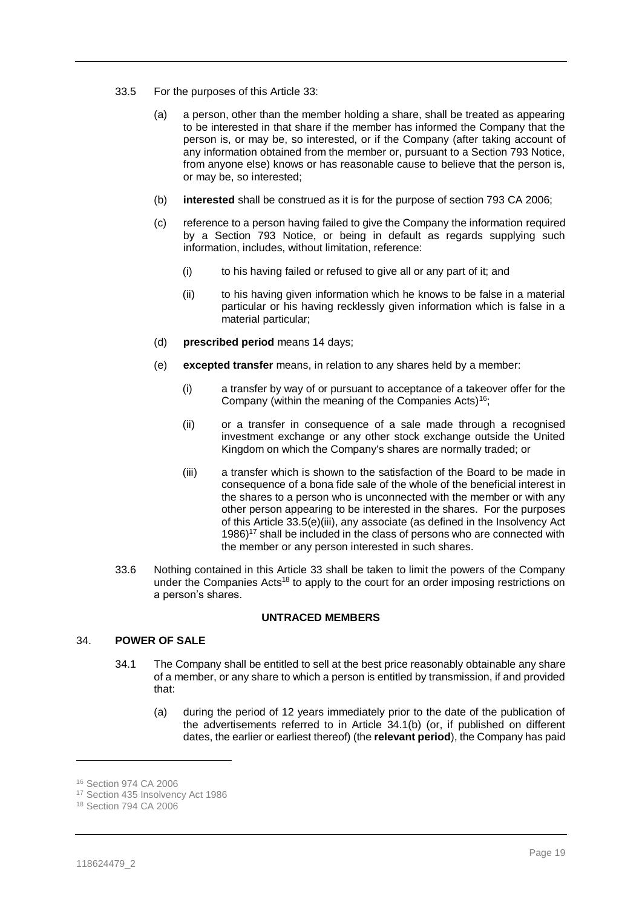- <span id="page-19-0"></span>33.5 For the purposes of this Article [33:](#page-18-2)
	- (a) a person, other than the member holding a share, shall be treated as appearing to be interested in that share if the member has informed the Company that the person is, or may be, so interested, or if the Company (after taking account of any information obtained from the member or, pursuant to a Section 793 Notice, from anyone else) knows or has reasonable cause to believe that the person is, or may be, so interested;
	- (b) **interested** shall be construed as it is for the purpose of section 793 CA 2006;
	- (c) reference to a person having failed to give the Company the information required by a Section 793 Notice, or being in default as regards supplying such information, includes, without limitation, reference:
		- (i) to his having failed or refused to give all or any part of it; and
		- (ii) to his having given information which he knows to be false in a material particular or his having recklessly given information which is false in a material particular;
	- (d) **prescribed period** means 14 days;
	- (e) **excepted transfer** means, in relation to any shares held by a member:
		- (i) a transfer by way of or pursuant to acceptance of a takeover offer for the Company (within the meaning of the Companies Acts)<sup>16</sup>;
		- (ii) or a transfer in consequence of a sale made through a recognised investment exchange or any other stock exchange outside the United Kingdom on which the Company's shares are normally traded; or
		- (iii) a transfer which is shown to the satisfaction of the Board to be made in consequence of a bona fide sale of the whole of the beneficial interest in the shares to a person who is unconnected with the member or with any other person appearing to be interested in the shares. For the purposes of this Article [33.5\(e\)](#page-19-0)[\(iii\),](#page-19-1) any associate (as defined in the Insolvency Act  $1986$ )<sup>17</sup> shall be included in the class of persons who are connected with the member or any person interested in such shares.
- <span id="page-19-1"></span>33.6 Nothing contained in this Article [33](#page-18-2) shall be taken to limit the powers of the Company under the Companies Acts<sup>18</sup> to apply to the court for an order imposing restrictions on a person's shares.

#### **UNTRACED MEMBERS**

# <span id="page-19-2"></span>34. **POWER OF SALE**

- 34.1 The Company shall be entitled to sell at the best price reasonably obtainable any share of a member, or any share to which a person is entitled by transmission, if and provided that:
	- (a) during the period of 12 years immediately prior to the date of the publication of the advertisements referred to in Article [34.1\(b\)](#page-19-2) (or, if published on different dates, the earlier or earliest thereof) (the **relevant period**), the Company has paid

<span id="page-19-3"></span> $\overline{a}$ 

<sup>16</sup> Section 974 CA 2006

<sup>17</sup> Section 435 Insolvency Act 1986

<sup>18</sup> Section 794 CA 2006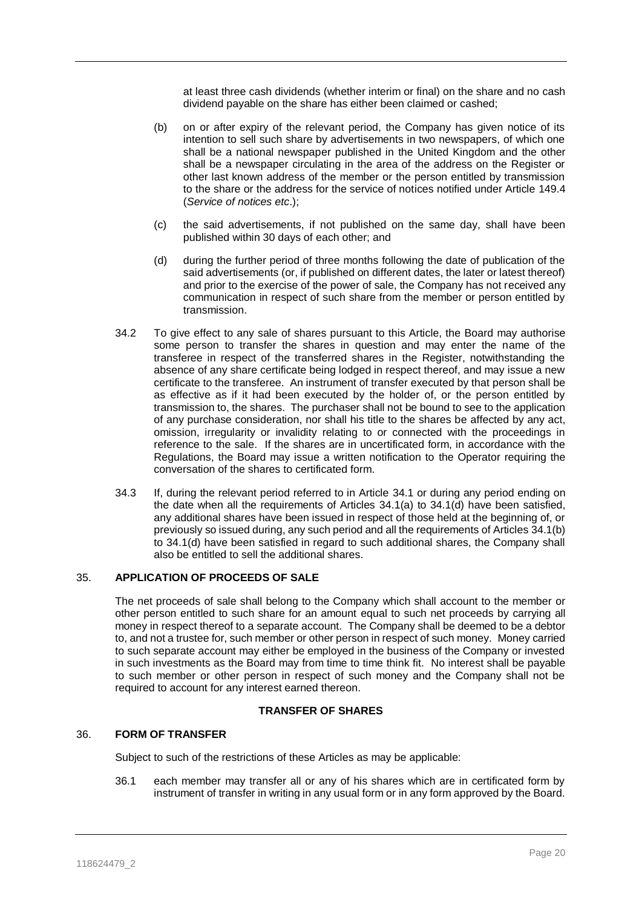at least three cash dividends (whether interim or final) on the share and no cash dividend payable on the share has either been claimed or cashed;

- <span id="page-20-1"></span>(b) on or after expiry of the relevant period, the Company has given notice of its intention to sell such share by advertisements in two newspapers, of which one shall be a national newspaper published in the United Kingdom and the other shall be a newspaper circulating in the area of the address on the Register or other last known address of the member or the person entitled by transmission to the share or the address for the service of notices notified under Article [149.4](#page-57-0) (*Service of notices etc*.);
- (c) the said advertisements, if not published on the same day, shall have been published within 30 days of each other; and
- <span id="page-20-0"></span>(d) during the further period of three months following the date of publication of the said advertisements (or, if published on different dates, the later or latest thereof) and prior to the exercise of the power of sale, the Company has not received any communication in respect of such share from the member or person entitled by transmission.
- 34.2 To give effect to any sale of shares pursuant to this Article, the Board may authorise some person to transfer the shares in question and may enter the name of the transferee in respect of the transferred shares in the Register, notwithstanding the absence of any share certificate being lodged in respect thereof, and may issue a new certificate to the transferee. An instrument of transfer executed by that person shall be as effective as if it had been executed by the holder of, or the person entitled by transmission to, the shares. The purchaser shall not be bound to see to the application of any purchase consideration, nor shall his title to the shares be affected by any act, omission, irregularity or invalidity relating to or connected with the proceedings in reference to the sale. If the shares are in uncertificated form, in accordance with the Regulations, the Board may issue a written notification to the Operator requiring the conversation of the shares to certificated form.
- 34.3 If, during the relevant period referred to in Article [34.1](#page-19-2) or during any period ending on the date when all the requirements of Articles [34.1\(a\)](#page-19-3) to [34.1\(d\)](#page-20-0) have been satisfied, any additional shares have been issued in respect of those held at the beginning of, or previously so issued during, any such period and all the requirements of Articles [34.1\(b\)](#page-20-1) to [34.1\(d\)](#page-20-0) have been satisfied in regard to such additional shares, the Company shall also be entitled to sell the additional shares.

# 35. **APPLICATION OF PROCEEDS OF SALE**

The net proceeds of sale shall belong to the Company which shall account to the member or other person entitled to such share for an amount equal to such net proceeds by carrying all money in respect thereof to a separate account. The Company shall be deemed to be a debtor to, and not a trustee for, such member or other person in respect of such money. Money carried to such separate account may either be employed in the business of the Company or invested in such investments as the Board may from time to time think fit. No interest shall be payable to such member or other person in respect of such money and the Company shall not be required to account for any interest earned thereon.

#### **TRANSFER OF SHARES**

#### 36. **FORM OF TRANSFER**

Subject to such of the restrictions of these Articles as may be applicable:

36.1 each member may transfer all or any of his shares which are in certificated form by instrument of transfer in writing in any usual form or in any form approved by the Board.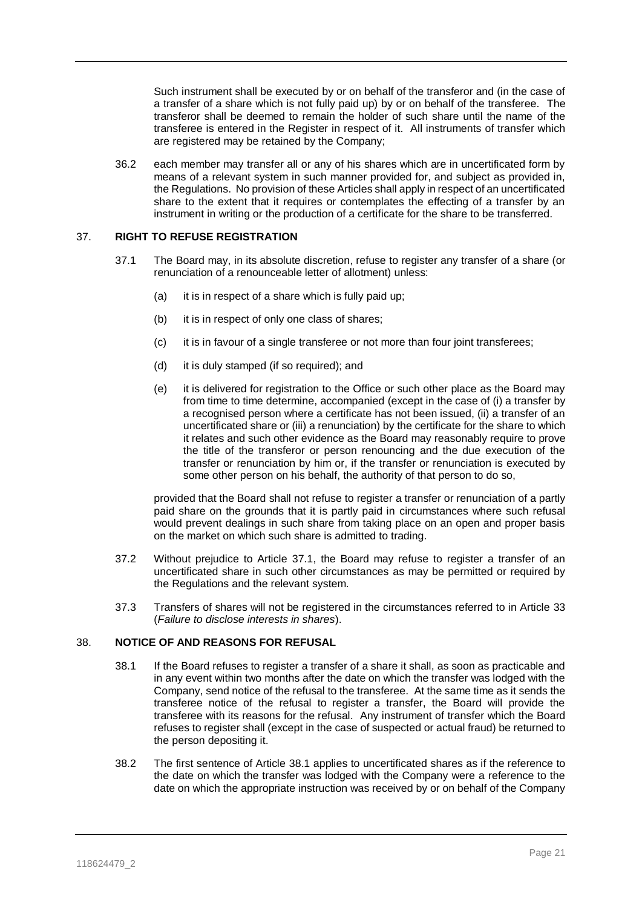Such instrument shall be executed by or on behalf of the transferor and (in the case of a transfer of a share which is not fully paid up) by or on behalf of the transferee. The transferor shall be deemed to remain the holder of such share until the name of the transferee is entered in the Register in respect of it. All instruments of transfer which are registered may be retained by the Company;

36.2 each member may transfer all or any of his shares which are in uncertificated form by means of a relevant system in such manner provided for, and subject as provided in, the Regulations. No provision of these Articles shall apply in respect of an uncertificated share to the extent that it requires or contemplates the effecting of a transfer by an instrument in writing or the production of a certificate for the share to be transferred.

#### <span id="page-21-0"></span>37. **RIGHT TO REFUSE REGISTRATION**

- 37.1 The Board may, in its absolute discretion, refuse to register any transfer of a share (or renunciation of a renounceable letter of allotment) unless:
	- (a) it is in respect of a share which is fully paid up;
	- (b) it is in respect of only one class of shares;
	- (c) it is in favour of a single transferee or not more than four joint transferees;
	- (d) it is duly stamped (if so required); and
	- (e) it is delivered for registration to the Office or such other place as the Board may from time to time determine, accompanied (except in the case of (i) a transfer by a recognised person where a certificate has not been issued, (ii) a transfer of an uncertificated share or (iii) a renunciation) by the certificate for the share to which it relates and such other evidence as the Board may reasonably require to prove the title of the transferor or person renouncing and the due execution of the transfer or renunciation by him or, if the transfer or renunciation is executed by some other person on his behalf, the authority of that person to do so,

provided that the Board shall not refuse to register a transfer or renunciation of a partly paid share on the grounds that it is partly paid in circumstances where such refusal would prevent dealings in such share from taking place on an open and proper basis on the market on which such share is admitted to trading.

- 37.2 Without prejudice to Article [37.1,](#page-21-0) the Board may refuse to register a transfer of an uncertificated share in such other circumstances as may be permitted or required by the Regulations and the relevant system.
- 37.3 Transfers of shares will not be registered in the circumstances referred to in Article [33](#page-18-2) (*Failure to disclose interests in shares*).

#### <span id="page-21-1"></span>38. **NOTICE OF AND REASONS FOR REFUSAL**

- 38.1 If the Board refuses to register a transfer of a share it shall, as soon as practicable and in any event within two months after the date on which the transfer was lodged with the Company, send notice of the refusal to the transferee. At the same time as it sends the transferee notice of the refusal to register a transfer, the Board will provide the transferee with its reasons for the refusal. Any instrument of transfer which the Board refuses to register shall (except in the case of suspected or actual fraud) be returned to the person depositing it.
- 38.2 The first sentence of Article [38.1](#page-21-1) applies to uncertificated shares as if the reference to the date on which the transfer was lodged with the Company were a reference to the date on which the appropriate instruction was received by or on behalf of the Company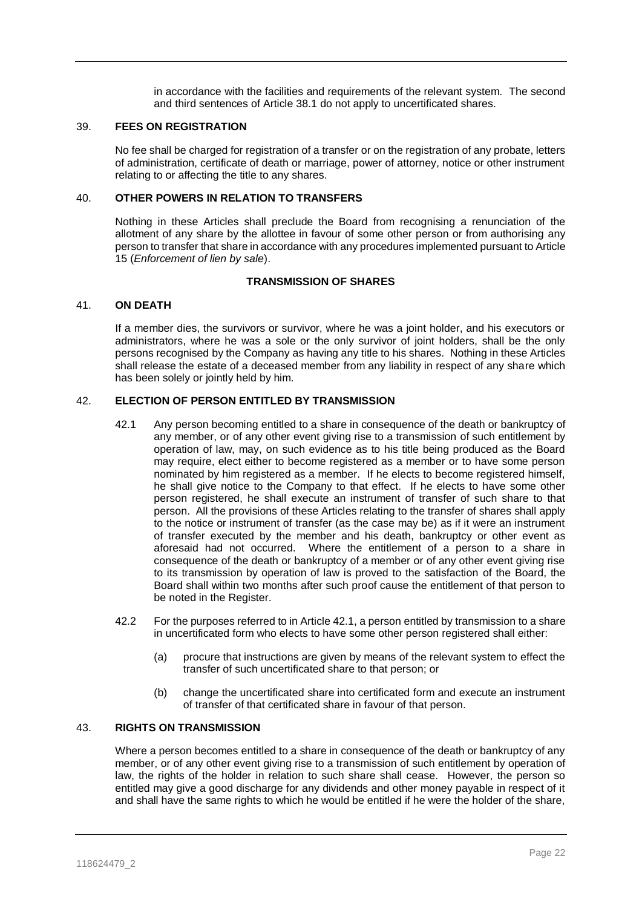in accordance with the facilities and requirements of the relevant system. The second and third sentences of Article [38.1](#page-21-1) do not apply to uncertificated shares.

#### 39. **FEES ON REGISTRATION**

No fee shall be charged for registration of a transfer or on the registration of any probate, letters of administration, certificate of death or marriage, power of attorney, notice or other instrument relating to or affecting the title to any shares.

#### 40. **OTHER POWERS IN RELATION TO TRANSFERS**

Nothing in these Articles shall preclude the Board from recognising a renunciation of the allotment of any share by the allottee in favour of some other person or from authorising any person to transfer that share in accordance with any procedures implemented pursuant to Article [15](#page-14-1) (*Enforcement of lien by sale*).

# **TRANSMISSION OF SHARES**

#### 41. **ON DEATH**

If a member dies, the survivors or survivor, where he was a joint holder, and his executors or administrators, where he was a sole or the only survivor of joint holders, shall be the only persons recognised by the Company as having any title to his shares. Nothing in these Articles shall release the estate of a deceased member from any liability in respect of any share which has been solely or jointly held by him.

# <span id="page-22-0"></span>42. **ELECTION OF PERSON ENTITLED BY TRANSMISSION**

- 42.1 Any person becoming entitled to a share in consequence of the death or bankruptcy of any member, or of any other event giving rise to a transmission of such entitlement by operation of law, may, on such evidence as to his title being produced as the Board may require, elect either to become registered as a member or to have some person nominated by him registered as a member. If he elects to become registered himself, he shall give notice to the Company to that effect. If he elects to have some other person registered, he shall execute an instrument of transfer of such share to that person. All the provisions of these Articles relating to the transfer of shares shall apply to the notice or instrument of transfer (as the case may be) as if it were an instrument of transfer executed by the member and his death, bankruptcy or other event as aforesaid had not occurred. Where the entitlement of a person to a share in consequence of the death or bankruptcy of a member or of any other event giving rise to its transmission by operation of law is proved to the satisfaction of the Board, the Board shall within two months after such proof cause the entitlement of that person to be noted in the Register.
- 42.2 For the purposes referred to in Article [42.1,](#page-22-0) a person entitled by transmission to a share in uncertificated form who elects to have some other person registered shall either:
	- (a) procure that instructions are given by means of the relevant system to effect the transfer of such uncertificated share to that person; or
	- (b) change the uncertificated share into certificated form and execute an instrument of transfer of that certificated share in favour of that person.

# 43. **RIGHTS ON TRANSMISSION**

Where a person becomes entitled to a share in consequence of the death or bankruptcy of any member, or of any other event giving rise to a transmission of such entitlement by operation of law, the rights of the holder in relation to such share shall cease. However, the person so entitled may give a good discharge for any dividends and other money payable in respect of it and shall have the same rights to which he would be entitled if he were the holder of the share,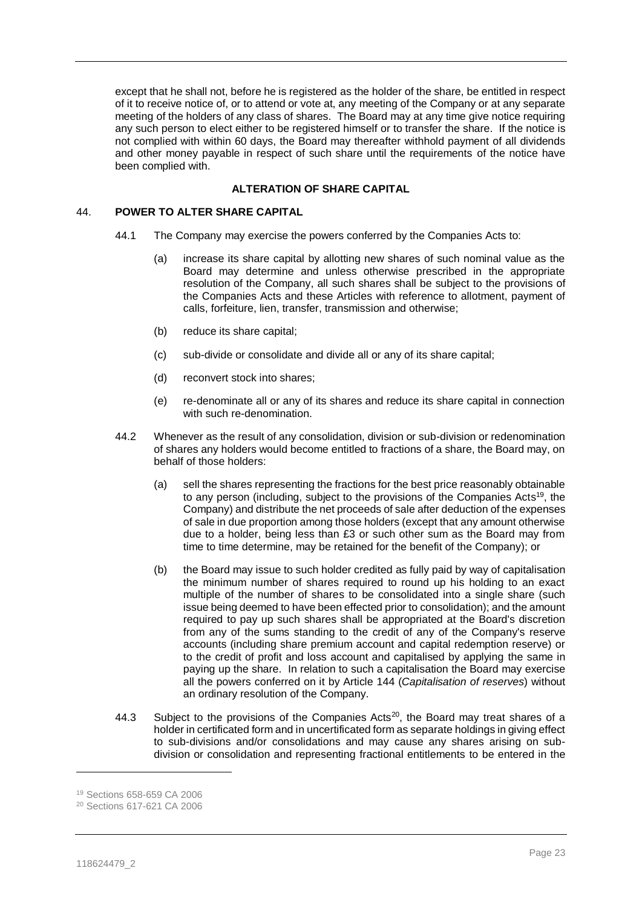except that he shall not, before he is registered as the holder of the share, be entitled in respect of it to receive notice of, or to attend or vote at, any meeting of the Company or at any separate meeting of the holders of any class of shares. The Board may at any time give notice requiring any such person to elect either to be registered himself or to transfer the share. If the notice is not complied with within 60 days, the Board may thereafter withhold payment of all dividends and other money payable in respect of such share until the requirements of the notice have been complied with.

# **ALTERATION OF SHARE CAPITAL**

#### 44. **POWER TO ALTER SHARE CAPITAL**

- 44.1 The Company may exercise the powers conferred by the Companies Acts to:
	- (a) increase its share capital by allotting new shares of such nominal value as the Board may determine and unless otherwise prescribed in the appropriate resolution of the Company, all such shares shall be subject to the provisions of the Companies Acts and these Articles with reference to allotment, payment of calls, forfeiture, lien, transfer, transmission and otherwise;
	- (b) reduce its share capital;
	- (c) sub-divide or consolidate and divide all or any of its share capital;
	- (d) reconvert stock into shares;
	- (e) re-denominate all or any of its shares and reduce its share capital in connection with such re-denomination.
- <span id="page-23-0"></span>44.2 Whenever as the result of any consolidation, division or sub-division or redenomination of shares any holders would become entitled to fractions of a share, the Board may, on behalf of those holders:
	- (a) sell the shares representing the fractions for the best price reasonably obtainable to any person (including, subject to the provisions of the Companies Acts<sup>19</sup>, the Company) and distribute the net proceeds of sale after deduction of the expenses of sale in due proportion among those holders (except that any amount otherwise due to a holder, being less than £3 or such other sum as the Board may from time to time determine, may be retained for the benefit of the Company); or
	- (b) the Board may issue to such holder credited as fully paid by way of capitalisation the minimum number of shares required to round up his holding to an exact multiple of the number of shares to be consolidated into a single share (such issue being deemed to have been effected prior to consolidation); and the amount required to pay up such shares shall be appropriated at the Board's discretion from any of the sums standing to the credit of any of the Company's reserve accounts (including share premium account and capital redemption reserve) or to the credit of profit and loss account and capitalised by applying the same in paying up the share. In relation to such a capitalisation the Board may exercise all the powers conferred on it by Article [144](#page-55-0) (*Capitalisation of reserves*) without an ordinary resolution of the Company.
- 44.3 Subject to the provisions of the Companies Acts<sup>20</sup>, the Board may treat shares of a holder in certificated form and in uncertificated form as separate holdings in giving effect to sub-divisions and/or consolidations and may cause any shares arising on subdivision or consolidation and representing fractional entitlements to be entered in the

<sup>19</sup> Sections 658-659 CA 2006

<sup>20</sup> Sections 617-621 CA 2006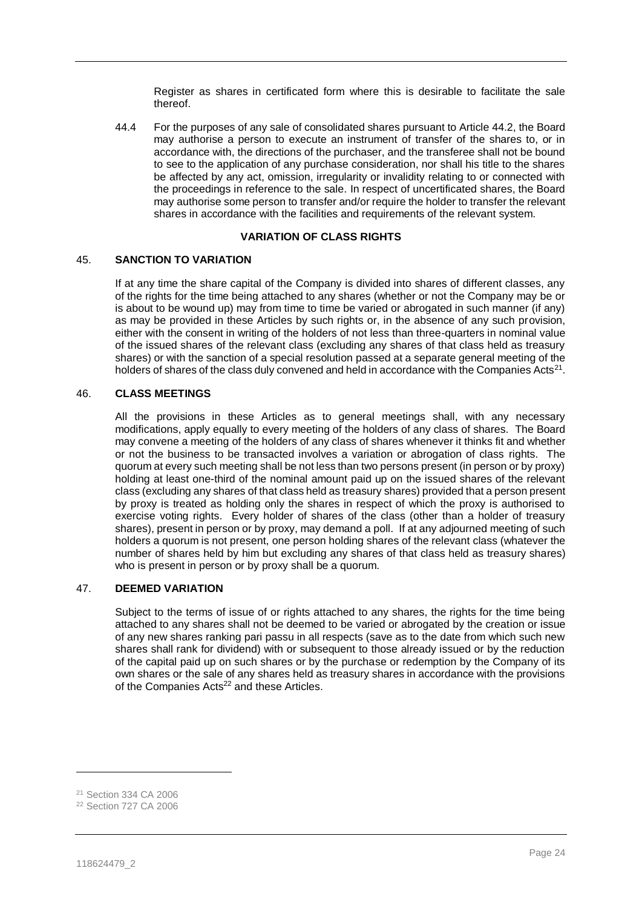Register as shares in certificated form where this is desirable to facilitate the sale thereof.

44.4 For the purposes of any sale of consolidated shares pursuant to Article [44.2,](#page-23-0) the Board may authorise a person to execute an instrument of transfer of the shares to, or in accordance with, the directions of the purchaser, and the transferee shall not be bound to see to the application of any purchase consideration, nor shall his title to the shares be affected by any act, omission, irregularity or invalidity relating to or connected with the proceedings in reference to the sale. In respect of uncertificated shares, the Board may authorise some person to transfer and/or require the holder to transfer the relevant shares in accordance with the facilities and requirements of the relevant system.

# **VARIATION OF CLASS RIGHTS**

#### 45. **SANCTION TO VARIATION**

If at any time the share capital of the Company is divided into shares of different classes, any of the rights for the time being attached to any shares (whether or not the Company may be or is about to be wound up) may from time to time be varied or abrogated in such manner (if any) as may be provided in these Articles by such rights or, in the absence of any such provision, either with the consent in writing of the holders of not less than three-quarters in nominal value of the issued shares of the relevant class (excluding any shares of that class held as treasury shares) or with the sanction of a special resolution passed at a separate general meeting of the holders of shares of the class duly convened and held in accordance with the Companies Acts<sup>21</sup>.

## 46. **CLASS MEETINGS**

All the provisions in these Articles as to general meetings shall, with any necessary modifications, apply equally to every meeting of the holders of any class of shares. The Board may convene a meeting of the holders of any class of shares whenever it thinks fit and whether or not the business to be transacted involves a variation or abrogation of class rights. The quorum at every such meeting shall be not less than two persons present (in person or by proxy) holding at least one-third of the nominal amount paid up on the issued shares of the relevant class (excluding any shares of that class held as treasury shares) provided that a person present by proxy is treated as holding only the shares in respect of which the proxy is authorised to exercise voting rights. Every holder of shares of the class (other than a holder of treasury shares), present in person or by proxy, may demand a poll. If at any adjourned meeting of such holders a quorum is not present, one person holding shares of the relevant class (whatever the number of shares held by him but excluding any shares of that class held as treasury shares) who is present in person or by proxy shall be a quorum.

# 47. **DEEMED VARIATION**

Subject to the terms of issue of or rights attached to any shares, the rights for the time being attached to any shares shall not be deemed to be varied or abrogated by the creation or issue of any new shares ranking pari passu in all respects (save as to the date from which such new shares shall rank for dividend) with or subsequent to those already issued or by the reduction of the capital paid up on such shares or by the purchase or redemption by the Company of its own shares or the sale of any shares held as treasury shares in accordance with the provisions of the Companies Acts<sup>22</sup> and these Articles.

<sup>21</sup> Section 334 CA 2006

<sup>22</sup> Section 727 CA 2006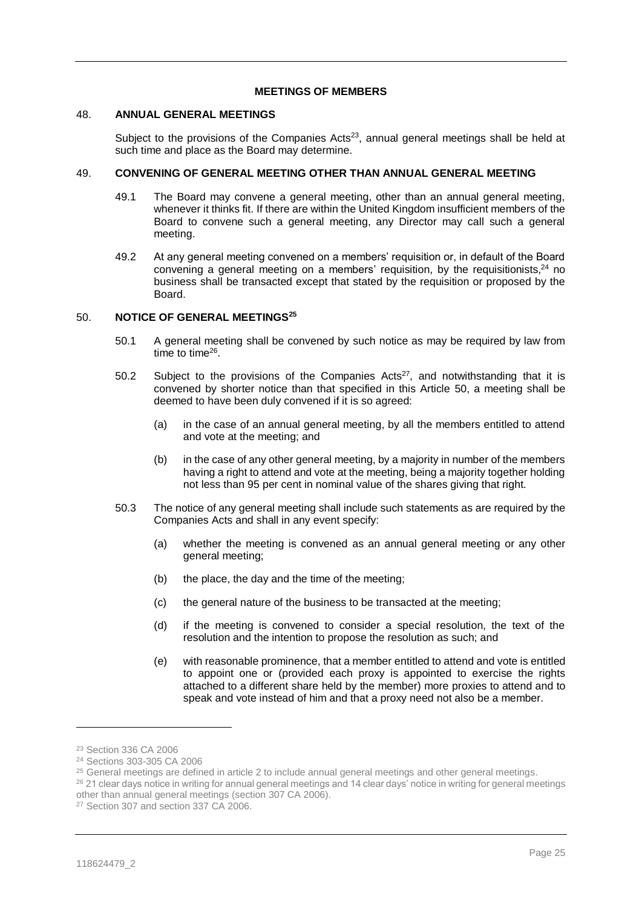#### **MEETINGS OF MEMBERS**

# 48. **ANNUAL GENERAL MEETINGS**

Subject to the provisions of the Companies Acts<sup>23</sup>, annual general meetings shall be held at such time and place as the Board may determine.

# 49. **CONVENING OF GENERAL MEETING OTHER THAN ANNUAL GENERAL MEETING**

- 49.1 The Board may convene a general meeting, other than an annual general meeting, whenever it thinks fit. If there are within the United Kingdom insufficient members of the Board to convene such a general meeting, any Director may call such a general meeting.
- 49.2 At any general meeting convened on a members' requisition or, in default of the Board convening a general meeting on a members' requisition, by the requisitionists, $24$  no business shall be transacted except that stated by the requisition or proposed by the Board.

## <span id="page-25-0"></span>50. **NOTICE OF GENERAL MEETINGS<sup>25</sup>**

- 50.1 A general meeting shall be convened by such notice as may be required by law from time to time<sup>26</sup>.
- 50.2 Subject to the provisions of the Companies Acts $27$ , and notwithstanding that it is convened by shorter notice than that specified in this Article [50,](#page-25-0) a meeting shall be deemed to have been duly convened if it is so agreed:
	- (a) in the case of an annual general meeting, by all the members entitled to attend and vote at the meeting; and
	- (b) in the case of any other general meeting, by a majority in number of the members having a right to attend and vote at the meeting, being a majority together holding not less than 95 per cent in nominal value of the shares giving that right.
- 50.3 The notice of any general meeting shall include such statements as are required by the Companies Acts and shall in any event specify:
	- (a) whether the meeting is convened as an annual general meeting or any other general meeting;
	- (b) the place, the day and the time of the meeting;
	- (c) the general nature of the business to be transacted at the meeting;
	- (d) if the meeting is convened to consider a special resolution, the text of the resolution and the intention to propose the resolution as such; and
	- (e) with reasonable prominence, that a member entitled to attend and vote is entitled to appoint one or (provided each proxy is appointed to exercise the rights attached to a different share held by the member) more proxies to attend and to speak and vote instead of him and that a proxy need not also be a member.

<sup>23</sup> Section 336 CA 2006

<sup>24</sup> Sections 303-305 CA 2006

<sup>&</sup>lt;sup>25</sup> General meetings are defined in article 2 to include annual general meetings and other general meetings.

<sup>&</sup>lt;sup>26</sup> 21 clear days notice in writing for annual general meetings and 14 clear days' notice in writing for general meetings other than annual general meetings (section 307 CA 2006).

<sup>27</sup> Section 307 and section 337 CA 2006.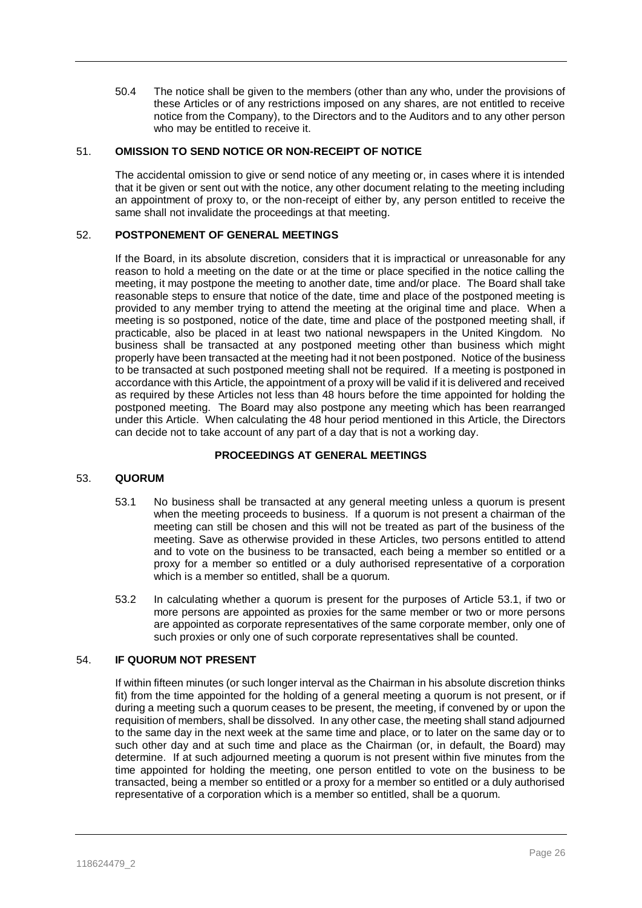50.4 The notice shall be given to the members (other than any who, under the provisions of these Articles or of any restrictions imposed on any shares, are not entitled to receive notice from the Company), to the Directors and to the Auditors and to any other person who may be entitled to receive it.

# 51. **OMISSION TO SEND NOTICE OR NON-RECEIPT OF NOTICE**

The accidental omission to give or send notice of any meeting or, in cases where it is intended that it be given or sent out with the notice, any other document relating to the meeting including an appointment of proxy to, or the non-receipt of either by, any person entitled to receive the same shall not invalidate the proceedings at that meeting.

#### 52. **POSTPONEMENT OF GENERAL MEETINGS**

If the Board, in its absolute discretion, considers that it is impractical or unreasonable for any reason to hold a meeting on the date or at the time or place specified in the notice calling the meeting, it may postpone the meeting to another date, time and/or place. The Board shall take reasonable steps to ensure that notice of the date, time and place of the postponed meeting is provided to any member trying to attend the meeting at the original time and place. When a meeting is so postponed, notice of the date, time and place of the postponed meeting shall, if practicable, also be placed in at least two national newspapers in the United Kingdom. No business shall be transacted at any postponed meeting other than business which might properly have been transacted at the meeting had it not been postponed. Notice of the business to be transacted at such postponed meeting shall not be required. If a meeting is postponed in accordance with this Article, the appointment of a proxy will be valid if it is delivered and received as required by these Articles not less than 48 hours before the time appointed for holding the postponed meeting. The Board may also postpone any meeting which has been rearranged under this Article. When calculating the 48 hour period mentioned in this Article, the Directors can decide not to take account of any part of a day that is not a working day.

# **PROCEEDINGS AT GENERAL MEETINGS**

#### <span id="page-26-0"></span>53. **QUORUM**

- 53.1 No business shall be transacted at any general meeting unless a quorum is present when the meeting proceeds to business. If a quorum is not present a chairman of the meeting can still be chosen and this will not be treated as part of the business of the meeting. Save as otherwise provided in these Articles, two persons entitled to attend and to vote on the business to be transacted, each being a member so entitled or a proxy for a member so entitled or a duly authorised representative of a corporation which is a member so entitled, shall be a quorum.
- 53.2 In calculating whether a quorum is present for the purposes of Article [53.1,](#page-26-0) if two or more persons are appointed as proxies for the same member or two or more persons are appointed as corporate representatives of the same corporate member, only one of such proxies or only one of such corporate representatives shall be counted.

# 54. **IF QUORUM NOT PRESENT**

If within fifteen minutes (or such longer interval as the Chairman in his absolute discretion thinks fit) from the time appointed for the holding of a general meeting a quorum is not present, or if during a meeting such a quorum ceases to be present, the meeting, if convened by or upon the requisition of members, shall be dissolved. In any other case, the meeting shall stand adjourned to the same day in the next week at the same time and place, or to later on the same day or to such other day and at such time and place as the Chairman (or, in default, the Board) may determine. If at such adjourned meeting a quorum is not present within five minutes from the time appointed for holding the meeting, one person entitled to vote on the business to be transacted, being a member so entitled or a proxy for a member so entitled or a duly authorised representative of a corporation which is a member so entitled, shall be a quorum.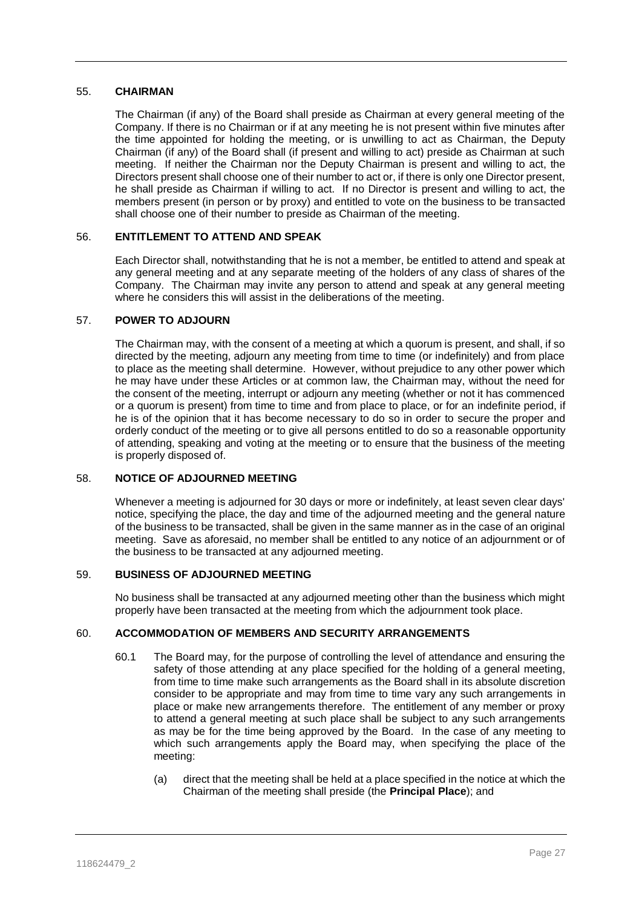# 55. **CHAIRMAN**

The Chairman (if any) of the Board shall preside as Chairman at every general meeting of the Company. If there is no Chairman or if at any meeting he is not present within five minutes after the time appointed for holding the meeting, or is unwilling to act as Chairman, the Deputy Chairman (if any) of the Board shall (if present and willing to act) preside as Chairman at such meeting. If neither the Chairman nor the Deputy Chairman is present and willing to act, the Directors present shall choose one of their number to act or, if there is only one Director present, he shall preside as Chairman if willing to act. If no Director is present and willing to act, the members present (in person or by proxy) and entitled to vote on the business to be transacted shall choose one of their number to preside as Chairman of the meeting.

# 56. **ENTITLEMENT TO ATTEND AND SPEAK**

Each Director shall, notwithstanding that he is not a member, be entitled to attend and speak at any general meeting and at any separate meeting of the holders of any class of shares of the Company. The Chairman may invite any person to attend and speak at any general meeting where he considers this will assist in the deliberations of the meeting.

# 57. **POWER TO ADJOURN**

The Chairman may, with the consent of a meeting at which a quorum is present, and shall, if so directed by the meeting, adjourn any meeting from time to time (or indefinitely) and from place to place as the meeting shall determine. However, without prejudice to any other power which he may have under these Articles or at common law, the Chairman may, without the need for the consent of the meeting, interrupt or adjourn any meeting (whether or not it has commenced or a quorum is present) from time to time and from place to place, or for an indefinite period, if he is of the opinion that it has become necessary to do so in order to secure the proper and orderly conduct of the meeting or to give all persons entitled to do so a reasonable opportunity of attending, speaking and voting at the meeting or to ensure that the business of the meeting is properly disposed of.

# 58. **NOTICE OF ADJOURNED MEETING**

Whenever a meeting is adjourned for 30 days or more or indefinitely, at least seven clear days' notice, specifying the place, the day and time of the adjourned meeting and the general nature of the business to be transacted, shall be given in the same manner as in the case of an original meeting. Save as aforesaid, no member shall be entitled to any notice of an adjournment or of the business to be transacted at any adjourned meeting.

# 59. **BUSINESS OF ADJOURNED MEETING**

No business shall be transacted at any adjourned meeting other than the business which might properly have been transacted at the meeting from which the adjournment took place.

# 60. **ACCOMMODATION OF MEMBERS AND SECURITY ARRANGEMENTS**

- 60.1 The Board may, for the purpose of controlling the level of attendance and ensuring the safety of those attending at any place specified for the holding of a general meeting, from time to time make such arrangements as the Board shall in its absolute discretion consider to be appropriate and may from time to time vary any such arrangements in place or make new arrangements therefore. The entitlement of any member or proxy to attend a general meeting at such place shall be subject to any such arrangements as may be for the time being approved by the Board. In the case of any meeting to which such arrangements apply the Board may, when specifying the place of the meeting:
	- (a) direct that the meeting shall be held at a place specified in the notice at which the Chairman of the meeting shall preside (the **Principal Place**); and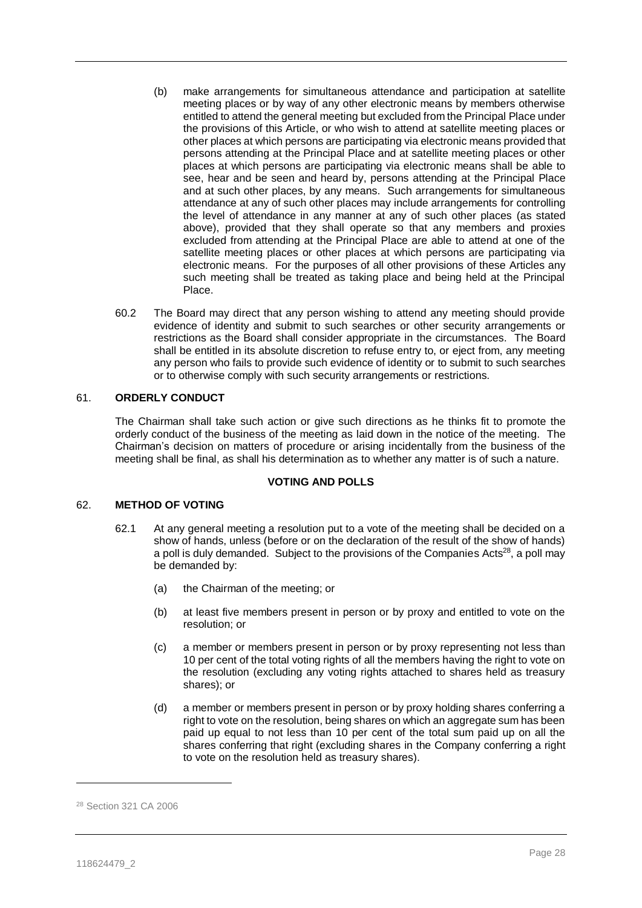- (b) make arrangements for simultaneous attendance and participation at satellite meeting places or by way of any other electronic means by members otherwise entitled to attend the general meeting but excluded from the Principal Place under the provisions of this Article, or who wish to attend at satellite meeting places or other places at which persons are participating via electronic means provided that persons attending at the Principal Place and at satellite meeting places or other places at which persons are participating via electronic means shall be able to see, hear and be seen and heard by, persons attending at the Principal Place and at such other places, by any means. Such arrangements for simultaneous attendance at any of such other places may include arrangements for controlling the level of attendance in any manner at any of such other places (as stated above), provided that they shall operate so that any members and proxies excluded from attending at the Principal Place are able to attend at one of the satellite meeting places or other places at which persons are participating via electronic means. For the purposes of all other provisions of these Articles any such meeting shall be treated as taking place and being held at the Principal Place.
- 60.2 The Board may direct that any person wishing to attend any meeting should provide evidence of identity and submit to such searches or other security arrangements or restrictions as the Board shall consider appropriate in the circumstances. The Board shall be entitled in its absolute discretion to refuse entry to, or eject from, any meeting any person who fails to provide such evidence of identity or to submit to such searches or to otherwise comply with such security arrangements or restrictions.

# 61. **ORDERLY CONDUCT**

The Chairman shall take such action or give such directions as he thinks fit to promote the orderly conduct of the business of the meeting as laid down in the notice of the meeting. The Chairman's decision on matters of procedure or arising incidentally from the business of the meeting shall be final, as shall his determination as to whether any matter is of such a nature.

#### **VOTING AND POLLS**

#### 62. **METHOD OF VOTING**

- 62.1 At any general meeting a resolution put to a vote of the meeting shall be decided on a show of hands, unless (before or on the declaration of the result of the show of hands) a poll is duly demanded. Subject to the provisions of the Companies Acts<sup>28</sup>, a poll may be demanded by:
	- (a) the Chairman of the meeting; or
	- (b) at least five members present in person or by proxy and entitled to vote on the resolution; or
	- (c) a member or members present in person or by proxy representing not less than 10 per cent of the total voting rights of all the members having the right to vote on the resolution (excluding any voting rights attached to shares held as treasury shares); or
	- (d) a member or members present in person or by proxy holding shares conferring a right to vote on the resolution, being shares on which an aggregate sum has been paid up equal to not less than 10 per cent of the total sum paid up on all the shares conferring that right (excluding shares in the Company conferring a right to vote on the resolution held as treasury shares).

<sup>28</sup> Section 321 CA 2006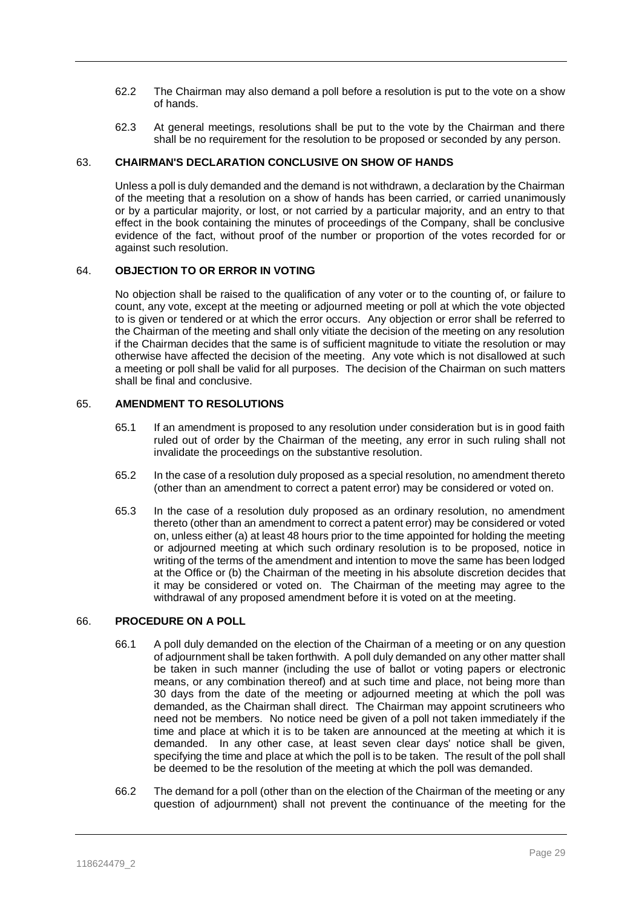- 62.2 The Chairman may also demand a poll before a resolution is put to the vote on a show of hands.
- 62.3 At general meetings, resolutions shall be put to the vote by the Chairman and there shall be no requirement for the resolution to be proposed or seconded by any person.

#### 63. **CHAIRMAN'S DECLARATION CONCLUSIVE ON SHOW OF HANDS**

Unless a poll is duly demanded and the demand is not withdrawn, a declaration by the Chairman of the meeting that a resolution on a show of hands has been carried, or carried unanimously or by a particular majority, or lost, or not carried by a particular majority, and an entry to that effect in the book containing the minutes of proceedings of the Company, shall be conclusive evidence of the fact, without proof of the number or proportion of the votes recorded for or against such resolution.

#### 64. **OBJECTION TO OR ERROR IN VOTING**

No objection shall be raised to the qualification of any voter or to the counting of, or failure to count, any vote, except at the meeting or adjourned meeting or poll at which the vote objected to is given or tendered or at which the error occurs. Any objection or error shall be referred to the Chairman of the meeting and shall only vitiate the decision of the meeting on any resolution if the Chairman decides that the same is of sufficient magnitude to vitiate the resolution or may otherwise have affected the decision of the meeting. Any vote which is not disallowed at such a meeting or poll shall be valid for all purposes. The decision of the Chairman on such matters shall be final and conclusive.

#### 65. **AMENDMENT TO RESOLUTIONS**

- 65.1 If an amendment is proposed to any resolution under consideration but is in good faith ruled out of order by the Chairman of the meeting, any error in such ruling shall not invalidate the proceedings on the substantive resolution.
- 65.2 In the case of a resolution duly proposed as a special resolution, no amendment thereto (other than an amendment to correct a patent error) may be considered or voted on.
- 65.3 In the case of a resolution duly proposed as an ordinary resolution, no amendment thereto (other than an amendment to correct a patent error) may be considered or voted on, unless either (a) at least 48 hours prior to the time appointed for holding the meeting or adjourned meeting at which such ordinary resolution is to be proposed, notice in writing of the terms of the amendment and intention to move the same has been lodged at the Office or (b) the Chairman of the meeting in his absolute discretion decides that it may be considered or voted on. The Chairman of the meeting may agree to the withdrawal of any proposed amendment before it is voted on at the meeting.

## 66. **PROCEDURE ON A POLL**

- 66.1 A poll duly demanded on the election of the Chairman of a meeting or on any question of adjournment shall be taken forthwith. A poll duly demanded on any other matter shall be taken in such manner (including the use of ballot or voting papers or electronic means, or any combination thereof) and at such time and place, not being more than 30 days from the date of the meeting or adjourned meeting at which the poll was demanded, as the Chairman shall direct. The Chairman may appoint scrutineers who need not be members. No notice need be given of a poll not taken immediately if the time and place at which it is to be taken are announced at the meeting at which it is demanded. In any other case, at least seven clear days' notice shall be given, specifying the time and place at which the poll is to be taken. The result of the poll shall be deemed to be the resolution of the meeting at which the poll was demanded.
- 66.2 The demand for a poll (other than on the election of the Chairman of the meeting or any question of adjournment) shall not prevent the continuance of the meeting for the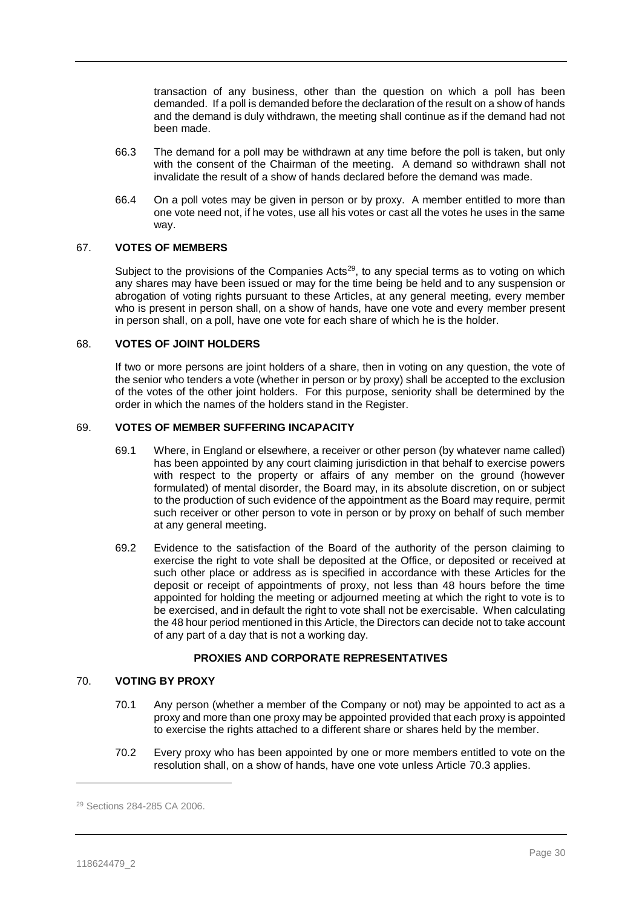transaction of any business, other than the question on which a poll has been demanded. If a poll is demanded before the declaration of the result on a show of hands and the demand is duly withdrawn, the meeting shall continue as if the demand had not been made.

- 66.3 The demand for a poll may be withdrawn at any time before the poll is taken, but only with the consent of the Chairman of the meeting. A demand so withdrawn shall not invalidate the result of a show of hands declared before the demand was made.
- 66.4 On a poll votes may be given in person or by proxy. A member entitled to more than one vote need not, if he votes, use all his votes or cast all the votes he uses in the same way.

#### 67. **VOTES OF MEMBERS**

Subject to the provisions of the Companies Acts<sup>29</sup>, to any special terms as to voting on which any shares may have been issued or may for the time being be held and to any suspension or abrogation of voting rights pursuant to these Articles, at any general meeting, every member who is present in person shall, on a show of hands, have one vote and every member present in person shall, on a poll, have one vote for each share of which he is the holder.

#### 68. **VOTES OF JOINT HOLDERS**

If two or more persons are joint holders of a share, then in voting on any question, the vote of the senior who tenders a vote (whether in person or by proxy) shall be accepted to the exclusion of the votes of the other joint holders. For this purpose, seniority shall be determined by the order in which the names of the holders stand in the Register.

#### 69. **VOTES OF MEMBER SUFFERING INCAPACITY**

- 69.1 Where, in England or elsewhere, a receiver or other person (by whatever name called) has been appointed by any court claiming jurisdiction in that behalf to exercise powers with respect to the property or affairs of any member on the ground (however formulated) of mental disorder, the Board may, in its absolute discretion, on or subject to the production of such evidence of the appointment as the Board may require, permit such receiver or other person to vote in person or by proxy on behalf of such member at any general meeting.
- 69.2 Evidence to the satisfaction of the Board of the authority of the person claiming to exercise the right to vote shall be deposited at the Office, or deposited or received at such other place or address as is specified in accordance with these Articles for the deposit or receipt of appointments of proxy, not less than 48 hours before the time appointed for holding the meeting or adjourned meeting at which the right to vote is to be exercised, and in default the right to vote shall not be exercisable. When calculating the 48 hour period mentioned in this Article, the Directors can decide not to take account of any part of a day that is not a working day.

# **PROXIES AND CORPORATE REPRESENTATIVES**

## <span id="page-30-0"></span>70. **VOTING BY PROXY**

- 70.1 Any person (whether a member of the Company or not) may be appointed to act as a proxy and more than one proxy may be appointed provided that each proxy is appointed to exercise the rights attached to a different share or shares held by the member.
- 70.2 Every proxy who has been appointed by one or more members entitled to vote on the resolution shall, on a show of hands, have one vote unless Article [70.3](#page-31-0) applies.

<sup>29</sup> Sections 284-285 CA 2006.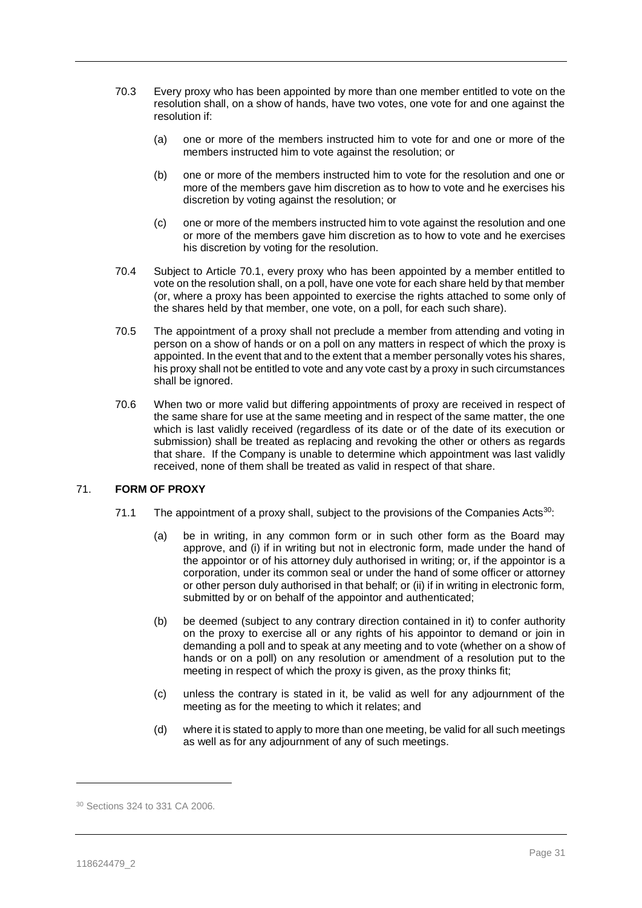- <span id="page-31-0"></span>70.3 Every proxy who has been appointed by more than one member entitled to vote on the resolution shall, on a show of hands, have two votes, one vote for and one against the resolution if:
	- (a) one or more of the members instructed him to vote for and one or more of the members instructed him to vote against the resolution; or
	- (b) one or more of the members instructed him to vote for the resolution and one or more of the members gave him discretion as to how to vote and he exercises his discretion by voting against the resolution; or
	- (c) one or more of the members instructed him to vote against the resolution and one or more of the members gave him discretion as to how to vote and he exercises his discretion by voting for the resolution.
- 70.4 Subject to Article [70.1,](#page-30-0) every proxy who has been appointed by a member entitled to vote on the resolution shall, on a poll, have one vote for each share held by that member (or, where a proxy has been appointed to exercise the rights attached to some only of the shares held by that member, one vote, on a poll, for each such share).
- 70.5 The appointment of a proxy shall not preclude a member from attending and voting in person on a show of hands or on a poll on any matters in respect of which the proxy is appointed. In the event that and to the extent that a member personally votes his shares, his proxy shall not be entitled to vote and any vote cast by a proxy in such circumstances shall be ignored.
- 70.6 When two or more valid but differing appointments of proxy are received in respect of the same share for use at the same meeting and in respect of the same matter, the one which is last validly received (regardless of its date or of the date of its execution or submission) shall be treated as replacing and revoking the other or others as regards that share. If the Company is unable to determine which appointment was last validly received, none of them shall be treated as valid in respect of that share.

# <span id="page-31-1"></span>71. **FORM OF PROXY**

- 71.1 The appointment of a proxy shall, subject to the provisions of the Companies Acts<sup>30</sup>:
	- (a) be in writing, in any common form or in such other form as the Board may approve, and (i) if in writing but not in electronic form, made under the hand of the appointor or of his attorney duly authorised in writing; or, if the appointor is a corporation, under its common seal or under the hand of some officer or attorney or other person duly authorised in that behalf; or (ii) if in writing in electronic form, submitted by or on behalf of the appointor and authenticated;
	- (b) be deemed (subject to any contrary direction contained in it) to confer authority on the proxy to exercise all or any rights of his appointor to demand or join in demanding a poll and to speak at any meeting and to vote (whether on a show of hands or on a poll) on any resolution or amendment of a resolution put to the meeting in respect of which the proxy is given, as the proxy thinks fit;
	- (c) unless the contrary is stated in it, be valid as well for any adjournment of the meeting as for the meeting to which it relates; and
	- (d) where it is stated to apply to more than one meeting, be valid for all such meetings as well as for any adjournment of any of such meetings.

<sup>30</sup> Sections 324 to 331 CA 2006.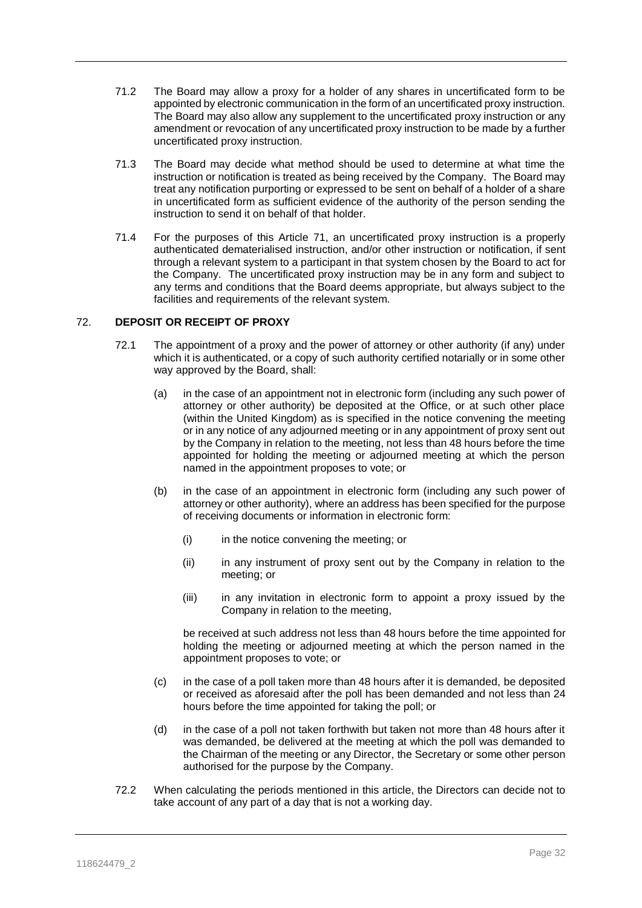- 71.2 The Board may allow a proxy for a holder of any shares in uncertificated form to be appointed by electronic communication in the form of an uncertificated proxy instruction. The Board may also allow any supplement to the uncertificated proxy instruction or any amendment or revocation of any uncertificated proxy instruction to be made by a further uncertificated proxy instruction.
- 71.3 The Board may decide what method should be used to determine at what time the instruction or notification is treated as being received by the Company. The Board may treat any notification purporting or expressed to be sent on behalf of a holder of a share in uncertificated form as sufficient evidence of the authority of the person sending the instruction to send it on behalf of that holder.
- 71.4 For the purposes of this Article [71,](#page-31-1) an uncertificated proxy instruction is a properly authenticated dematerialised instruction, and/or other instruction or notification, if sent through a relevant system to a participant in that system chosen by the Board to act for the Company. The uncertificated proxy instruction may be in any form and subject to any terms and conditions that the Board deems appropriate, but always subject to the facilities and requirements of the relevant system.

# <span id="page-32-0"></span>72. **DEPOSIT OR RECEIPT OF PROXY**

- 72.1 The appointment of a proxy and the power of attorney or other authority (if any) under which it is authenticated, or a copy of such authority certified notarially or in some other way approved by the Board, shall:
	- (a) in the case of an appointment not in electronic form (including any such power of attorney or other authority) be deposited at the Office, or at such other place (within the United Kingdom) as is specified in the notice convening the meeting or in any notice of any adjourned meeting or in any appointment of proxy sent out by the Company in relation to the meeting, not less than 48 hours before the time appointed for holding the meeting or adjourned meeting at which the person named in the appointment proposes to vote; or
	- (b) in the case of an appointment in electronic form (including any such power of attorney or other authority), where an address has been specified for the purpose of receiving documents or information in electronic form:
		- (i) in the notice convening the meeting; or
		- (ii) in any instrument of proxy sent out by the Company in relation to the meeting; or
		- (iii) in any invitation in electronic form to appoint a proxy issued by the Company in relation to the meeting,

be received at such address not less than 48 hours before the time appointed for holding the meeting or adjourned meeting at which the person named in the appointment proposes to vote; or

- (c) in the case of a poll taken more than 48 hours after it is demanded, be deposited or received as aforesaid after the poll has been demanded and not less than 24 hours before the time appointed for taking the poll; or
- (d) in the case of a poll not taken forthwith but taken not more than 48 hours after it was demanded, be delivered at the meeting at which the poll was demanded to the Chairman of the meeting or any Director, the Secretary or some other person authorised for the purpose by the Company.
- 72.2 When calculating the periods mentioned in this article, the Directors can decide not to take account of any part of a day that is not a working day.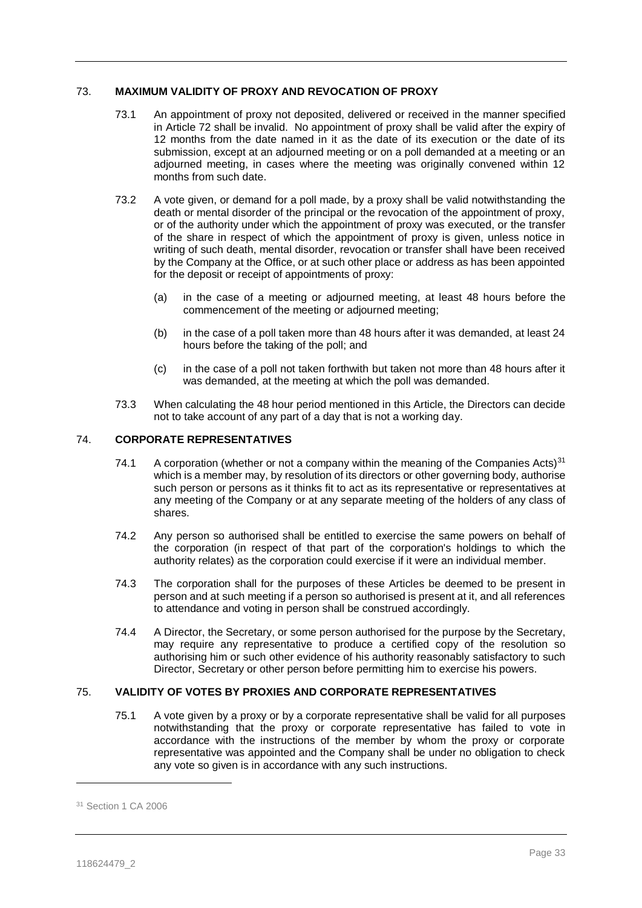# 73. **MAXIMUM VALIDITY OF PROXY AND REVOCATION OF PROXY**

- 73.1 An appointment of proxy not deposited, delivered or received in the manner specified in Article [72](#page-32-0) shall be invalid. No appointment of proxy shall be valid after the expiry of 12 months from the date named in it as the date of its execution or the date of its submission, except at an adjourned meeting or on a poll demanded at a meeting or an adjourned meeting, in cases where the meeting was originally convened within 12 months from such date.
- 73.2 A vote given, or demand for a poll made, by a proxy shall be valid notwithstanding the death or mental disorder of the principal or the revocation of the appointment of proxy, or of the authority under which the appointment of proxy was executed, or the transfer of the share in respect of which the appointment of proxy is given, unless notice in writing of such death, mental disorder, revocation or transfer shall have been received by the Company at the Office, or at such other place or address as has been appointed for the deposit or receipt of appointments of proxy:
	- (a) in the case of a meeting or adjourned meeting, at least 48 hours before the commencement of the meeting or adjourned meeting;
	- (b) in the case of a poll taken more than 48 hours after it was demanded, at least 24 hours before the taking of the poll; and
	- (c) in the case of a poll not taken forthwith but taken not more than 48 hours after it was demanded, at the meeting at which the poll was demanded.
- 73.3 When calculating the 48 hour period mentioned in this Article, the Directors can decide not to take account of any part of a day that is not a working day.

# 74. **CORPORATE REPRESENTATIVES**

- 74.1 A corporation (whether or not a company within the meaning of the Companies Acts)<sup>31</sup> which is a member may, by resolution of its directors or other governing body, authorise such person or persons as it thinks fit to act as its representative or representatives at any meeting of the Company or at any separate meeting of the holders of any class of shares.
- 74.2 Any person so authorised shall be entitled to exercise the same powers on behalf of the corporation (in respect of that part of the corporation's holdings to which the authority relates) as the corporation could exercise if it were an individual member.
- 74.3 The corporation shall for the purposes of these Articles be deemed to be present in person and at such meeting if a person so authorised is present at it, and all references to attendance and voting in person shall be construed accordingly.
- 74.4 A Director, the Secretary, or some person authorised for the purpose by the Secretary, may require any representative to produce a certified copy of the resolution so authorising him or such other evidence of his authority reasonably satisfactory to such Director, Secretary or other person before permitting him to exercise his powers.

# 75. **VALIDITY OF VOTES BY PROXIES AND CORPORATE REPRESENTATIVES**

75.1 A vote given by a proxy or by a corporate representative shall be valid for all purposes notwithstanding that the proxy or corporate representative has failed to vote in accordance with the instructions of the member by whom the proxy or corporate representative was appointed and the Company shall be under no obligation to check any vote so given is in accordance with any such instructions.

<sup>31</sup> Section 1 CA 2006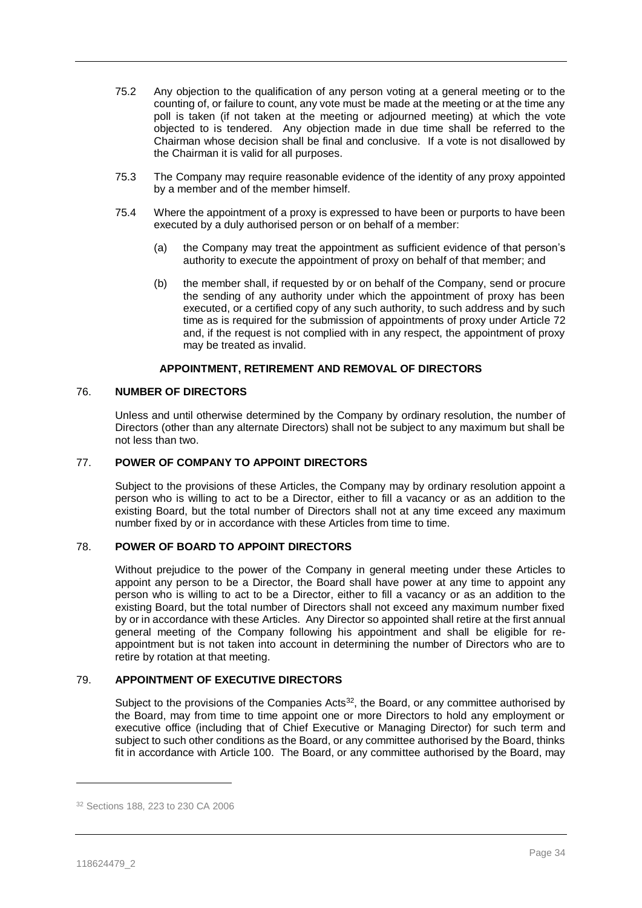- 75.2 Any objection to the qualification of any person voting at a general meeting or to the counting of, or failure to count, any vote must be made at the meeting or at the time any poll is taken (if not taken at the meeting or adjourned meeting) at which the vote objected to is tendered. Any objection made in due time shall be referred to the Chairman whose decision shall be final and conclusive. If a vote is not disallowed by the Chairman it is valid for all purposes.
- 75.3 The Company may require reasonable evidence of the identity of any proxy appointed by a member and of the member himself.
- 75.4 Where the appointment of a proxy is expressed to have been or purports to have been executed by a duly authorised person or on behalf of a member:
	- (a) the Company may treat the appointment as sufficient evidence of that person's authority to execute the appointment of proxy on behalf of that member; and
	- (b) the member shall, if requested by or on behalf of the Company, send or procure the sending of any authority under which the appointment of proxy has been executed, or a certified copy of any such authority, to such address and by such time as is required for the submission of appointments of proxy under Article [72](#page-32-0) and, if the request is not complied with in any respect, the appointment of proxy may be treated as invalid.

## **APPOINTMENT, RETIREMENT AND REMOVAL OF DIRECTORS**

#### 76. **NUMBER OF DIRECTORS**

Unless and until otherwise determined by the Company by ordinary resolution, the number of Directors (other than any alternate Directors) shall not be subject to any maximum but shall be not less than two.

#### 77. **POWER OF COMPANY TO APPOINT DIRECTORS**

Subject to the provisions of these Articles, the Company may by ordinary resolution appoint a person who is willing to act to be a Director, either to fill a vacancy or as an addition to the existing Board, but the total number of Directors shall not at any time exceed any maximum number fixed by or in accordance with these Articles from time to time.

# <span id="page-34-0"></span>78. **POWER OF BOARD TO APPOINT DIRECTORS**

Without prejudice to the power of the Company in general meeting under these Articles to appoint any person to be a Director, the Board shall have power at any time to appoint any person who is willing to act to be a Director, either to fill a vacancy or as an addition to the existing Board, but the total number of Directors shall not exceed any maximum number fixed by or in accordance with these Articles. Any Director so appointed shall retire at the first annual general meeting of the Company following his appointment and shall be eligible for reappointment but is not taken into account in determining the number of Directors who are to retire by rotation at that meeting.

# 79. **APPOINTMENT OF EXECUTIVE DIRECTORS**

Subject to the provisions of the Companies Acts<sup>32</sup>, the Board, or any committee authorised by the Board, may from time to time appoint one or more Directors to hold any employment or executive office (including that of Chief Executive or Managing Director) for such term and subject to such other conditions as the Board, or any committee authorised by the Board, thinks fit in accordance with Article [100.](#page-40-0) The Board, or any committee authorised by the Board, may

<sup>32</sup> Sections 188, 223 to 230 CA 2006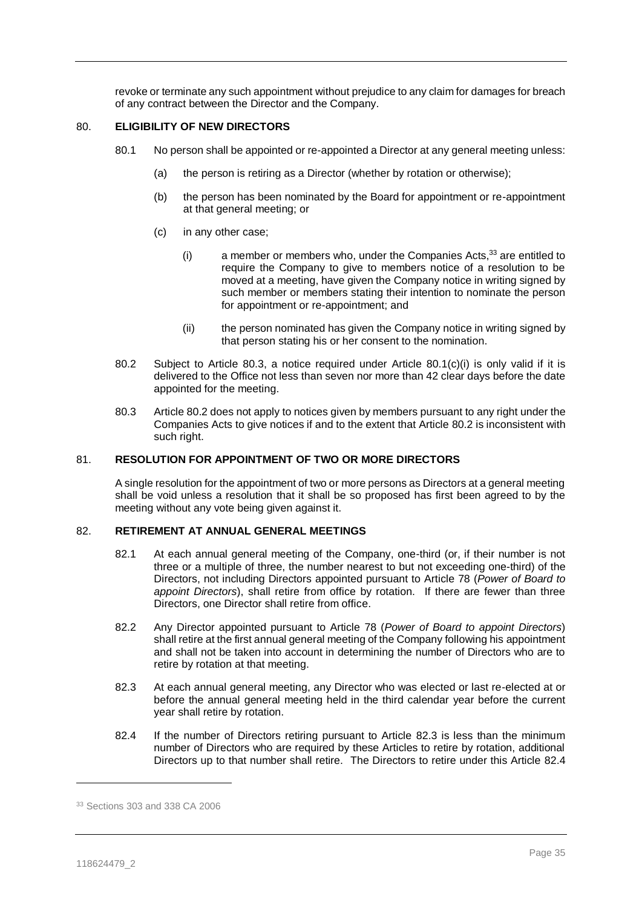revoke or terminate any such appointment without prejudice to any claim for damages for breach of any contract between the Director and the Company.

#### 80. **ELIGIBILITY OF NEW DIRECTORS**

- <span id="page-35-1"></span>80.1 No person shall be appointed or re-appointed a Director at any general meeting unless:
	- (a) the person is retiring as a Director (whether by rotation or otherwise);
	- (b) the person has been nominated by the Board for appointment or re-appointment at that general meeting; or
	- (c) in any other case;
		- (i) a member or members who, under the Companies Acts,  $33$  are entitled to require the Company to give to members notice of a resolution to be moved at a meeting, have given the Company notice in writing signed by such member or members stating their intention to nominate the person for appointment or re-appointment; and
		- (ii) the person nominated has given the Company notice in writing signed by that person stating his or her consent to the nomination.
- <span id="page-35-2"></span>80.2 Subject to Article [80.3,](#page-35-0) a notice required under Article [80.1\(c\)\(i\)](#page-35-1) is only valid if it is delivered to the Office not less than seven nor more than 42 clear days before the date appointed for the meeting.
- <span id="page-35-0"></span>80.3 Article [80.2](#page-35-2) does not apply to notices given by members pursuant to any right under the Companies Acts to give notices if and to the extent that Article [80.2](#page-35-2) is inconsistent with such right.

#### 81. **RESOLUTION FOR APPOINTMENT OF TWO OR MORE DIRECTORS**

A single resolution for the appointment of two or more persons as Directors at a general meeting shall be void unless a resolution that it shall be so proposed has first been agreed to by the meeting without any vote being given against it.

# 82. **RETIREMENT AT ANNUAL GENERAL MEETINGS**

- 82.1 At each annual general meeting of the Company, one-third (or, if their number is not three or a multiple of three, the number nearest to but not exceeding one-third) of the Directors, not including Directors appointed pursuant to Article [78](#page-34-0) (*Power of Board to appoint Directors*), shall retire from office by rotation. If there are fewer than three Directors, one Director shall retire from office.
- 82.2 Any Director appointed pursuant to Article [78](#page-34-0) (*Power of Board to appoint Directors*) shall retire at the first annual general meeting of the Company following his appointment and shall not be taken into account in determining the number of Directors who are to retire by rotation at that meeting.
- <span id="page-35-3"></span>82.3 At each annual general meeting, any Director who was elected or last re-elected at or before the annual general meeting held in the third calendar year before the current year shall retire by rotation.
- <span id="page-35-4"></span>82.4 If the number of Directors retiring pursuant to Article [82.3](#page-35-3) is less than the minimum number of Directors who are required by these Articles to retire by rotation, additional Directors up to that number shall retire. The Directors to retire under this Article [82.4](#page-35-4)

<sup>33</sup> Sections 303 and 338 CA 2006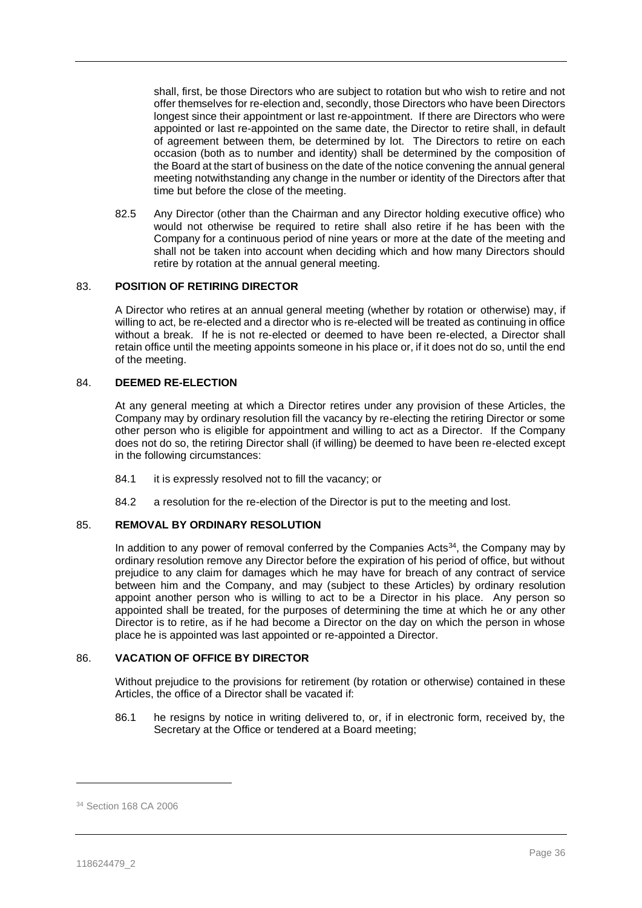shall, first, be those Directors who are subject to rotation but who wish to retire and not offer themselves for re-election and, secondly, those Directors who have been Directors longest since their appointment or last re-appointment. If there are Directors who were appointed or last re-appointed on the same date, the Director to retire shall, in default of agreement between them, be determined by lot. The Directors to retire on each occasion (both as to number and identity) shall be determined by the composition of the Board at the start of business on the date of the notice convening the annual general meeting notwithstanding any change in the number or identity of the Directors after that time but before the close of the meeting.

82.5 Any Director (other than the Chairman and any Director holding executive office) who would not otherwise be required to retire shall also retire if he has been with the Company for a continuous period of nine years or more at the date of the meeting and shall not be taken into account when deciding which and how many Directors should retire by rotation at the annual general meeting.

## 83. **POSITION OF RETIRING DIRECTOR**

A Director who retires at an annual general meeting (whether by rotation or otherwise) may, if willing to act, be re-elected and a director who is re-elected will be treated as continuing in office without a break. If he is not re-elected or deemed to have been re-elected, a Director shall retain office until the meeting appoints someone in his place or, if it does not do so, until the end of the meeting.

## 84. **DEEMED RE-ELECTION**

At any general meeting at which a Director retires under any provision of these Articles, the Company may by ordinary resolution fill the vacancy by re-electing the retiring Director or some other person who is eligible for appointment and willing to act as a Director. If the Company does not do so, the retiring Director shall (if willing) be deemed to have been re-elected except in the following circumstances:

- 84.1 it is expressly resolved not to fill the vacancy; or
- 84.2 a resolution for the re-election of the Director is put to the meeting and lost.

## 85. **REMOVAL BY ORDINARY RESOLUTION**

In addition to any power of removal conferred by the Companies Acts<sup>34</sup>, the Company may by ordinary resolution remove any Director before the expiration of his period of office, but without prejudice to any claim for damages which he may have for breach of any contract of service between him and the Company, and may (subject to these Articles) by ordinary resolution appoint another person who is willing to act to be a Director in his place. Any person so appointed shall be treated, for the purposes of determining the time at which he or any other Director is to retire, as if he had become a Director on the day on which the person in whose place he is appointed was last appointed or re-appointed a Director.

## <span id="page-36-0"></span>86. **VACATION OF OFFICE BY DIRECTOR**

Without prejudice to the provisions for retirement (by rotation or otherwise) contained in these Articles, the office of a Director shall be vacated if:

86.1 he resigns by notice in writing delivered to, or, if in electronic form, received by, the Secretary at the Office or tendered at a Board meeting;

<sup>34</sup> Section 168 CA 2006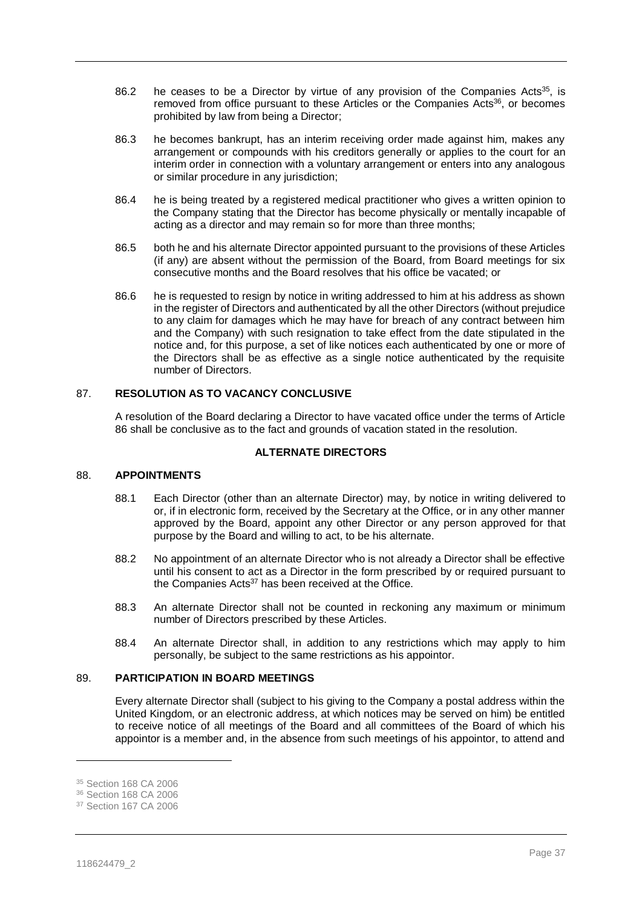- 86.2 he ceases to be a Director by virtue of any provision of the Companies Acts<sup>35</sup>, is removed from office pursuant to these Articles or the Companies Acts<sup>36</sup>, or becomes prohibited by law from being a Director;
- 86.3 he becomes bankrupt, has an interim receiving order made against him, makes any arrangement or compounds with his creditors generally or applies to the court for an interim order in connection with a voluntary arrangement or enters into any analogous or similar procedure in any jurisdiction;
- 86.4 he is being treated by a registered medical practitioner who gives a written opinion to the Company stating that the Director has become physically or mentally incapable of acting as a director and may remain so for more than three months;
- 86.5 both he and his alternate Director appointed pursuant to the provisions of these Articles (if any) are absent without the permission of the Board, from Board meetings for six consecutive months and the Board resolves that his office be vacated; or
- 86.6 he is requested to resign by notice in writing addressed to him at his address as shown in the register of Directors and authenticated by all the other Directors (without prejudice to any claim for damages which he may have for breach of any contract between him and the Company) with such resignation to take effect from the date stipulated in the notice and, for this purpose, a set of like notices each authenticated by one or more of the Directors shall be as effective as a single notice authenticated by the requisite number of Directors.

# 87. **RESOLUTION AS TO VACANCY CONCLUSIVE**

A resolution of the Board declaring a Director to have vacated office under the terms of Article [86](#page-36-0) shall be conclusive as to the fact and grounds of vacation stated in the resolution.

## **ALTERNATE DIRECTORS**

#### 88. **APPOINTMENTS**

- 88.1 Each Director (other than an alternate Director) may, by notice in writing delivered to or, if in electronic form, received by the Secretary at the Office, or in any other manner approved by the Board, appoint any other Director or any person approved for that purpose by the Board and willing to act, to be his alternate.
- 88.2 No appointment of an alternate Director who is not already a Director shall be effective until his consent to act as a Director in the form prescribed by or required pursuant to the Companies  $Acts^{37}$  has been received at the Office.
- 88.3 An alternate Director shall not be counted in reckoning any maximum or minimum number of Directors prescribed by these Articles.
- 88.4 An alternate Director shall, in addition to any restrictions which may apply to him personally, be subject to the same restrictions as his appointor.

# 89. **PARTICIPATION IN BOARD MEETINGS**

Every alternate Director shall (subject to his giving to the Company a postal address within the United Kingdom, or an electronic address, at which notices may be served on him) be entitled to receive notice of all meetings of the Board and all committees of the Board of which his appointor is a member and, in the absence from such meetings of his appointor, to attend and

 $\overline{a}$ 

<sup>35</sup> Section 168 CA 2006

<sup>36</sup> Section 168 CA 2006

<sup>37</sup> Section 167 CA 2006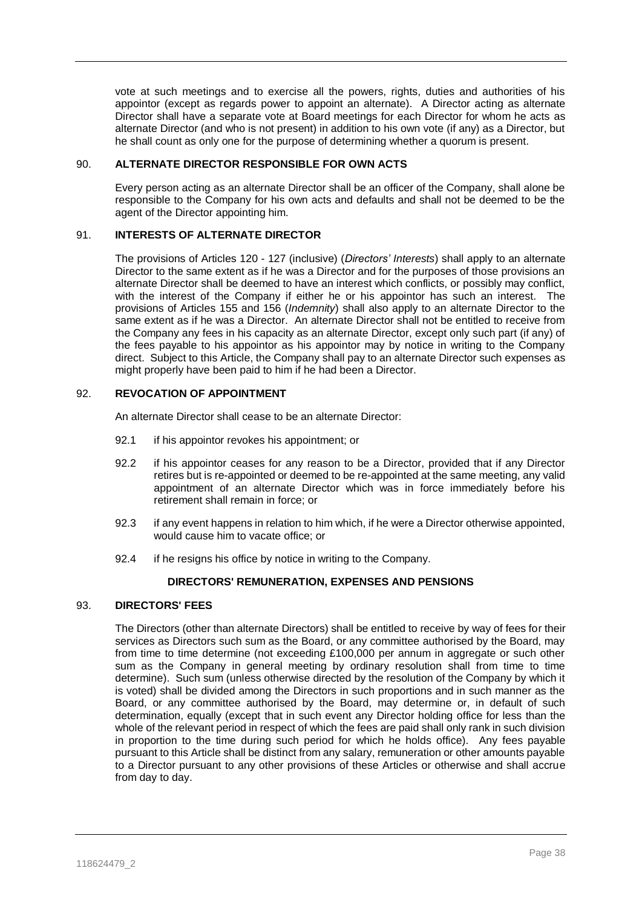vote at such meetings and to exercise all the powers, rights, duties and authorities of his appointor (except as regards power to appoint an alternate). A Director acting as alternate Director shall have a separate vote at Board meetings for each Director for whom he acts as alternate Director (and who is not present) in addition to his own vote (if any) as a Director, but he shall count as only one for the purpose of determining whether a quorum is present.

#### 90. **ALTERNATE DIRECTOR RESPONSIBLE FOR OWN ACTS**

Every person acting as an alternate Director shall be an officer of the Company, shall alone be responsible to the Company for his own acts and defaults and shall not be deemed to be the agent of the Director appointing him.

# 91. **INTERESTS OF ALTERNATE DIRECTOR**

The provisions of Articles [120](#page-44-0) - [127](#page-49-0) (inclusive) (*Directors' Interests*) shall apply to an alternate Director to the same extent as if he was a Director and for the purposes of those provisions an alternate Director shall be deemed to have an interest which conflicts, or possibly may conflict, with the interest of the Company if either he or his appointor has such an interest. The provisions of Articles [155](#page-60-0) and [156](#page-61-0) (*Indemnity*) shall also apply to an alternate Director to the same extent as if he was a Director. An alternate Director shall not be entitled to receive from the Company any fees in his capacity as an alternate Director, except only such part (if any) of the fees payable to his appointor as his appointor may by notice in writing to the Company direct. Subject to this Article, the Company shall pay to an alternate Director such expenses as might properly have been paid to him if he had been a Director.

## 92. **REVOCATION OF APPOINTMENT**

An alternate Director shall cease to be an alternate Director:

- 92.1 if his appointor revokes his appointment; or
- 92.2 if his appointor ceases for any reason to be a Director, provided that if any Director retires but is re-appointed or deemed to be re-appointed at the same meeting, any valid appointment of an alternate Director which was in force immediately before his retirement shall remain in force; or
- 92.3 if any event happens in relation to him which, if he were a Director otherwise appointed, would cause him to vacate office; or
- 92.4 if he resigns his office by notice in writing to the Company.

# **DIRECTORS' REMUNERATION, EXPENSES AND PENSIONS**

#### 93. **DIRECTORS' FEES**

The Directors (other than alternate Directors) shall be entitled to receive by way of fees for their services as Directors such sum as the Board, or any committee authorised by the Board, may from time to time determine (not exceeding £100,000 per annum in aggregate or such other sum as the Company in general meeting by ordinary resolution shall from time to time determine). Such sum (unless otherwise directed by the resolution of the Company by which it is voted) shall be divided among the Directors in such proportions and in such manner as the Board, or any committee authorised by the Board, may determine or, in default of such determination, equally (except that in such event any Director holding office for less than the whole of the relevant period in respect of which the fees are paid shall only rank in such division in proportion to the time during such period for which he holds office). Any fees payable pursuant to this Article shall be distinct from any salary, remuneration or other amounts payable to a Director pursuant to any other provisions of these Articles or otherwise and shall accrue from day to day.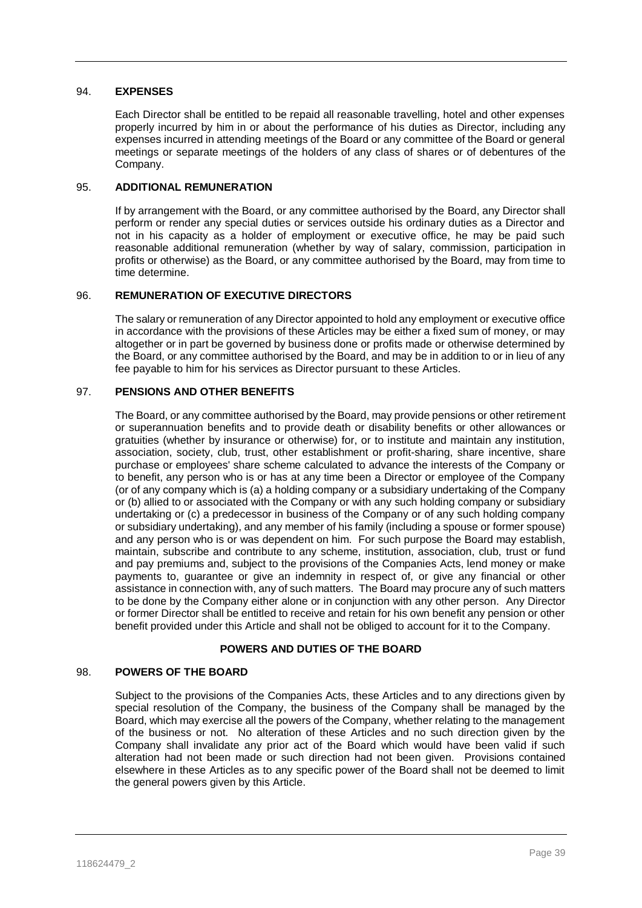# 94. **EXPENSES**

Each Director shall be entitled to be repaid all reasonable travelling, hotel and other expenses properly incurred by him in or about the performance of his duties as Director, including any expenses incurred in attending meetings of the Board or any committee of the Board or general meetings or separate meetings of the holders of any class of shares or of debentures of the Company.

# 95. **ADDITIONAL REMUNERATION**

If by arrangement with the Board, or any committee authorised by the Board, any Director shall perform or render any special duties or services outside his ordinary duties as a Director and not in his capacity as a holder of employment or executive office, he may be paid such reasonable additional remuneration (whether by way of salary, commission, participation in profits or otherwise) as the Board, or any committee authorised by the Board, may from time to time determine.

# 96. **REMUNERATION OF EXECUTIVE DIRECTORS**

The salary or remuneration of any Director appointed to hold any employment or executive office in accordance with the provisions of these Articles may be either a fixed sum of money, or may altogether or in part be governed by business done or profits made or otherwise determined by the Board, or any committee authorised by the Board, and may be in addition to or in lieu of any fee payable to him for his services as Director pursuant to these Articles.

## 97. **PENSIONS AND OTHER BENEFITS**

The Board, or any committee authorised by the Board, may provide pensions or other retirement or superannuation benefits and to provide death or disability benefits or other allowances or gratuities (whether by insurance or otherwise) for, or to institute and maintain any institution, association, society, club, trust, other establishment or profit-sharing, share incentive, share purchase or employees' share scheme calculated to advance the interests of the Company or to benefit, any person who is or has at any time been a Director or employee of the Company (or of any company which is (a) a holding company or a subsidiary undertaking of the Company or (b) allied to or associated with the Company or with any such holding company or subsidiary undertaking or (c) a predecessor in business of the Company or of any such holding company or subsidiary undertaking), and any member of his family (including a spouse or former spouse) and any person who is or was dependent on him. For such purpose the Board may establish, maintain, subscribe and contribute to any scheme, institution, association, club, trust or fund and pay premiums and, subject to the provisions of the Companies Acts, lend money or make payments to, guarantee or give an indemnity in respect of, or give any financial or other assistance in connection with, any of such matters. The Board may procure any of such matters to be done by the Company either alone or in conjunction with any other person. Any Director or former Director shall be entitled to receive and retain for his own benefit any pension or other benefit provided under this Article and shall not be obliged to account for it to the Company.

# **POWERS AND DUTIES OF THE BOARD**

# 98. **POWERS OF THE BOARD**

Subject to the provisions of the Companies Acts, these Articles and to any directions given by special resolution of the Company, the business of the Company shall be managed by the Board, which may exercise all the powers of the Company, whether relating to the management of the business or not. No alteration of these Articles and no such direction given by the Company shall invalidate any prior act of the Board which would have been valid if such alteration had not been made or such direction had not been given. Provisions contained elsewhere in these Articles as to any specific power of the Board shall not be deemed to limit the general powers given by this Article.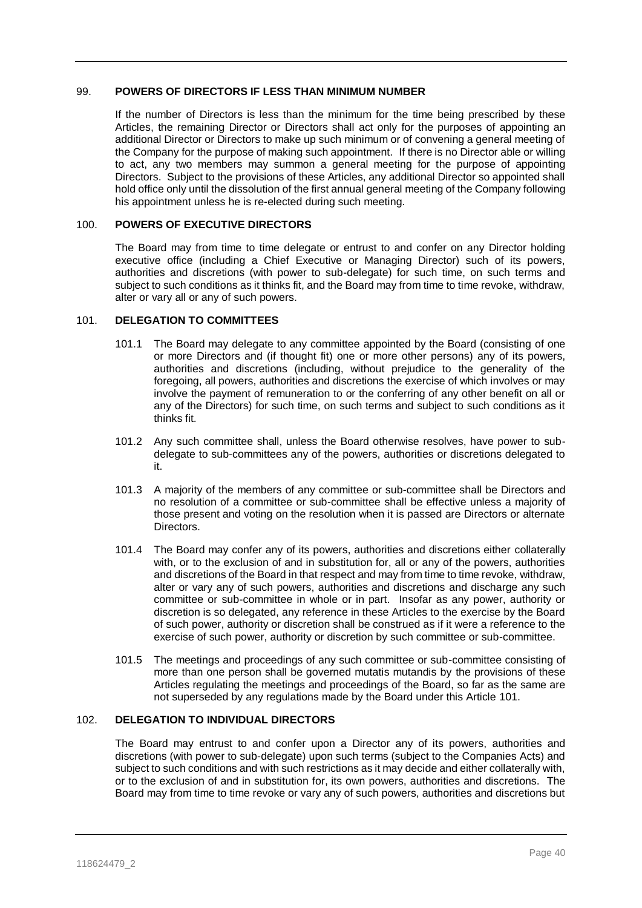## 99. **POWERS OF DIRECTORS IF LESS THAN MINIMUM NUMBER**

If the number of Directors is less than the minimum for the time being prescribed by these Articles, the remaining Director or Directors shall act only for the purposes of appointing an additional Director or Directors to make up such minimum or of convening a general meeting of the Company for the purpose of making such appointment. If there is no Director able or willing to act, any two members may summon a general meeting for the purpose of appointing Directors. Subject to the provisions of these Articles, any additional Director so appointed shall hold office only until the dissolution of the first annual general meeting of the Company following his appointment unless he is re-elected during such meeting.

# <span id="page-40-0"></span>100. **POWERS OF EXECUTIVE DIRECTORS**

The Board may from time to time delegate or entrust to and confer on any Director holding executive office (including a Chief Executive or Managing Director) such of its powers, authorities and discretions (with power to sub-delegate) for such time, on such terms and subject to such conditions as it thinks fit, and the Board may from time to time revoke, withdraw, alter or vary all or any of such powers.

## <span id="page-40-1"></span>101. **DELEGATION TO COMMITTEES**

- 101.1 The Board may delegate to any committee appointed by the Board (consisting of one or more Directors and (if thought fit) one or more other persons) any of its powers, authorities and discretions (including, without prejudice to the generality of the foregoing, all powers, authorities and discretions the exercise of which involves or may involve the payment of remuneration to or the conferring of any other benefit on all or any of the Directors) for such time, on such terms and subject to such conditions as it thinks fit.
- 101.2 Any such committee shall, unless the Board otherwise resolves, have power to subdelegate to sub-committees any of the powers, authorities or discretions delegated to it.
- 101.3 A majority of the members of any committee or sub-committee shall be Directors and no resolution of a committee or sub-committee shall be effective unless a majority of those present and voting on the resolution when it is passed are Directors or alternate Directors.
- <span id="page-40-2"></span>101.4 The Board may confer any of its powers, authorities and discretions either collaterally with, or to the exclusion of and in substitution for, all or any of the powers, authorities and discretions of the Board in that respect and may from time to time revoke, withdraw, alter or vary any of such powers, authorities and discretions and discharge any such committee or sub-committee in whole or in part. Insofar as any power, authority or discretion is so delegated, any reference in these Articles to the exercise by the Board of such power, authority or discretion shall be construed as if it were a reference to the exercise of such power, authority or discretion by such committee or sub-committee.
- 101.5 The meetings and proceedings of any such committee or sub-committee consisting of more than one person shall be governed mutatis mutandis by the provisions of these Articles regulating the meetings and proceedings of the Board, so far as the same are not superseded by any regulations made by the Board under this Article [101.](#page-40-1)

# <span id="page-40-3"></span>102. **DELEGATION TO INDIVIDUAL DIRECTORS**

The Board may entrust to and confer upon a Director any of its powers, authorities and discretions (with power to sub-delegate) upon such terms (subject to the Companies Acts) and subject to such conditions and with such restrictions as it may decide and either collaterally with, or to the exclusion of and in substitution for, its own powers, authorities and discretions. The Board may from time to time revoke or vary any of such powers, authorities and discretions but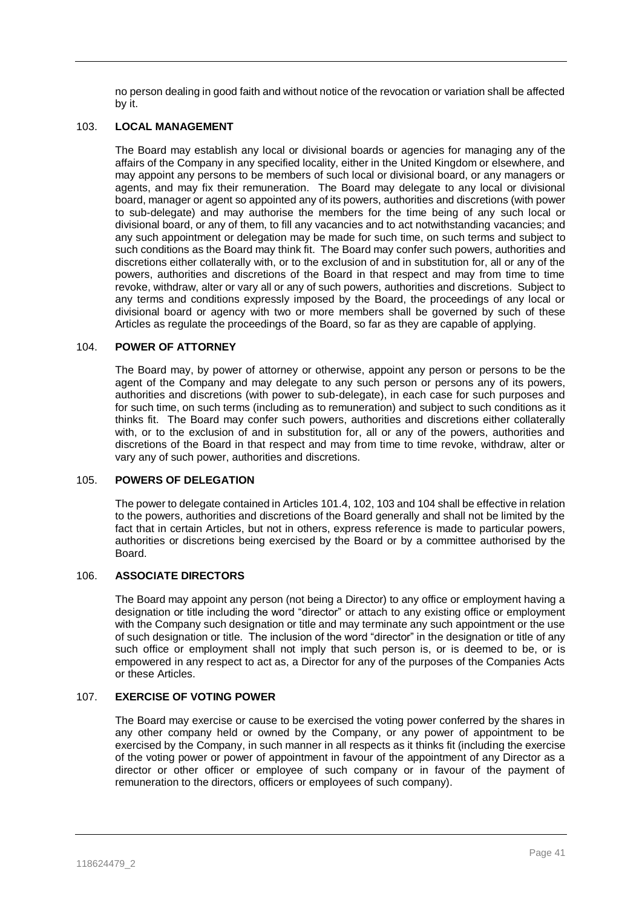no person dealing in good faith and without notice of the revocation or variation shall be affected by it.

#### <span id="page-41-0"></span>103. **LOCAL MANAGEMENT**

The Board may establish any local or divisional boards or agencies for managing any of the affairs of the Company in any specified locality, either in the United Kingdom or elsewhere, and may appoint any persons to be members of such local or divisional board, or any managers or agents, and may fix their remuneration. The Board may delegate to any local or divisional board, manager or agent so appointed any of its powers, authorities and discretions (with power to sub-delegate) and may authorise the members for the time being of any such local or divisional board, or any of them, to fill any vacancies and to act notwithstanding vacancies; and any such appointment or delegation may be made for such time, on such terms and subject to such conditions as the Board may think fit. The Board may confer such powers, authorities and discretions either collaterally with, or to the exclusion of and in substitution for, all or any of the powers, authorities and discretions of the Board in that respect and may from time to time revoke, withdraw, alter or vary all or any of such powers, authorities and discretions. Subject to any terms and conditions expressly imposed by the Board, the proceedings of any local or divisional board or agency with two or more members shall be governed by such of these Articles as regulate the proceedings of the Board, so far as they are capable of applying.

# <span id="page-41-1"></span>104. **POWER OF ATTORNEY**

The Board may, by power of attorney or otherwise, appoint any person or persons to be the agent of the Company and may delegate to any such person or persons any of its powers, authorities and discretions (with power to sub-delegate), in each case for such purposes and for such time, on such terms (including as to remuneration) and subject to such conditions as it thinks fit. The Board may confer such powers, authorities and discretions either collaterally with, or to the exclusion of and in substitution for, all or any of the powers, authorities and discretions of the Board in that respect and may from time to time revoke, withdraw, alter or vary any of such power, authorities and discretions.

#### 105. **POWERS OF DELEGATION**

The power to delegate contained in Article[s 101.4,](#page-40-2) [102,](#page-40-3) [103](#page-41-0) an[d 104](#page-41-1) shall be effective in relation to the powers, authorities and discretions of the Board generally and shall not be limited by the fact that in certain Articles, but not in others, express reference is made to particular powers, authorities or discretions being exercised by the Board or by a committee authorised by the Board.

# 106. **ASSOCIATE DIRECTORS**

The Board may appoint any person (not being a Director) to any office or employment having a designation or title including the word "director" or attach to any existing office or employment with the Company such designation or title and may terminate any such appointment or the use of such designation or title. The inclusion of the word "director" in the designation or title of any such office or employment shall not imply that such person is, or is deemed to be, or is empowered in any respect to act as, a Director for any of the purposes of the Companies Acts or these Articles.

# 107. **EXERCISE OF VOTING POWER**

The Board may exercise or cause to be exercised the voting power conferred by the shares in any other company held or owned by the Company, or any power of appointment to be exercised by the Company, in such manner in all respects as it thinks fit (including the exercise of the voting power or power of appointment in favour of the appointment of any Director as a director or other officer or employee of such company or in favour of the payment of remuneration to the directors, officers or employees of such company).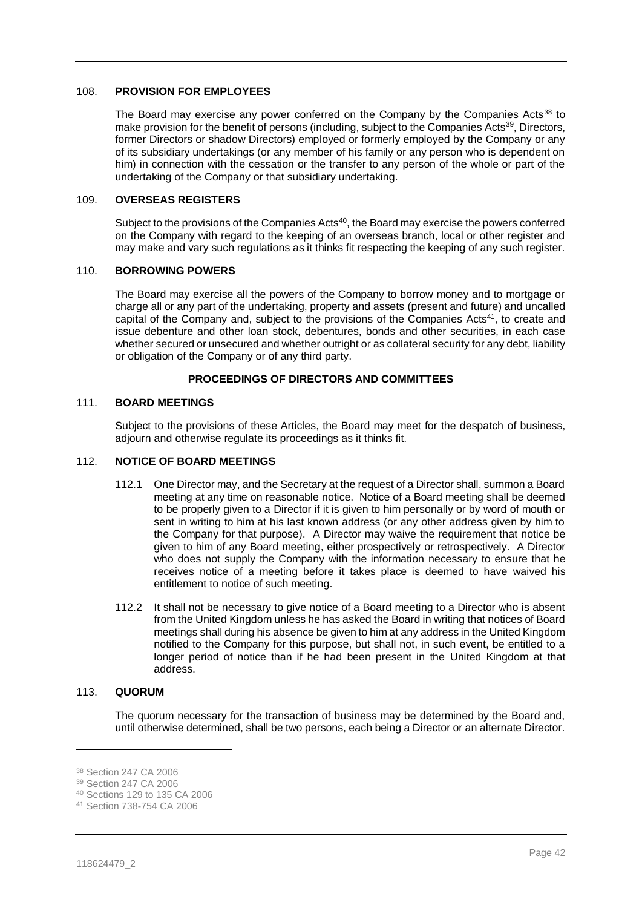#### 108. **PROVISION FOR EMPLOYEES**

The Board may exercise any power conferred on the Company by the Companies Acts<sup>38</sup> to make provision for the benefit of persons (including, subject to the Companies Acts<sup>39</sup>, Directors, former Directors or shadow Directors) employed or formerly employed by the Company or any of its subsidiary undertakings (or any member of his family or any person who is dependent on him) in connection with the cessation or the transfer to any person of the whole or part of the undertaking of the Company or that subsidiary undertaking.

# <span id="page-42-0"></span>109. **OVERSEAS REGISTERS**

Subject to the provisions of the Companies Acts<sup>40</sup>, the Board may exercise the powers conferred on the Company with regard to the keeping of an overseas branch, local or other register and may make and vary such regulations as it thinks fit respecting the keeping of any such register.

## 110. **BORROWING POWERS**

The Board may exercise all the powers of the Company to borrow money and to mortgage or charge all or any part of the undertaking, property and assets (present and future) and uncalled capital of the Company and, subject to the provisions of the Companies Acts<sup>41</sup>, to create and issue debenture and other loan stock, debentures, bonds and other securities, in each case whether secured or unsecured and whether outright or as collateral security for any debt, liability or obligation of the Company or of any third party.

# **PROCEEDINGS OF DIRECTORS AND COMMITTEES**

#### 111. **BOARD MEETINGS**

Subject to the provisions of these Articles, the Board may meet for the despatch of business, adjourn and otherwise regulate its proceedings as it thinks fit.

#### 112. **NOTICE OF BOARD MEETINGS**

- 112.1 One Director may, and the Secretary at the request of a Director shall, summon a Board meeting at any time on reasonable notice. Notice of a Board meeting shall be deemed to be properly given to a Director if it is given to him personally or by word of mouth or sent in writing to him at his last known address (or any other address given by him to the Company for that purpose). A Director may waive the requirement that notice be given to him of any Board meeting, either prospectively or retrospectively. A Director who does not supply the Company with the information necessary to ensure that he receives notice of a meeting before it takes place is deemed to have waived his entitlement to notice of such meeting.
- 112.2 It shall not be necessary to give notice of a Board meeting to a Director who is absent from the United Kingdom unless he has asked the Board in writing that notices of Board meetings shall during his absence be given to him at any address in the United Kingdom notified to the Company for this purpose, but shall not, in such event, be entitled to a longer period of notice than if he had been present in the United Kingdom at that address.

# 113. **QUORUM**

The quorum necessary for the transaction of business may be determined by the Board and, until otherwise determined, shall be two persons, each being a Director or an alternate Director.

 $\overline{a}$ 

<sup>38</sup> Section 247 CA 2006

<sup>39</sup> Section 247 CA 2006

<sup>40</sup> Sections 129 to 135 CA 2006

<sup>41</sup> Section 738-754 CA 2006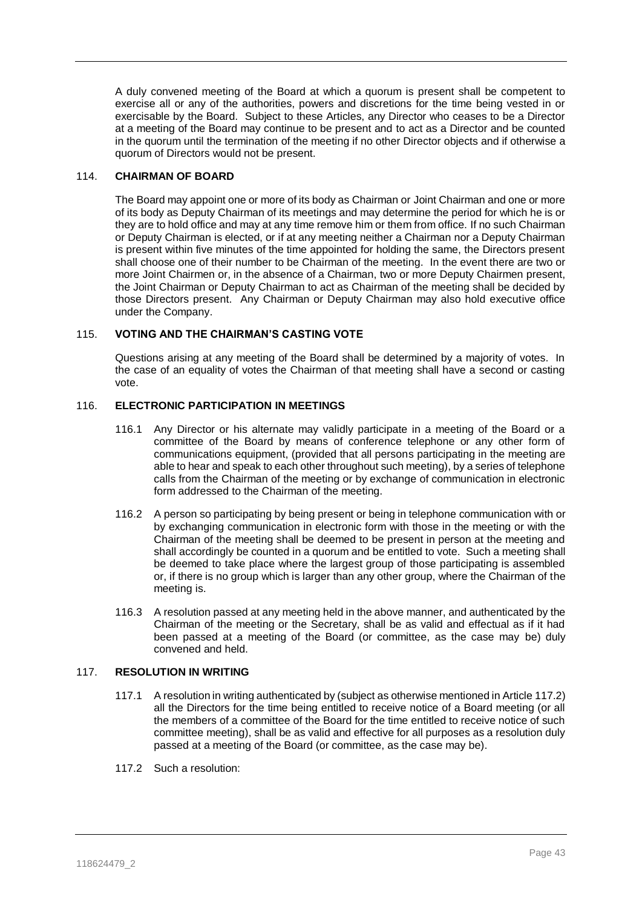A duly convened meeting of the Board at which a quorum is present shall be competent to exercise all or any of the authorities, powers and discretions for the time being vested in or exercisable by the Board. Subject to these Articles, any Director who ceases to be a Director at a meeting of the Board may continue to be present and to act as a Director and be counted in the quorum until the termination of the meeting if no other Director objects and if otherwise a quorum of Directors would not be present.

# 114. **CHAIRMAN OF BOARD**

The Board may appoint one or more of its body as Chairman or Joint Chairman and one or more of its body as Deputy Chairman of its meetings and may determine the period for which he is or they are to hold office and may at any time remove him or them from office. If no such Chairman or Deputy Chairman is elected, or if at any meeting neither a Chairman nor a Deputy Chairman is present within five minutes of the time appointed for holding the same, the Directors present shall choose one of their number to be Chairman of the meeting. In the event there are two or more Joint Chairmen or, in the absence of a Chairman, two or more Deputy Chairmen present, the Joint Chairman or Deputy Chairman to act as Chairman of the meeting shall be decided by those Directors present. Any Chairman or Deputy Chairman may also hold executive office under the Company.

# 115. **VOTING AND THE CHAIRMAN'S CASTING VOTE**

Questions arising at any meeting of the Board shall be determined by a majority of votes. In the case of an equality of votes the Chairman of that meeting shall have a second or casting vote.

## 116. **ELECTRONIC PARTICIPATION IN MEETINGS**

- 116.1 Any Director or his alternate may validly participate in a meeting of the Board or a committee of the Board by means of conference telephone or any other form of communications equipment, (provided that all persons participating in the meeting are able to hear and speak to each other throughout such meeting), by a series of telephone calls from the Chairman of the meeting or by exchange of communication in electronic form addressed to the Chairman of the meeting.
- 116.2 A person so participating by being present or being in telephone communication with or by exchanging communication in electronic form with those in the meeting or with the Chairman of the meeting shall be deemed to be present in person at the meeting and shall accordingly be counted in a quorum and be entitled to vote. Such a meeting shall be deemed to take place where the largest group of those participating is assembled or, if there is no group which is larger than any other group, where the Chairman of the meeting is.
- 116.3 A resolution passed at any meeting held in the above manner, and authenticated by the Chairman of the meeting or the Secretary, shall be as valid and effectual as if it had been passed at a meeting of the Board (or committee, as the case may be) duly convened and held.

# 117. **RESOLUTION IN WRITING**

- 117.1 A resolution in writing authenticated by (subject as otherwise mentioned in Articl[e 117.2\)](#page-43-0) all the Directors for the time being entitled to receive notice of a Board meeting (or all the members of a committee of the Board for the time entitled to receive notice of such committee meeting), shall be as valid and effective for all purposes as a resolution duly passed at a meeting of the Board (or committee, as the case may be).
- <span id="page-43-0"></span>117.2 Such a resolution: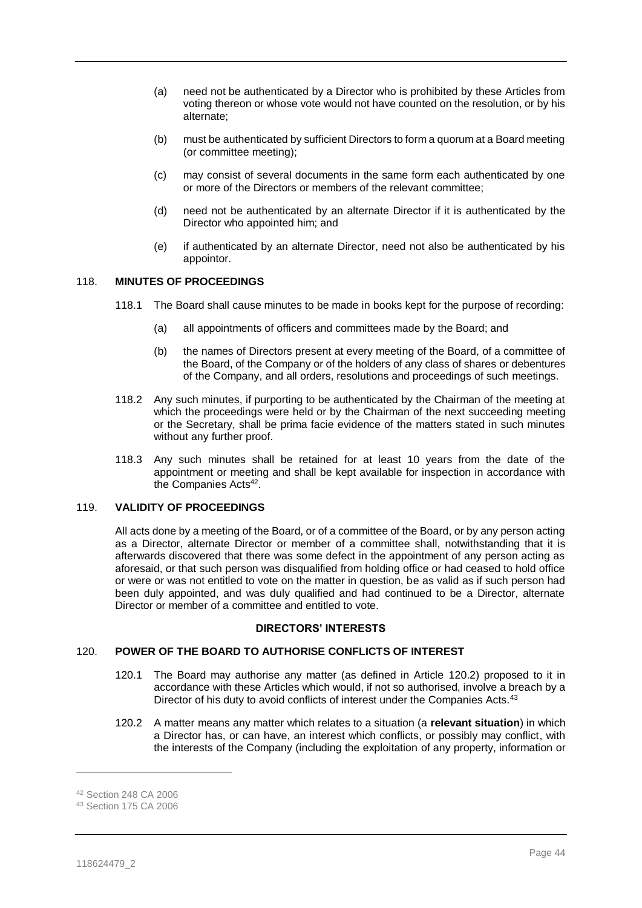- (a) need not be authenticated by a Director who is prohibited by these Articles from voting thereon or whose vote would not have counted on the resolution, or by his alternate;
- (b) must be authenticated by sufficient Directors to form a quorum at a Board meeting (or committee meeting);
- (c) may consist of several documents in the same form each authenticated by one or more of the Directors or members of the relevant committee;
- (d) need not be authenticated by an alternate Director if it is authenticated by the Director who appointed him; and
- (e) if authenticated by an alternate Director, need not also be authenticated by his appointor.

# 118. **MINUTES OF PROCEEDINGS**

- 118.1 The Board shall cause minutes to be made in books kept for the purpose of recording:
	- (a) all appointments of officers and committees made by the Board; and
	- (b) the names of Directors present at every meeting of the Board, of a committee of the Board, of the Company or of the holders of any class of shares or debentures of the Company, and all orders, resolutions and proceedings of such meetings.
- 118.2 Any such minutes, if purporting to be authenticated by the Chairman of the meeting at which the proceedings were held or by the Chairman of the next succeeding meeting or the Secretary, shall be prima facie evidence of the matters stated in such minutes without any further proof.
- 118.3 Any such minutes shall be retained for at least 10 years from the date of the appointment or meeting and shall be kept available for inspection in accordance with the Companies Acts<sup>42</sup>.

# 119. **VALIDITY OF PROCEEDINGS**

All acts done by a meeting of the Board, or of a committee of the Board, or by any person acting as a Director, alternate Director or member of a committee shall, notwithstanding that it is afterwards discovered that there was some defect in the appointment of any person acting as aforesaid, or that such person was disqualified from holding office or had ceased to hold office or were or was not entitled to vote on the matter in question, be as valid as if such person had been duly appointed, and was duly qualified and had continued to be a Director, alternate Director or member of a committee and entitled to vote.

#### **DIRECTORS' INTERESTS**

# <span id="page-44-2"></span><span id="page-44-0"></span>120. **POWER OF THE BOARD TO AUTHORISE CONFLICTS OF INTEREST**

- 120.1 The Board may authorise any matter (as defined in Article [120.2\)](#page-44-1) proposed to it in accordance with these Articles which would, if not so authorised, involve a breach by a Director of his duty to avoid conflicts of interest under the Companies Acts.<sup>43</sup>
- <span id="page-44-1"></span>120.2 A matter means any matter which relates to a situation (a **relevant situation**) in which a Director has, or can have, an interest which conflicts, or possibly may conflict, with the interests of the Company (including the exploitation of any property, information or

<sup>42</sup> Section 248 CA 2006

<sup>43</sup> Section 175 CA 2006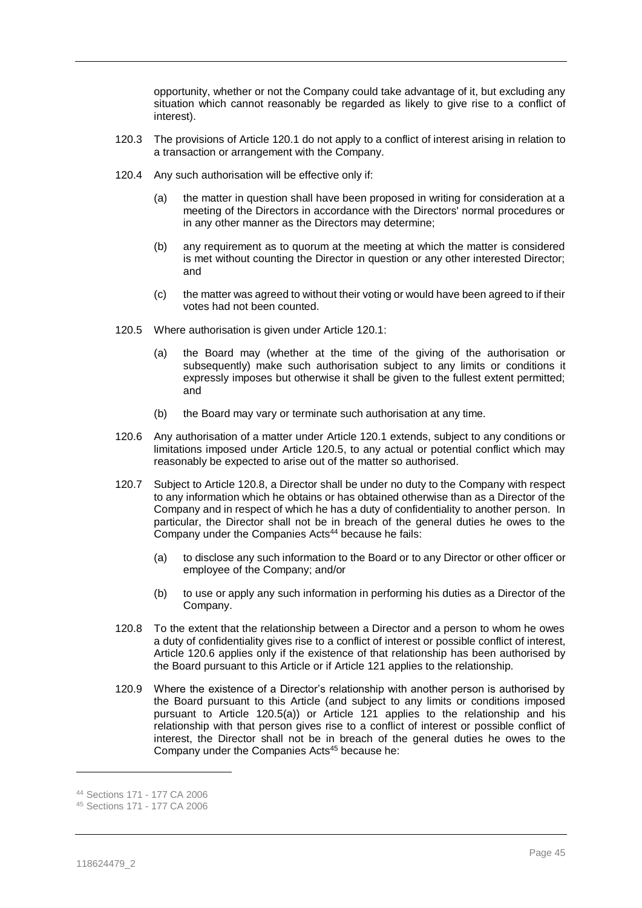opportunity, whether or not the Company could take advantage of it, but excluding any situation which cannot reasonably be regarded as likely to give rise to a conflict of interest).

- 120.3 The provisions of Article [120.1](#page-44-2) do not apply to a conflict of interest arising in relation to a transaction or arrangement with the Company.
- 120.4 Any such authorisation will be effective only if:
	- (a) the matter in question shall have been proposed in writing for consideration at a meeting of the Directors in accordance with the Directors' normal procedures or in any other manner as the Directors may determine;
	- (b) any requirement as to quorum at the meeting at which the matter is considered is met without counting the Director in question or any other interested Director; and
	- (c) the matter was agreed to without their voting or would have been agreed to if their votes had not been counted.
- <span id="page-45-3"></span><span id="page-45-0"></span>120.5 Where authorisation is given under Article [120.1:](#page-44-2)
	- (a) the Board may (whether at the time of the giving of the authorisation or subsequently) make such authorisation subject to any limits or conditions it expressly imposes but otherwise it shall be given to the fullest extent permitted; and
	- (b) the Board may vary or terminate such authorisation at any time.
- <span id="page-45-2"></span>120.6 Any authorisation of a matter under Article [120.1](#page-44-2) extends, subject to any conditions or limitations imposed under Article [120.5,](#page-45-0) to any actual or potential conflict which may reasonably be expected to arise out of the matter so authorised.
- 120.7 Subject to Article [120.8,](#page-45-1) a Director shall be under no duty to the Company with respect to any information which he obtains or has obtained otherwise than as a Director of the Company and in respect of which he has a duty of confidentiality to another person. In particular, the Director shall not be in breach of the general duties he owes to the Company under the Companies Acts<sup>44</sup> because he fails:
	- (a) to disclose any such information to the Board or to any Director or other officer or employee of the Company; and/or
	- (b) to use or apply any such information in performing his duties as a Director of the Company.
- <span id="page-45-1"></span>120.8 To the extent that the relationship between a Director and a person to whom he owes a duty of confidentiality gives rise to a conflict of interest or possible conflict of interest, Article [120.6](#page-45-2) applies only if the existence of that relationship has been authorised by the Board pursuant to this Article or if Article [121](#page-46-0) applies to the relationship.
- <span id="page-45-4"></span>120.9 Where the existence of a Director's relationship with another person is authorised by the Board pursuant to this Article (and subject to any limits or conditions imposed pursuant to Article [120.5\(a\)\)](#page-45-3) or Article [121](#page-46-0) applies to the relationship and his relationship with that person gives rise to a conflict of interest or possible conflict of interest, the Director shall not be in breach of the general duties he owes to the Company under the Companies Acts<sup>45</sup> because he:

<sup>44</sup> Sections 171 - 177 CA 2006

<sup>45</sup> Sections 171 - 177 CA 2006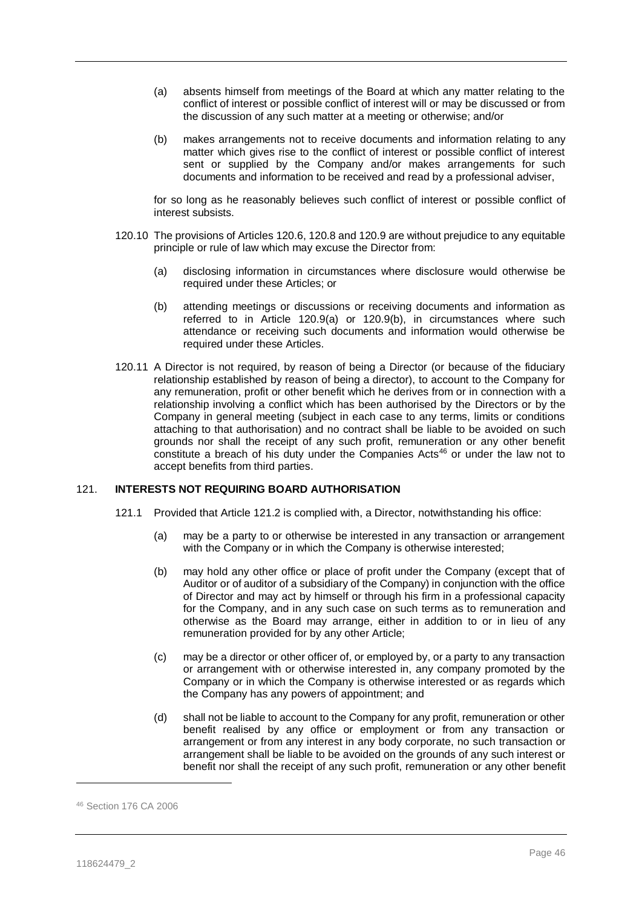- <span id="page-46-1"></span>(a) absents himself from meetings of the Board at which any matter relating to the conflict of interest or possible conflict of interest will or may be discussed or from the discussion of any such matter at a meeting or otherwise; and/or
- <span id="page-46-2"></span>(b) makes arrangements not to receive documents and information relating to any matter which gives rise to the conflict of interest or possible conflict of interest sent or supplied by the Company and/or makes arrangements for such documents and information to be received and read by a professional adviser,

for so long as he reasonably believes such conflict of interest or possible conflict of interest subsists.

- 120.10 The provisions of Articles [120.6,](#page-45-2) [120.8](#page-45-1) and [120.9](#page-45-4) are without prejudice to any equitable principle or rule of law which may excuse the Director from:
	- (a) disclosing information in circumstances where disclosure would otherwise be required under these Articles; or
	- (b) attending meetings or discussions or receiving documents and information as referred to in Article [120.9\(a\)](#page-46-1) or [120.9\(b\),](#page-46-2) in circumstances where such attendance or receiving such documents and information would otherwise be required under these Articles.
- 120.11 A Director is not required, by reason of being a Director (or because of the fiduciary relationship established by reason of being a director), to account to the Company for any remuneration, profit or other benefit which he derives from or in connection with a relationship involving a conflict which has been authorised by the Directors or by the Company in general meeting (subject in each case to any terms, limits or conditions attaching to that authorisation) and no contract shall be liable to be avoided on such grounds nor shall the receipt of any such profit, remuneration or any other benefit constitute a breach of his duty under the Companies Acts<sup>46</sup> or under the law not to accept benefits from third parties.

# <span id="page-46-0"></span>121. **INTERESTS NOT REQUIRING BOARD AUTHORISATION**

- 121.1 Provided that Article [121.2](#page-47-0) is complied with, a Director, notwithstanding his office:
	- (a) may be a party to or otherwise be interested in any transaction or arrangement with the Company or in which the Company is otherwise interested;
	- (b) may hold any other office or place of profit under the Company (except that of Auditor or of auditor of a subsidiary of the Company) in conjunction with the office of Director and may act by himself or through his firm in a professional capacity for the Company, and in any such case on such terms as to remuneration and otherwise as the Board may arrange, either in addition to or in lieu of any remuneration provided for by any other Article;
	- (c) may be a director or other officer of, or employed by, or a party to any transaction or arrangement with or otherwise interested in, any company promoted by the Company or in which the Company is otherwise interested or as regards which the Company has any powers of appointment; and
	- (d) shall not be liable to account to the Company for any profit, remuneration or other benefit realised by any office or employment or from any transaction or arrangement or from any interest in any body corporate, no such transaction or arrangement shall be liable to be avoided on the grounds of any such interest or benefit nor shall the receipt of any such profit, remuneration or any other benefit

<sup>46</sup> Section 176 CA 2006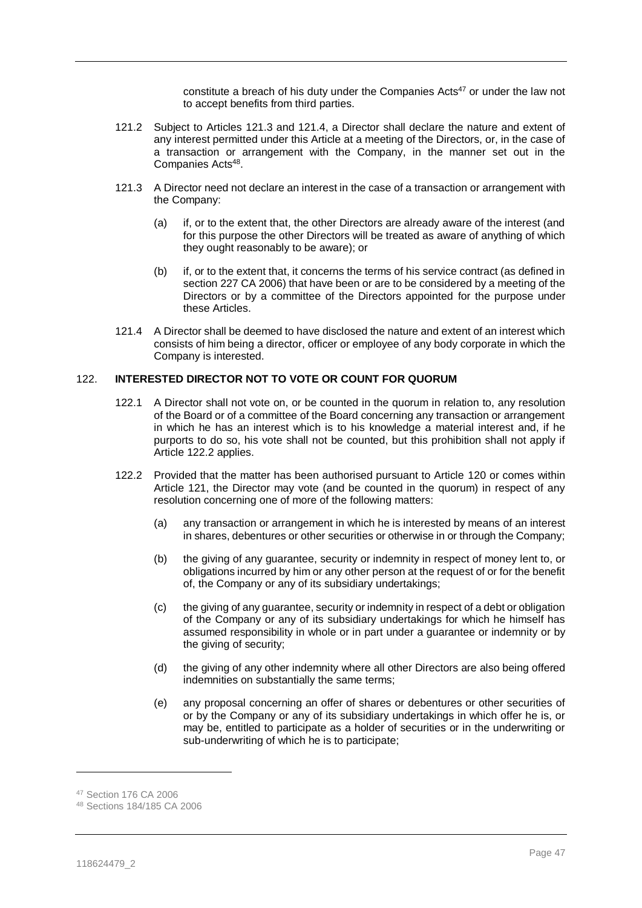constitute a breach of his duty under the Companies Acts<sup>47</sup> or under the law not to accept benefits from third parties.

- <span id="page-47-0"></span>121.2 Subject to Articles [121.3](#page-47-1) and [121.4,](#page-47-2) a Director shall declare the nature and extent of any interest permitted under this Article at a meeting of the Directors, or, in the case of a transaction or arrangement with the Company, in the manner set out in the Companies Acts<sup>48</sup>.
- <span id="page-47-1"></span>121.3 A Director need not declare an interest in the case of a transaction or arrangement with the Company:
	- (a) if, or to the extent that, the other Directors are already aware of the interest (and for this purpose the other Directors will be treated as aware of anything of which they ought reasonably to be aware); or
	- (b) if, or to the extent that, it concerns the terms of his service contract (as defined in section 227 CA 2006) that have been or are to be considered by a meeting of the Directors or by a committee of the Directors appointed for the purpose under these Articles.
- <span id="page-47-2"></span>121.4 A Director shall be deemed to have disclosed the nature and extent of an interest which consists of him being a director, officer or employee of any body corporate in which the Company is interested.

# <span id="page-47-4"></span>122. **INTERESTED DIRECTOR NOT TO VOTE OR COUNT FOR QUORUM**

- 122.1 A Director shall not vote on, or be counted in the quorum in relation to, any resolution of the Board or of a committee of the Board concerning any transaction or arrangement in which he has an interest which is to his knowledge a material interest and, if he purports to do so, his vote shall not be counted, but this prohibition shall not apply if Article [122.2](#page-47-3) applies.
- <span id="page-47-3"></span>122.2 Provided that the matter has been authorised pursuant to Article [120](#page-44-0) or comes within Article [121,](#page-46-0) the Director may vote (and be counted in the quorum) in respect of any resolution concerning one of more of the following matters:
	- (a) any transaction or arrangement in which he is interested by means of an interest in shares, debentures or other securities or otherwise in or through the Company;
	- (b) the giving of any guarantee, security or indemnity in respect of money lent to, or obligations incurred by him or any other person at the request of or for the benefit of, the Company or any of its subsidiary undertakings;
	- (c) the giving of any guarantee, security or indemnity in respect of a debt or obligation of the Company or any of its subsidiary undertakings for which he himself has assumed responsibility in whole or in part under a guarantee or indemnity or by the giving of security;
	- (d) the giving of any other indemnity where all other Directors are also being offered indemnities on substantially the same terms;
	- (e) any proposal concerning an offer of shares or debentures or other securities of or by the Company or any of its subsidiary undertakings in which offer he is, or may be, entitled to participate as a holder of securities or in the underwriting or sub-underwriting of which he is to participate;

<sup>47</sup> Section 176 CA 2006

<sup>48</sup> Sections 184/185 CA 2006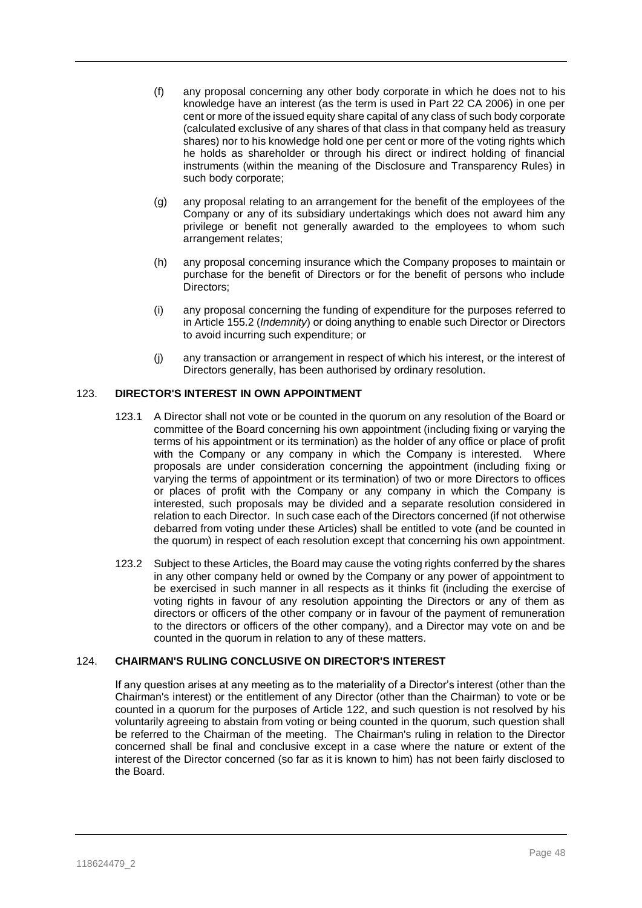- (f) any proposal concerning any other body corporate in which he does not to his knowledge have an interest (as the term is used in Part 22 CA 2006) in one per cent or more of the issued equity share capital of any class of such body corporate (calculated exclusive of any shares of that class in that company held as treasury shares) nor to his knowledge hold one per cent or more of the voting rights which he holds as shareholder or through his direct or indirect holding of financial instruments (within the meaning of the Disclosure and Transparency Rules) in such body corporate;
- (g) any proposal relating to an arrangement for the benefit of the employees of the Company or any of its subsidiary undertakings which does not award him any privilege or benefit not generally awarded to the employees to whom such arrangement relates;
- (h) any proposal concerning insurance which the Company proposes to maintain or purchase for the benefit of Directors or for the benefit of persons who include Directors:
- (i) any proposal concerning the funding of expenditure for the purposes referred to in Articl[e 155.2](#page-60-1) (*Indemnity*) or doing anything to enable such Director or Directors to avoid incurring such expenditure; or
- (j) any transaction or arrangement in respect of which his interest, or the interest of Directors generally, has been authorised by ordinary resolution.

# 123. **DIRECTOR'S INTEREST IN OWN APPOINTMENT**

- 123.1 A Director shall not vote or be counted in the quorum on any resolution of the Board or committee of the Board concerning his own appointment (including fixing or varying the terms of his appointment or its termination) as the holder of any office or place of profit with the Company or any company in which the Company is interested. Where proposals are under consideration concerning the appointment (including fixing or varying the terms of appointment or its termination) of two or more Directors to offices or places of profit with the Company or any company in which the Company is interested, such proposals may be divided and a separate resolution considered in relation to each Director. In such case each of the Directors concerned (if not otherwise debarred from voting under these Articles) shall be entitled to vote (and be counted in the quorum) in respect of each resolution except that concerning his own appointment.
- 123.2 Subject to these Articles, the Board may cause the voting rights conferred by the shares in any other company held or owned by the Company or any power of appointment to be exercised in such manner in all respects as it thinks fit (including the exercise of voting rights in favour of any resolution appointing the Directors or any of them as directors or officers of the other company or in favour of the payment of remuneration to the directors or officers of the other company), and a Director may vote on and be counted in the quorum in relation to any of these matters.

# 124. **CHAIRMAN'S RULING CONCLUSIVE ON DIRECTOR'S INTEREST**

If any question arises at any meeting as to the materiality of a Director's interest (other than the Chairman's interest) or the entitlement of any Director (other than the Chairman) to vote or be counted in a quorum for the purposes of Article [122,](#page-47-4) and such question is not resolved by his voluntarily agreeing to abstain from voting or being counted in the quorum, such question shall be referred to the Chairman of the meeting. The Chairman's ruling in relation to the Director concerned shall be final and conclusive except in a case where the nature or extent of the interest of the Director concerned (so far as it is known to him) has not been fairly disclosed to the Board.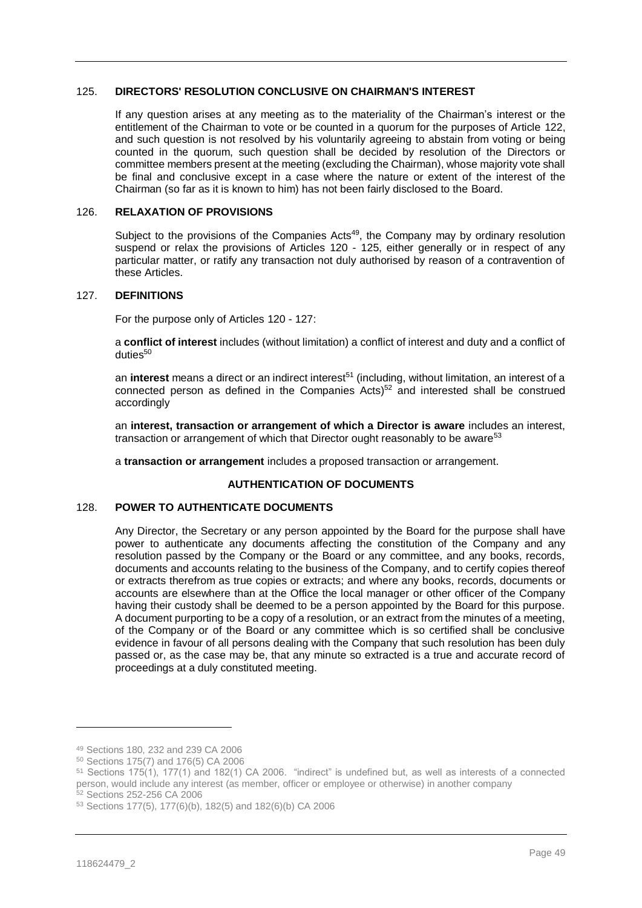# <span id="page-49-1"></span>125. **DIRECTORS' RESOLUTION CONCLUSIVE ON CHAIRMAN'S INTEREST**

If any question arises at any meeting as to the materiality of the Chairman's interest or the entitlement of the Chairman to vote or be counted in a quorum for the purposes of Article [122,](#page-47-4) and such question is not resolved by his voluntarily agreeing to abstain from voting or being counted in the quorum, such question shall be decided by resolution of the Directors or committee members present at the meeting (excluding the Chairman), whose majority vote shall be final and conclusive except in a case where the nature or extent of the interest of the Chairman (so far as it is known to him) has not been fairly disclosed to the Board.

# 126. **RELAXATION OF PROVISIONS**

Subject to the provisions of the Companies Acts<sup>49</sup>, the Company may by ordinary resolution suspend or relax the provisions of Articles [120](#page-44-0) - [125,](#page-49-1) either generally or in respect of any particular matter, or ratify any transaction not duly authorised by reason of a contravention of these Articles.

#### <span id="page-49-0"></span>127. **DEFINITIONS**

For the purpose only of Articles [120](#page-44-0) - [127:](#page-49-0)

a **conflict of interest** includes (without limitation) a conflict of interest and duty and a conflict of duties<sup>50</sup>

an **interest** means a direct or an indirect interest<sup>51</sup> (including, without limitation, an interest of a connected person as defined in the Companies Acts $52$  and interested shall be construed accordingly

an **interest, transaction or arrangement of which a Director is aware** includes an interest, transaction or arrangement of which that Director ought reasonably to be aware<sup>53</sup>

a **transaction or arrangement** includes a proposed transaction or arrangement.

# **AUTHENTICATION OF DOCUMENTS**

# 128. **POWER TO AUTHENTICATE DOCUMENTS**

Any Director, the Secretary or any person appointed by the Board for the purpose shall have power to authenticate any documents affecting the constitution of the Company and any resolution passed by the Company or the Board or any committee, and any books, records, documents and accounts relating to the business of the Company, and to certify copies thereof or extracts therefrom as true copies or extracts; and where any books, records, documents or accounts are elsewhere than at the Office the local manager or other officer of the Company having their custody shall be deemed to be a person appointed by the Board for this purpose. A document purporting to be a copy of a resolution, or an extract from the minutes of a meeting, of the Company or of the Board or any committee which is so certified shall be conclusive evidence in favour of all persons dealing with the Company that such resolution has been duly passed or, as the case may be, that any minute so extracted is a true and accurate record of proceedings at a duly constituted meeting.

<sup>49</sup> Sections 180, 232 and 239 CA 2006

<sup>50</sup> Sections 175(7) and 176(5) CA 2006

<sup>51</sup> Sections 175(1), 177(1) and 182(1) CA 2006. "indirect" is undefined but, as well as interests of a connected person, would include any interest (as member, officer or employee or otherwise) in another company <sup>52</sup> Sections 252-256 CA 2006

<sup>53</sup> Sections 177(5), 177(6)(b), 182(5) and 182(6)(b) CA 2006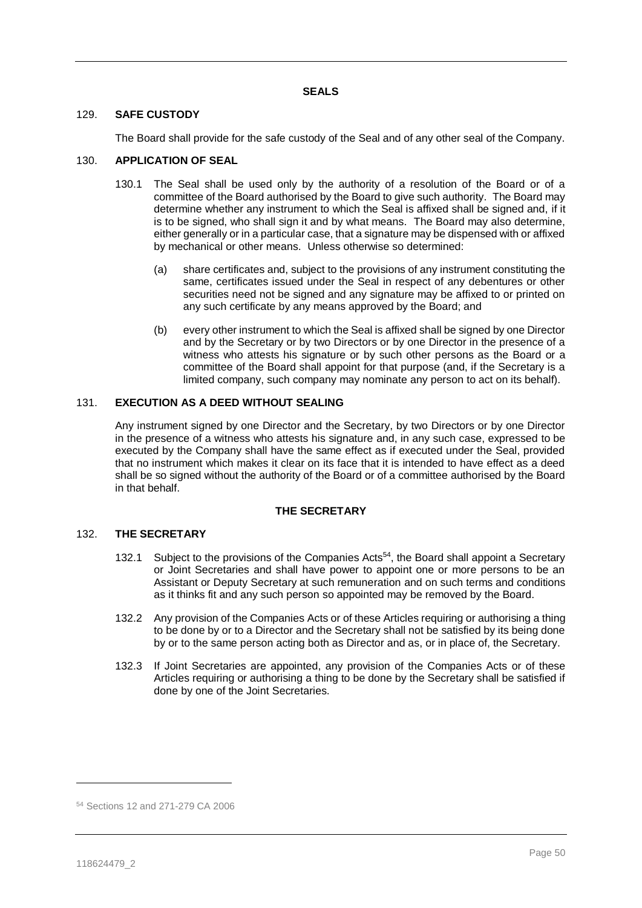# 129. **SAFE CUSTODY**

The Board shall provide for the safe custody of the Seal and of any other seal of the Company.

#### <span id="page-50-0"></span>130. **APPLICATION OF SEAL**

- 130.1 The Seal shall be used only by the authority of a resolution of the Board or of a committee of the Board authorised by the Board to give such authority. The Board may determine whether any instrument to which the Seal is affixed shall be signed and, if it is to be signed, who shall sign it and by what means. The Board may also determine, either generally or in a particular case, that a signature may be dispensed with or affixed by mechanical or other means. Unless otherwise so determined:
	- (a) share certificates and, subject to the provisions of any instrument constituting the same, certificates issued under the Seal in respect of any debentures or other securities need not be signed and any signature may be affixed to or printed on any such certificate by any means approved by the Board; and
	- (b) every other instrument to which the Seal is affixed shall be signed by one Director and by the Secretary or by two Directors or by one Director in the presence of a witness who attests his signature or by such other persons as the Board or a committee of the Board shall appoint for that purpose (and, if the Secretary is a limited company, such company may nominate any person to act on its behalf).

## 131. **EXECUTION AS A DEED WITHOUT SEALING**

Any instrument signed by one Director and the Secretary, by two Directors or by one Director in the presence of a witness who attests his signature and, in any such case, expressed to be executed by the Company shall have the same effect as if executed under the Seal, provided that no instrument which makes it clear on its face that it is intended to have effect as a deed shall be so signed without the authority of the Board or of a committee authorised by the Board in that behalf.

#### **THE SECRETARY**

# 132. **THE SECRETARY**

- 132.1 Subject to the provisions of the Companies Acts<sup>54</sup>, the Board shall appoint a Secretary or Joint Secretaries and shall have power to appoint one or more persons to be an Assistant or Deputy Secretary at such remuneration and on such terms and conditions as it thinks fit and any such person so appointed may be removed by the Board.
- 132.2 Any provision of the Companies Acts or of these Articles requiring or authorising a thing to be done by or to a Director and the Secretary shall not be satisfied by its being done by or to the same person acting both as Director and as, or in place of, the Secretary.
- 132.3 If Joint Secretaries are appointed, any provision of the Companies Acts or of these Articles requiring or authorising a thing to be done by the Secretary shall be satisfied if done by one of the Joint Secretaries.

<sup>54</sup> Sections 12 and 271-279 CA 2006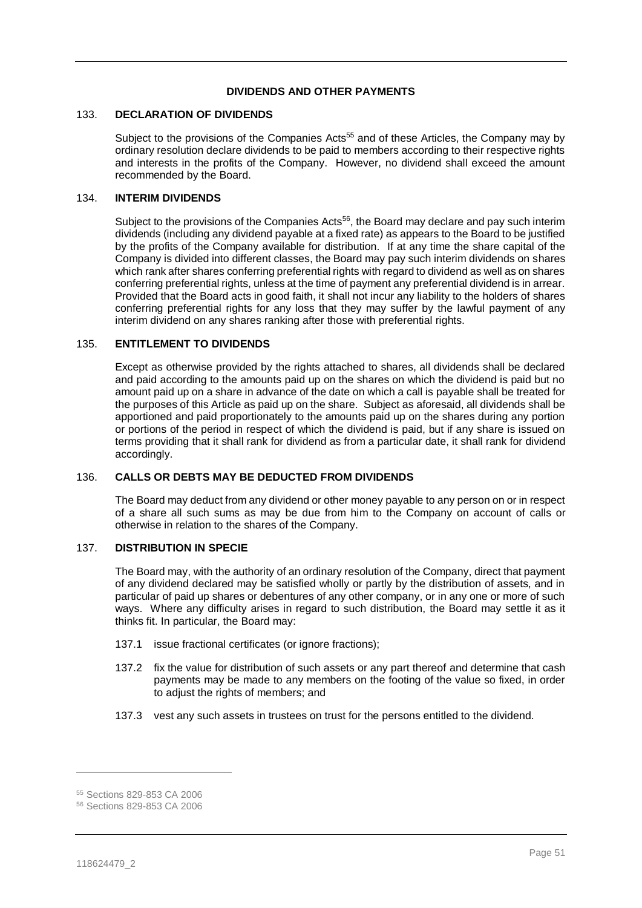# **DIVIDENDS AND OTHER PAYMENTS**

## 133. **DECLARATION OF DIVIDENDS**

Subject to the provisions of the Companies Acts<sup>55</sup> and of these Articles, the Company may by ordinary resolution declare dividends to be paid to members according to their respective rights and interests in the profits of the Company. However, no dividend shall exceed the amount recommended by the Board.

#### 134. **INTERIM DIVIDENDS**

Subject to the provisions of the Companies Acts<sup>56</sup>, the Board may declare and pay such interim dividends (including any dividend payable at a fixed rate) as appears to the Board to be justified by the profits of the Company available for distribution. If at any time the share capital of the Company is divided into different classes, the Board may pay such interim dividends on shares which rank after shares conferring preferential rights with regard to dividend as well as on shares conferring preferential rights, unless at the time of payment any preferential dividend is in arrear. Provided that the Board acts in good faith, it shall not incur any liability to the holders of shares conferring preferential rights for any loss that they may suffer by the lawful payment of any interim dividend on any shares ranking after those with preferential rights.

#### 135. **ENTITLEMENT TO DIVIDENDS**

Except as otherwise provided by the rights attached to shares, all dividends shall be declared and paid according to the amounts paid up on the shares on which the dividend is paid but no amount paid up on a share in advance of the date on which a call is payable shall be treated for the purposes of this Article as paid up on the share. Subject as aforesaid, all dividends shall be apportioned and paid proportionately to the amounts paid up on the shares during any portion or portions of the period in respect of which the dividend is paid, but if any share is issued on terms providing that it shall rank for dividend as from a particular date, it shall rank for dividend accordingly.

# 136. **CALLS OR DEBTS MAY BE DEDUCTED FROM DIVIDENDS**

The Board may deduct from any dividend or other money payable to any person on or in respect of a share all such sums as may be due from him to the Company on account of calls or otherwise in relation to the shares of the Company.

## 137. **DISTRIBUTION IN SPECIE**

The Board may, with the authority of an ordinary resolution of the Company, direct that payment of any dividend declared may be satisfied wholly or partly by the distribution of assets, and in particular of paid up shares or debentures of any other company, or in any one or more of such ways. Where any difficulty arises in regard to such distribution, the Board may settle it as it thinks fit. In particular, the Board may:

- 137.1 issue fractional certificates (or ignore fractions):
- 137.2 fix the value for distribution of such assets or any part thereof and determine that cash payments may be made to any members on the footing of the value so fixed, in order to adjust the rights of members; and
- 137.3 vest any such assets in trustees on trust for the persons entitled to the dividend.

<sup>55</sup> Sections 829-853 CA 2006

<sup>56</sup> Sections 829-853 CA 2006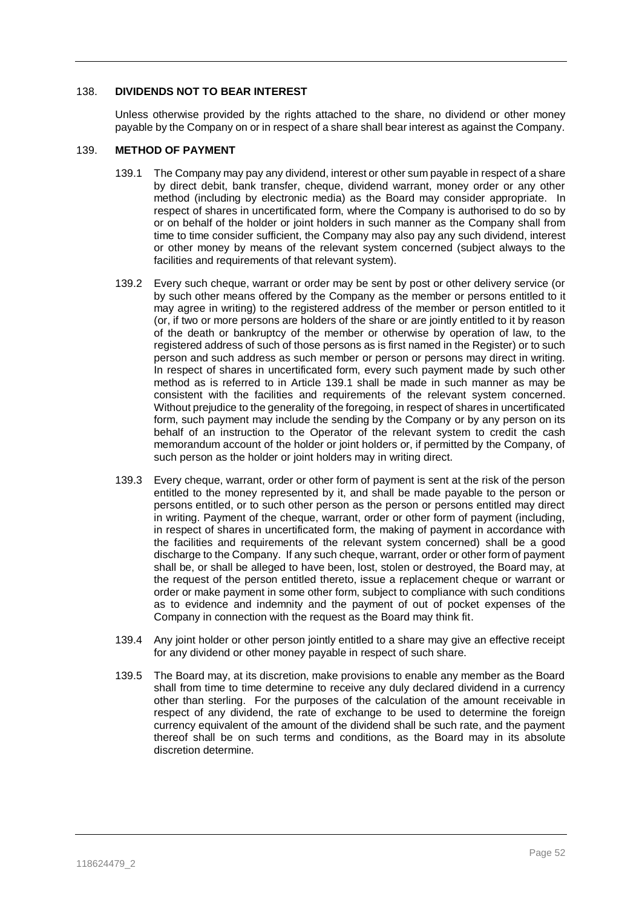# 138. **DIVIDENDS NOT TO BEAR INTEREST**

Unless otherwise provided by the rights attached to the share, no dividend or other money payable by the Company on or in respect of a share shall bear interest as against the Company.

#### <span id="page-52-1"></span><span id="page-52-0"></span>139. **METHOD OF PAYMENT**

- 139.1 The Company may pay any dividend, interestor other sum payable in respect of a share by direct debit, bank transfer, cheque, dividend warrant, money order or any other method (including by electronic media) as the Board may consider appropriate. In respect of shares in uncertificated form, where the Company is authorised to do so by or on behalf of the holder or joint holders in such manner as the Company shall from time to time consider sufficient, the Company may also pay any such dividend, interest or other money by means of the relevant system concerned (subject always to the facilities and requirements of that relevant system).
- 139.2 Every such cheque, warrant or order may be sent by post or other delivery service (or by such other means offered by the Company as the member or persons entitled to it may agree in writing) to the registered address of the member or person entitled to it (or, if two or more persons are holders of the share or are jointly entitled to it by reason of the death or bankruptcy of the member or otherwise by operation of law, to the registered address of such of those persons as is first named in the Register) or to such person and such address as such member or person or persons may direct in writing. In respect of shares in uncertificated form, every such payment made by such other method as is referred to in Article [139.1](#page-52-0) shall be made in such manner as may be consistent with the facilities and requirements of the relevant system concerned. Without prejudice to the generality of the foregoing, in respect of shares in uncertificated form, such payment may include the sending by the Company or by any person on its behalf of an instruction to the Operator of the relevant system to credit the cash memorandum account of the holder or joint holders or, if permitted by the Company, of such person as the holder or joint holders may in writing direct.
- 139.3 Every cheque, warrant, order or other form of payment is sent at the risk of the person entitled to the money represented by it, and shall be made payable to the person or persons entitled, or to such other person as the person or persons entitled may direct in writing. Payment of the cheque, warrant, order or other form of payment (including, in respect of shares in uncertificated form, the making of payment in accordance with the facilities and requirements of the relevant system concerned) shall be a good discharge to the Company. If any such cheque, warrant, order or other form of payment shall be, or shall be alleged to have been, lost, stolen or destroyed, the Board may, at the request of the person entitled thereto, issue a replacement cheque or warrant or order or make payment in some other form, subject to compliance with such conditions as to evidence and indemnity and the payment of out of pocket expenses of the Company in connection with the request as the Board may think fit.
- 139.4 Any joint holder or other person jointly entitled to a share may give an effective receipt for any dividend or other money payable in respect of such share.
- 139.5 The Board may, at its discretion, make provisions to enable any member as the Board shall from time to time determine to receive any duly declared dividend in a currency other than sterling. For the purposes of the calculation of the amount receivable in respect of any dividend, the rate of exchange to be used to determine the foreign currency equivalent of the amount of the dividend shall be such rate, and the payment thereof shall be on such terms and conditions, as the Board may in its absolute discretion determine.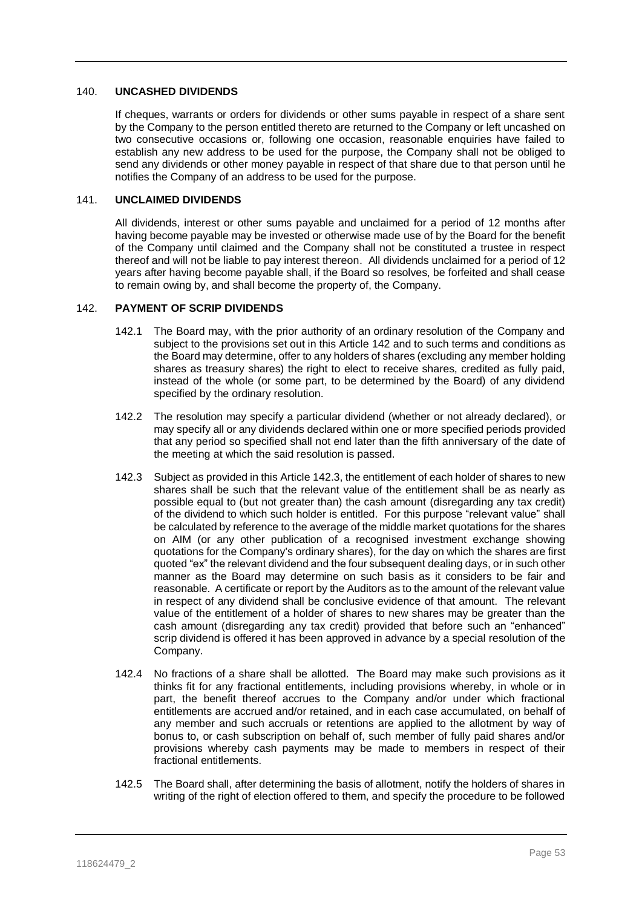#### 140. **UNCASHED DIVIDENDS**

If cheques, warrants or orders for dividends or other sums payable in respect of a share sent by the Company to the person entitled thereto are returned to the Company or left uncashed on two consecutive occasions or, following one occasion, reasonable enquiries have failed to establish any new address to be used for the purpose, the Company shall not be obliged to send any dividends or other money payable in respect of that share due to that person until he notifies the Company of an address to be used for the purpose.

# 141. **UNCLAIMED DIVIDENDS**

All dividends, interest or other sums payable and unclaimed for a period of 12 months after having become payable may be invested or otherwise made use of by the Board for the benefit of the Company until claimed and the Company shall not be constituted a trustee in respect thereof and will not be liable to pay interest thereon. All dividends unclaimed for a period of 12 years after having become payable shall, if the Board so resolves, be forfeited and shall cease to remain owing by, and shall become the property of, the Company.

## <span id="page-53-0"></span>142. **PAYMENT OF SCRIP DIVIDENDS**

- 142.1 The Board may, with the prior authority of an ordinary resolution of the Company and subject to the provisions set out in this Article [142](#page-53-0) and to such terms and conditions as the Board may determine, offer to any holders of shares (excluding any member holding shares as treasury shares) the right to elect to receive shares, credited as fully paid, instead of the whole (or some part, to be determined by the Board) of any dividend specified by the ordinary resolution.
- 142.2 The resolution may specify a particular dividend (whether or not already declared), or may specify all or any dividends declared within one or more specified periods provided that any period so specified shall not end later than the fifth anniversary of the date of the meeting at which the said resolution is passed.
- <span id="page-53-1"></span>142.3 Subject as provided in this Article [142.3,](#page-53-1) the entitlement of each holder of shares to new shares shall be such that the relevant value of the entitlement shall be as nearly as possible equal to (but not greater than) the cash amount (disregarding any tax credit) of the dividend to which such holder is entitled. For this purpose "relevant value" shall be calculated by reference to the average of the middle market quotations for the shares on AIM (or any other publication of a recognised investment exchange showing quotations for the Company's ordinary shares), for the day on which the shares are first quoted "ex" the relevant dividend and the four subsequent dealing days, or in such other manner as the Board may determine on such basis as it considers to be fair and reasonable. A certificate or report by the Auditors as to the amount of the relevant value in respect of any dividend shall be conclusive evidence of that amount. The relevant value of the entitlement of a holder of shares to new shares may be greater than the cash amount (disregarding any tax credit) provided that before such an "enhanced" scrip dividend is offered it has been approved in advance by a special resolution of the Company.
- 142.4 No fractions of a share shall be allotted. The Board may make such provisions as it thinks fit for any fractional entitlements, including provisions whereby, in whole or in part, the benefit thereof accrues to the Company and/or under which fractional entitlements are accrued and/or retained, and in each case accumulated, on behalf of any member and such accruals or retentions are applied to the allotment by way of bonus to, or cash subscription on behalf of, such member of fully paid shares and/or provisions whereby cash payments may be made to members in respect of their fractional entitlements.
- 142.5 The Board shall, after determining the basis of allotment, notify the holders of shares in writing of the right of election offered to them, and specify the procedure to be followed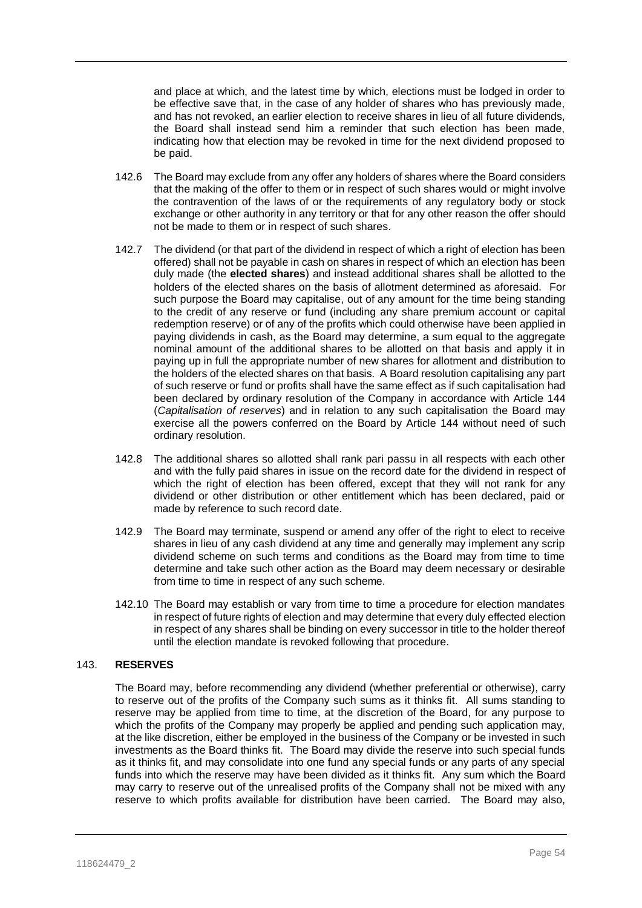and place at which, and the latest time by which, elections must be lodged in order to be effective save that, in the case of any holder of shares who has previously made, and has not revoked, an earlier election to receive shares in lieu of all future dividends, the Board shall instead send him a reminder that such election has been made, indicating how that election may be revoked in time for the next dividend proposed to be paid.

- 142.6 The Board may exclude from any offer any holders of shares where the Board considers that the making of the offer to them or in respect of such shares would or might involve the contravention of the laws of or the requirements of any regulatory body or stock exchange or other authority in any territory or that for any other reason the offer should not be made to them or in respect of such shares.
- 142.7 The dividend (or that part of the dividend in respect of which a right of election has been offered) shall not be payable in cash on shares in respect of which an election has been duly made (the **elected shares**) and instead additional shares shall be allotted to the holders of the elected shares on the basis of allotment determined as aforesaid. For such purpose the Board may capitalise, out of any amount for the time being standing to the credit of any reserve or fund (including any share premium account or capital redemption reserve) or of any of the profits which could otherwise have been applied in paying dividends in cash, as the Board may determine, a sum equal to the aggregate nominal amount of the additional shares to be allotted on that basis and apply it in paying up in full the appropriate number of new shares for allotment and distribution to the holders of the elected shares on that basis. A Board resolution capitalising any part of such reserve or fund or profits shall have the same effect as if such capitalisation had been declared by ordinary resolution of the Company in accordance with Article [144](#page-55-0) (*Capitalisation of reserves*) and in relation to any such capitalisation the Board may exercise all the powers conferred on the Board by Article [144](#page-55-0) without need of such ordinary resolution.
- 142.8 The additional shares so allotted shall rank pari passu in all respects with each other and with the fully paid shares in issue on the record date for the dividend in respect of which the right of election has been offered, except that they will not rank for any dividend or other distribution or other entitlement which has been declared, paid or made by reference to such record date.
- 142.9 The Board may terminate, suspend or amend any offer of the right to elect to receive shares in lieu of any cash dividend at any time and generally may implement any scrip dividend scheme on such terms and conditions as the Board may from time to time determine and take such other action as the Board may deem necessary or desirable from time to time in respect of any such scheme.
- 142.10 The Board may establish or vary from time to time a procedure for election mandates in respect of future rights of election and may determine that every duly effected election in respect of any shares shall be binding on every successor in title to the holder thereof until the election mandate is revoked following that procedure.

# 143. **RESERVES**

The Board may, before recommending any dividend (whether preferential or otherwise), carry to reserve out of the profits of the Company such sums as it thinks fit. All sums standing to reserve may be applied from time to time, at the discretion of the Board, for any purpose to which the profits of the Company may properly be applied and pending such application may, at the like discretion, either be employed in the business of the Company or be invested in such investments as the Board thinks fit. The Board may divide the reserve into such special funds as it thinks fit, and may consolidate into one fund any special funds or any parts of any special funds into which the reserve may have been divided as it thinks fit. Any sum which the Board may carry to reserve out of the unrealised profits of the Company shall not be mixed with any reserve to which profits available for distribution have been carried. The Board may also,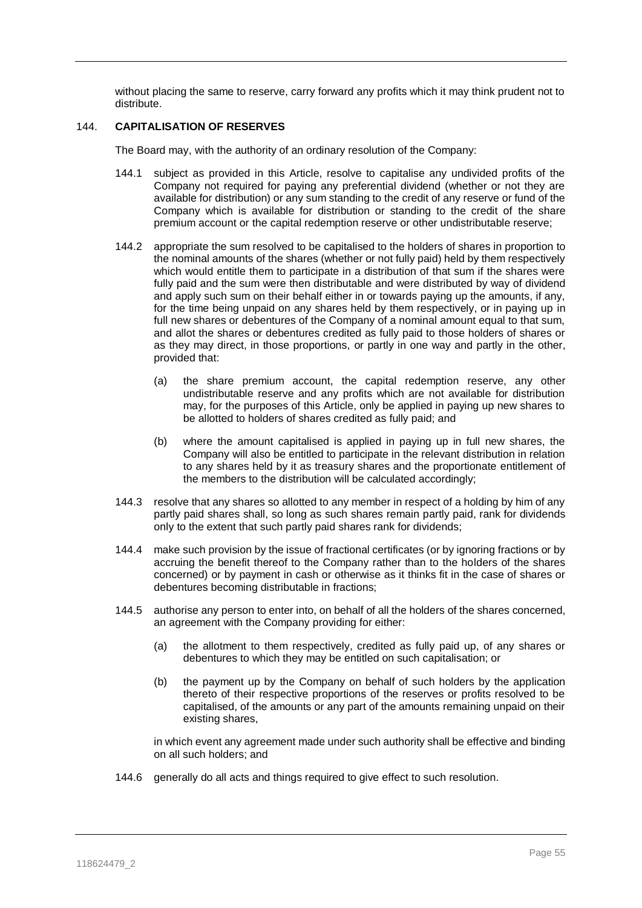without placing the same to reserve, carry forward any profits which it may think prudent not to distribute.

## <span id="page-55-0"></span>144. **CAPITALISATION OF RESERVES**

The Board may, with the authority of an ordinary resolution of the Company:

- 144.1 subject as provided in this Article, resolve to capitalise any undivided profits of the Company not required for paying any preferential dividend (whether or not they are available for distribution) or any sum standing to the credit of any reserve or fund of the Company which is available for distribution or standing to the credit of the share premium account or the capital redemption reserve or other undistributable reserve;
- 144.2 appropriate the sum resolved to be capitalised to the holders of shares in proportion to the nominal amounts of the shares (whether or not fully paid) held by them respectively which would entitle them to participate in a distribution of that sum if the shares were fully paid and the sum were then distributable and were distributed by way of dividend and apply such sum on their behalf either in or towards paying up the amounts, if any, for the time being unpaid on any shares held by them respectively, or in paying up in full new shares or debentures of the Company of a nominal amount equal to that sum, and allot the shares or debentures credited as fully paid to those holders of shares or as they may direct, in those proportions, or partly in one way and partly in the other, provided that:
	- (a) the share premium account, the capital redemption reserve, any other undistributable reserve and any profits which are not available for distribution may, for the purposes of this Article, only be applied in paying up new shares to be allotted to holders of shares credited as fully paid; and
	- (b) where the amount capitalised is applied in paying up in full new shares, the Company will also be entitled to participate in the relevant distribution in relation to any shares held by it as treasury shares and the proportionate entitlement of the members to the distribution will be calculated accordingly;
- 144.3 resolve that any shares so allotted to any member in respect of a holding by him of any partly paid shares shall, so long as such shares remain partly paid, rank for dividends only to the extent that such partly paid shares rank for dividends;
- 144.4 make such provision by the issue of fractional certificates (or by ignoring fractions or by accruing the benefit thereof to the Company rather than to the holders of the shares concerned) or by payment in cash or otherwise as it thinks fit in the case of shares or debentures becoming distributable in fractions;
- 144.5 authorise any person to enter into, on behalf of all the holders of the shares concerned, an agreement with the Company providing for either:
	- (a) the allotment to them respectively, credited as fully paid up, of any shares or debentures to which they may be entitled on such capitalisation; or
	- (b) the payment up by the Company on behalf of such holders by the application thereto of their respective proportions of the reserves or profits resolved to be capitalised, of the amounts or any part of the amounts remaining unpaid on their existing shares,

in which event any agreement made under such authority shall be effective and binding on all such holders; and

144.6 generally do all acts and things required to give effect to such resolution.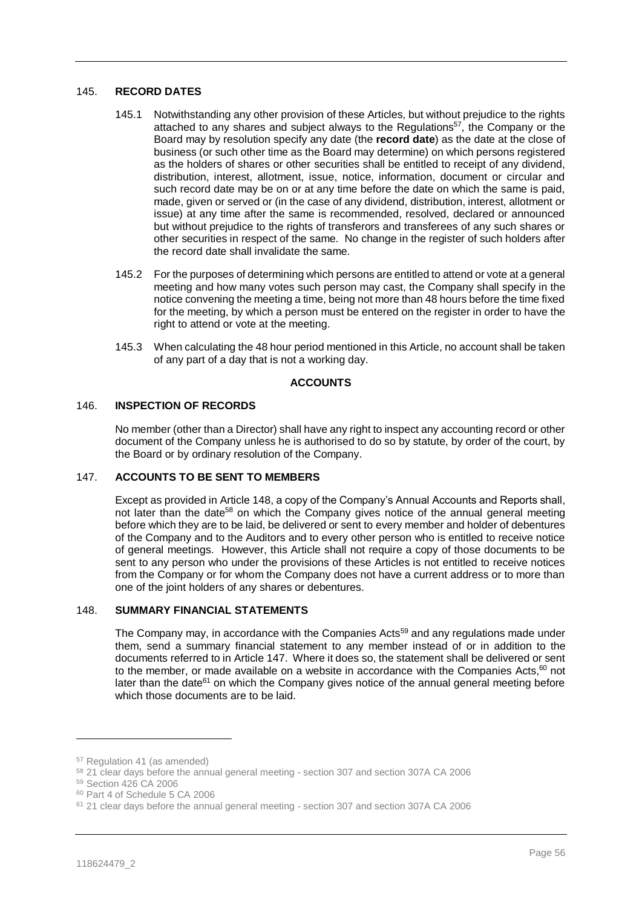# 145. **RECORD DATES**

- 145.1 Notwithstanding any other provision of these Articles, but without prejudice to the rights attached to any shares and subject always to the Regulations<sup>57</sup>, the Company or the Board may by resolution specify any date (the **record date**) as the date at the close of business (or such other time as the Board may determine) on which persons registered as the holders of shares or other securities shall be entitled to receipt of any dividend, distribution, interest, allotment, issue, notice, information, document or circular and such record date may be on or at any time before the date on which the same is paid, made, given or served or (in the case of any dividend, distribution, interest, allotment or issue) at any time after the same is recommended, resolved, declared or announced but without prejudice to the rights of transferors and transferees of any such shares or other securities in respect of the same. No change in the register of such holders after the record date shall invalidate the same.
- 145.2 For the purposes of determining which persons are entitled to attend or vote at a general meeting and how many votes such person may cast, the Company shall specify in the notice convening the meeting a time, being not more than 48 hours before the time fixed for the meeting, by which a person must be entered on the register in order to have the right to attend or vote at the meeting.
- 145.3 When calculating the 48 hour period mentioned in this Article, no account shall be taken of any part of a day that is not a working day.

## **ACCOUNTS**

## 146. **INSPECTION OF RECORDS**

No member (other than a Director) shall have any right to inspect any accounting record or other document of the Company unless he is authorised to do so by statute, by order of the court, by the Board or by ordinary resolution of the Company.

#### <span id="page-56-1"></span>147. **ACCOUNTS TO BE SENT TO MEMBERS**

Except as provided in Article [148,](#page-56-0) a copy of the Company's Annual Accounts and Reports shall, not later than the date<sup>58</sup> on which the Company gives notice of the annual general meeting before which they are to be laid, be delivered or sent to every member and holder of debentures of the Company and to the Auditors and to every other person who is entitled to receive notice of general meetings. However, this Article shall not require a copy of those documents to be sent to any person who under the provisions of these Articles is not entitled to receive notices from the Company or for whom the Company does not have a current address or to more than one of the joint holders of any shares or debentures.

# <span id="page-56-0"></span>148. **SUMMARY FINANCIAL STATEMENTS**

The Company may, in accordance with the Companies Acts<sup>59</sup> and any regulations made under them, send a summary financial statement to any member instead of or in addition to the documents referred to in Article [147.](#page-56-1) Where it does so, the statement shall be delivered or sent to the member, or made available on a website in accordance with the Companies Acts, $60$  not later than the date<sup>61</sup> on which the Company gives notice of the annual general meeting before which those documents are to be laid.

 $\overline{a}$ 

<sup>57</sup> Regulation 41 (as amended)

<sup>58</sup> 21 clear days before the annual general meeting - section 307 and section 307A CA 2006

<sup>59</sup> Section 426 CA 2006

<sup>60</sup> Part 4 of Schedule 5 CA 2006

<sup>61</sup> 21 clear days before the annual general meeting - section 307 and section 307A CA 2006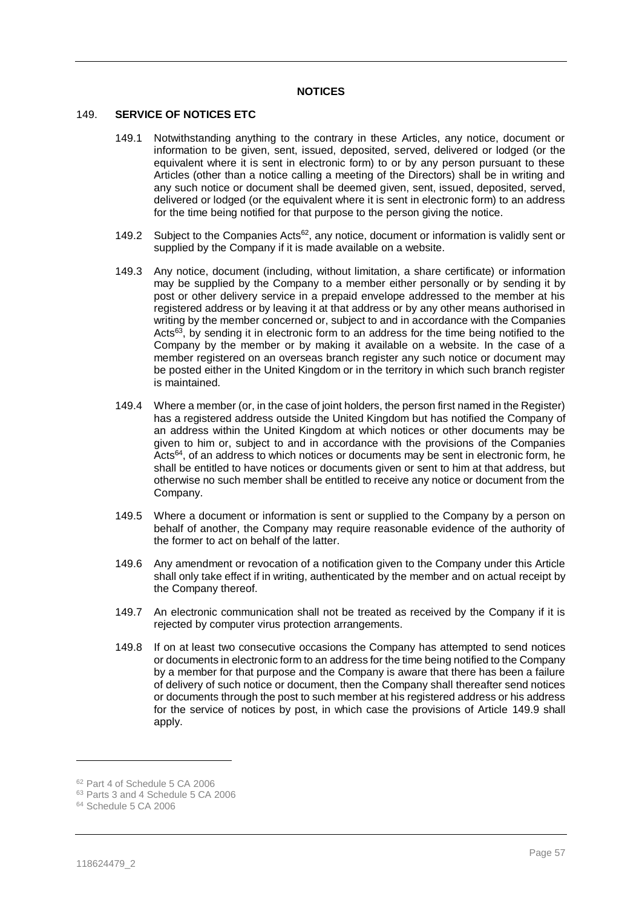#### **NOTICES**

#### 149. **SERVICE OF NOTICES ETC**

- 149.1 Notwithstanding anything to the contrary in these Articles, any notice, document or information to be given, sent, issued, deposited, served, delivered or lodged (or the equivalent where it is sent in electronic form) to or by any person pursuant to these Articles (other than a notice calling a meeting of the Directors) shall be in writing and any such notice or document shall be deemed given, sent, issued, deposited, served, delivered or lodged (or the equivalent where it is sent in electronic form) to an address for the time being notified for that purpose to the person giving the notice.
- 149.2 Subject to the Companies Acts<sup>62</sup>, any notice, document or information is validly sent or supplied by the Company if it is made available on a website.
- 149.3 Any notice, document (including, without limitation, a share certificate) or information may be supplied by the Company to a member either personally or by sending it by post or other delivery service in a prepaid envelope addressed to the member at his registered address or by leaving it at that address or by any other means authorised in writing by the member concerned or, subject to and in accordance with the Companies Acts<sup>63</sup>, by sending it in electronic form to an address for the time being notified to the Company by the member or by making it available on a website. In the case of a member registered on an overseas branch register any such notice or document may be posted either in the United Kingdom or in the territory in which such branch register is maintained.
- <span id="page-57-0"></span>149.4 Where a member (or, in the case of joint holders, the person first named in the Register) has a registered address outside the United Kingdom but has notified the Company of an address within the United Kingdom at which notices or other documents may be given to him or, subject to and in accordance with the provisions of the Companies Acts<sup>64</sup>, of an address to which notices or documents may be sent in electronic form, he shall be entitled to have notices or documents given or sent to him at that address, but otherwise no such member shall be entitled to receive any notice or document from the Company.
- 149.5 Where a document or information is sent or supplied to the Company by a person on behalf of another, the Company may require reasonable evidence of the authority of the former to act on behalf of the latter.
- 149.6 Any amendment or revocation of a notification given to the Company under this Article shall only take effect if in writing, authenticated by the member and on actual receipt by the Company thereof.
- 149.7 An electronic communication shall not be treated as received by the Company if it is rejected by computer virus protection arrangements.
- 149.8 If on at least two consecutive occasions the Company has attempted to send notices or documents in electronic form to an address for the time being notified to the Company by a member for that purpose and the Company is aware that there has been a failure of delivery of such notice or document, then the Company shall thereafter send notices or documents through the post to such member at his registered address or his address for the service of notices by post, in which case the provisions of Article [149.9](#page-58-0) shall apply.

 $\overline{a}$ 

<sup>62</sup> Part 4 of Schedule 5 CA 2006

<sup>63</sup> Parts 3 and 4 Schedule 5 CA 2006

<sup>64</sup> Schedule 5 CA 2006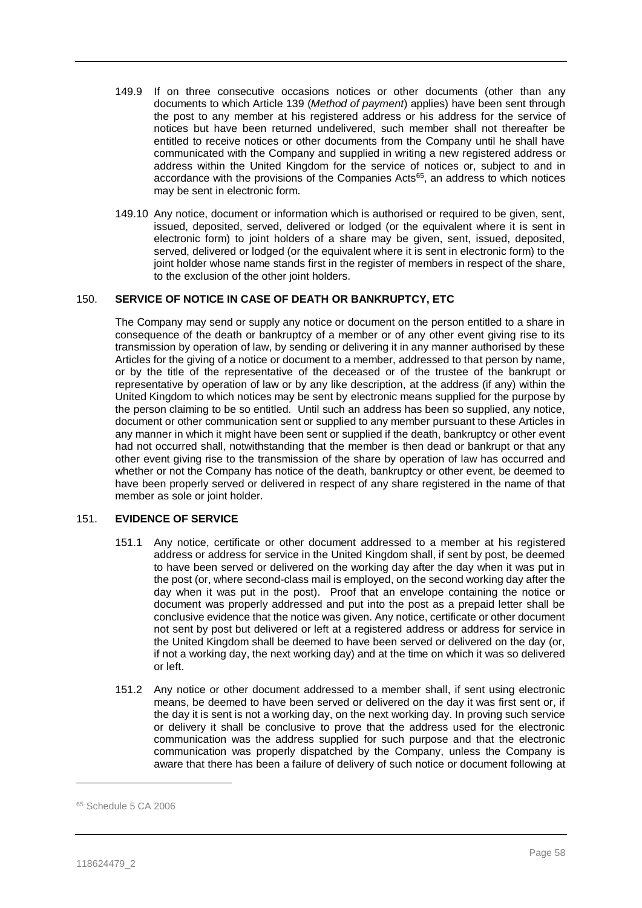- <span id="page-58-0"></span>149.9 If on three consecutive occasions notices or other documents (other than any documents to which Article [139](#page-52-1) (*Method of payment*) applies) have been sent through the post to any member at his registered address or his address for the service of notices but have been returned undelivered, such member shall not thereafter be entitled to receive notices or other documents from the Company until he shall have communicated with the Company and supplied in writing a new registered address or address within the United Kingdom for the service of notices or, subject to and in accordance with the provisions of the Companies Acts<sup>65</sup>, an address to which notices may be sent in electronic form.
- 149.10 Any notice, document or information which is authorised or required to be given, sent, issued, deposited, served, delivered or lodged (or the equivalent where it is sent in electronic form) to joint holders of a share may be given, sent, issued, deposited, served, delivered or lodged (or the equivalent where it is sent in electronic form) to the joint holder whose name stands first in the register of members in respect of the share, to the exclusion of the other joint holders.

# 150. **SERVICE OF NOTICE IN CASE OF DEATH OR BANKRUPTCY, ETC**

The Company may send or supply any notice or document on the person entitled to a share in consequence of the death or bankruptcy of a member or of any other event giving rise to its transmission by operation of law, by sending or delivering it in any manner authorised by these Articles for the giving of a notice or document to a member, addressed to that person by name, or by the title of the representative of the deceased or of the trustee of the bankrupt or representative by operation of law or by any like description, at the address (if any) within the United Kingdom to which notices may be sent by electronic means supplied for the purpose by the person claiming to be so entitled. Until such an address has been so supplied, any notice, document or other communication sent or supplied to any member pursuant to these Articles in any manner in which it might have been sent or supplied if the death, bankruptcy or other event had not occurred shall, notwithstanding that the member is then dead or bankrupt or that any other event giving rise to the transmission of the share by operation of law has occurred and whether or not the Company has notice of the death, bankruptcy or other event, be deemed to have been properly served or delivered in respect of any share registered in the name of that member as sole or joint holder.

# <span id="page-58-1"></span>151. **EVIDENCE OF SERVICE**

- 151.1 Any notice, certificate or other document addressed to a member at his registered address or address for service in the United Kingdom shall, if sent by post, be deemed to have been served or delivered on the working day after the day when it was put in the post (or, where second-class mail is employed, on the second working day after the day when it was put in the post). Proof that an envelope containing the notice or document was properly addressed and put into the post as a prepaid letter shall be conclusive evidence that the notice was given. Any notice, certificate or other document not sent by post but delivered or left at a registered address or address for service in the United Kingdom shall be deemed to have been served or delivered on the day (or, if not a working day, the next working day) and at the time on which it was so delivered or left.
- 151.2 Any notice or other document addressed to a member shall, if sent using electronic means, be deemed to have been served or delivered on the day it was first sent or, if the day it is sent is not a working day, on the next working day. In proving such service or delivery it shall be conclusive to prove that the address used for the electronic communication was the address supplied for such purpose and that the electronic communication was properly dispatched by the Company, unless the Company is aware that there has been a failure of delivery of such notice or document following at

<sup>65</sup> Schedule 5 CA 2006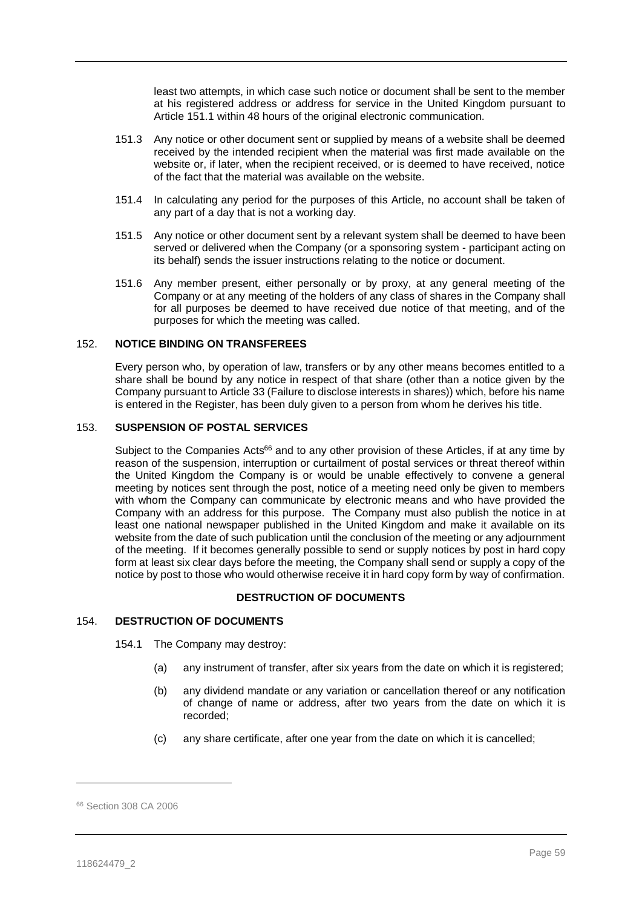least two attempts, in which case such notice or document shall be sent to the member at his registered address or address for service in the United Kingdom pursuant to Article [151.1](#page-58-1) within 48 hours of the original electronic communication.

- 151.3 Any notice or other document sent or supplied by means of a website shall be deemed received by the intended recipient when the material was first made available on the website or, if later, when the recipient received, or is deemed to have received, notice of the fact that the material was available on the website.
- 151.4 In calculating any period for the purposes of this Article, no account shall be taken of any part of a day that is not a working day.
- 151.5 Any notice or other document sent by a relevant system shall be deemed to have been served or delivered when the Company (or a sponsoring system - participant acting on its behalf) sends the issuer instructions relating to the notice or document.
- 151.6 Any member present, either personally or by proxy, at any general meeting of the Company or at any meeting of the holders of any class of shares in the Company shall for all purposes be deemed to have received due notice of that meeting, and of the purposes for which the meeting was called.

#### 152. **NOTICE BINDING ON TRANSFEREES**

Every person who, by operation of law, transfers or by any other means becomes entitled to a share shall be bound by any notice in respect of that share (other than a notice given by the Company pursuant to Article [33](#page-18-2) (Failure to disclose interests in shares)) which, before his name is entered in the Register, has been duly given to a person from whom he derives his title.

#### 153. **SUSPENSION OF POSTAL SERVICES**

Subject to the Companies Acts<sup>66</sup> and to any other provision of these Articles, if at any time by reason of the suspension, interruption or curtailment of postal services or threat thereof within the United Kingdom the Company is or would be unable effectively to convene a general meeting by notices sent through the post, notice of a meeting need only be given to members with whom the Company can communicate by electronic means and who have provided the Company with an address for this purpose. The Company must also publish the notice in at least one national newspaper published in the United Kingdom and make it available on its website from the date of such publication until the conclusion of the meeting or any adjournment of the meeting. If it becomes generally possible to send or supply notices by post in hard copy form at least six clear days before the meeting, the Company shall send or supply a copy of the notice by post to those who would otherwise receive it in hard copy form by way of confirmation.

### **DESTRUCTION OF DOCUMENTS**

#### <span id="page-59-0"></span>154. **DESTRUCTION OF DOCUMENTS**

- 154.1 The Company may destroy:
	- (a) any instrument of transfer, after six years from the date on which it is registered;
	- (b) any dividend mandate or any variation or cancellation thereof or any notification of change of name or address, after two years from the date on which it is recorded;
	- (c) any share certificate, after one year from the date on which it is cancelled;

<sup>66</sup> Section 308 CA 2006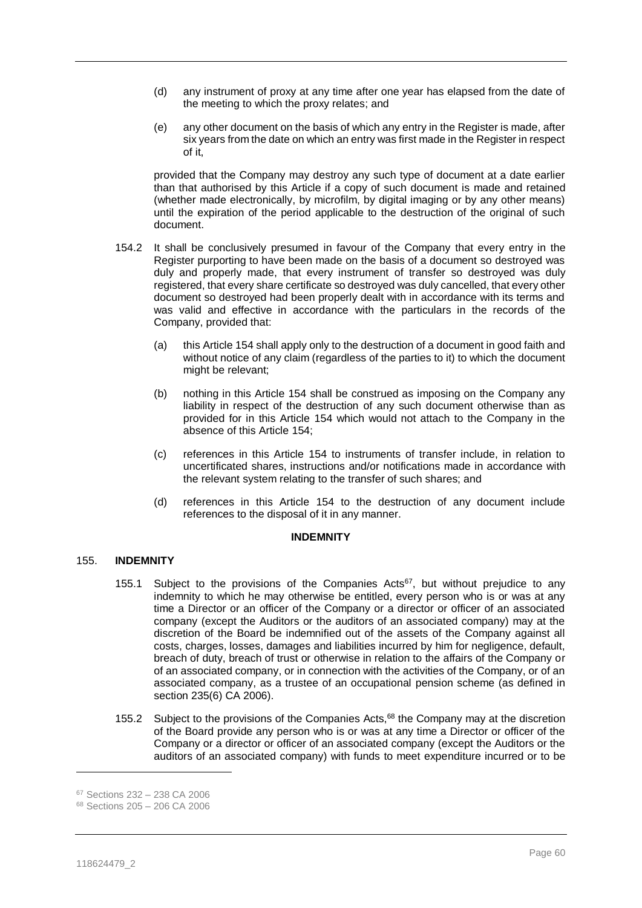- (d) any instrument of proxy at any time after one year has elapsed from the date of the meeting to which the proxy relates; and
- (e) any other document on the basis of which any entry in the Register is made, after six years from the date on which an entry was first made in the Register in respect of it,

provided that the Company may destroy any such type of document at a date earlier than that authorised by this Article if a copy of such document is made and retained (whether made electronically, by microfilm, by digital imaging or by any other means) until the expiration of the period applicable to the destruction of the original of such document.

- 154.2 It shall be conclusively presumed in favour of the Company that every entry in the Register purporting to have been made on the basis of a document so destroyed was duly and properly made, that every instrument of transfer so destroyed was duly registered, that every share certificate so destroyed was duly cancelled, that every other document so destroyed had been properly dealt with in accordance with its terms and was valid and effective in accordance with the particulars in the records of the Company, provided that:
	- (a) this Article [154](#page-59-0) shall apply only to the destruction of a document in good faith and without notice of any claim (regardless of the parties to it) to which the document might be relevant;
	- (b) nothing in this Article [154](#page-59-0) shall be construed as imposing on the Company any liability in respect of the destruction of any such document otherwise than as provided for in this Article [154](#page-59-0) which would not attach to the Company in the absence of this Article [154;](#page-59-0)
	- (c) references in this Article [154](#page-59-0) to instruments of transfer include, in relation to uncertificated shares, instructions and/or notifications made in accordance with the relevant system relating to the transfer of such shares; and
	- (d) references in this Article [154](#page-59-0) to the destruction of any document include references to the disposal of it in any manner.

# **INDEMNITY**

# <span id="page-60-0"></span>155. **INDEMNITY**

- 155.1 Subject to the provisions of the Companies  $Acts^{67}$ , but without prejudice to any indemnity to which he may otherwise be entitled, every person who is or was at any time a Director or an officer of the Company or a director or officer of an associated company (except the Auditors or the auditors of an associated company) may at the discretion of the Board be indemnified out of the assets of the Company against all costs, charges, losses, damages and liabilities incurred by him for negligence, default, breach of duty, breach of trust or otherwise in relation to the affairs of the Company or of an associated company, or in connection with the activities of the Company, or of an associated company, as a trustee of an occupational pension scheme (as defined in section 235(6) CA 2006).
- <span id="page-60-1"></span>155.2 Subject to the provisions of the Companies Acts,<sup>68</sup> the Company may at the discretion of the Board provide any person who is or was at any time a Director or officer of the Company or a director or officer of an associated company (except the Auditors or the auditors of an associated company) with funds to meet expenditure incurred or to be

<sup>67</sup> Sections 232 – 238 CA 2006

<sup>68</sup> Sections 205 – 206 CA 2006